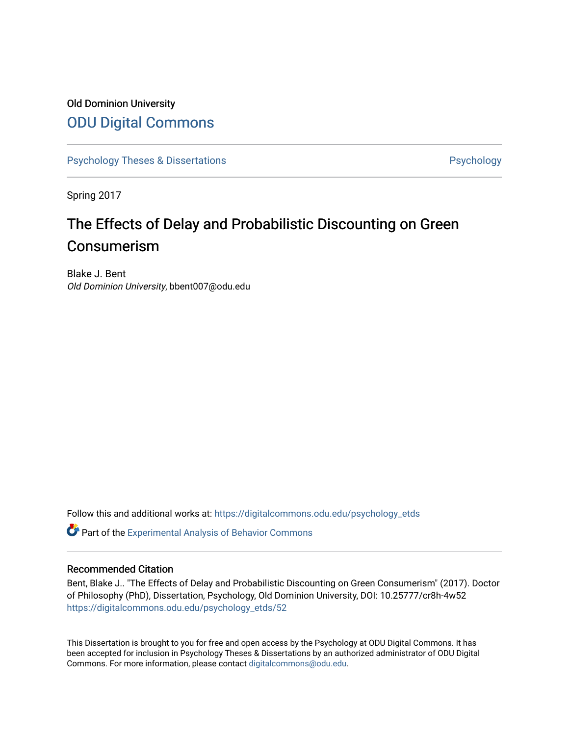## Old Dominion University [ODU Digital Commons](https://digitalcommons.odu.edu/)

[Psychology Theses & Dissertations](https://digitalcommons.odu.edu/psychology_etds) **Psychology** Psychology

Spring 2017

# The Effects of Delay and Probabilistic Discounting on Green Consumerism

Blake J. Bent Old Dominion University, bbent007@odu.edu

Follow this and additional works at: [https://digitalcommons.odu.edu/psychology\\_etds](https://digitalcommons.odu.edu/psychology_etds?utm_source=digitalcommons.odu.edu%2Fpsychology_etds%2F52&utm_medium=PDF&utm_campaign=PDFCoverPages)

**C** Part of the Experimental Analysis of Behavior Commons

#### Recommended Citation

Bent, Blake J.. "The Effects of Delay and Probabilistic Discounting on Green Consumerism" (2017). Doctor of Philosophy (PhD), Dissertation, Psychology, Old Dominion University, DOI: 10.25777/cr8h-4w52 [https://digitalcommons.odu.edu/psychology\\_etds/52](https://digitalcommons.odu.edu/psychology_etds/52?utm_source=digitalcommons.odu.edu%2Fpsychology_etds%2F52&utm_medium=PDF&utm_campaign=PDFCoverPages) 

This Dissertation is brought to you for free and open access by the Psychology at ODU Digital Commons. It has been accepted for inclusion in Psychology Theses & Dissertations by an authorized administrator of ODU Digital Commons. For more information, please contact [digitalcommons@odu.edu](mailto:digitalcommons@odu.edu).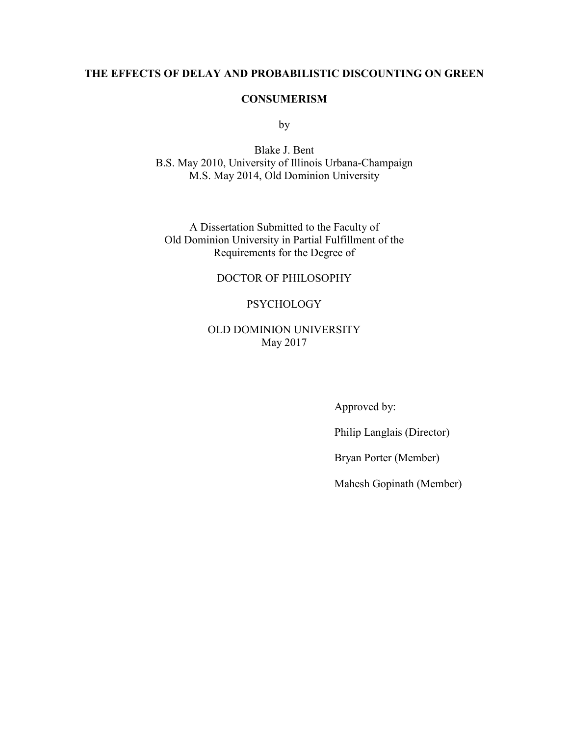## **THE EFFECTS OF DELAY AND PROBABILISTIC DISCOUNTING ON GREEN**

## **CONSUMERISM**

by

Blake J. Bent B.S. May 2010, University of Illinois Urbana-Champaign M.S. May 2014, Old Dominion University

A Dissertation Submitted to the Faculty of Old Dominion University in Partial Fulfillment of the Requirements for the Degree of

## DOCTOR OF PHILOSOPHY

## **PSYCHOLOGY**

## OLD DOMINION UNIVERSITY May 2017

Approved by:

Philip Langlais (Director)

Bryan Porter (Member)

Mahesh Gopinath (Member)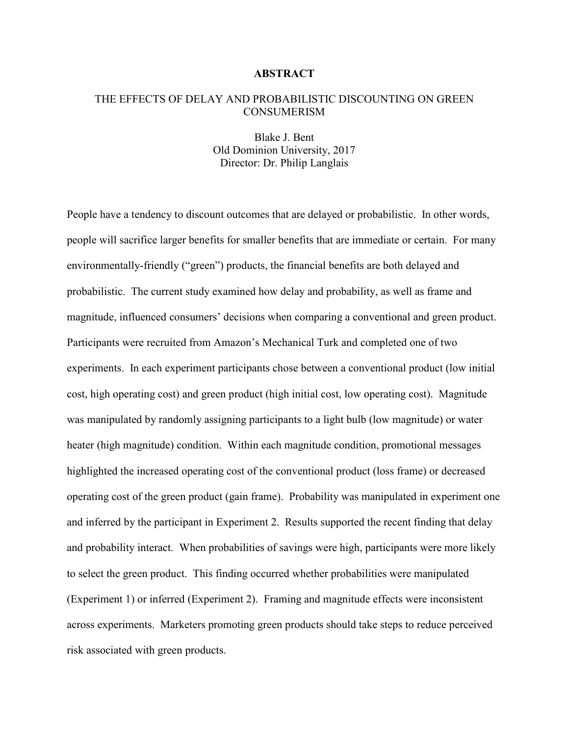#### **ABSTRACT**

## THE EFFECTS OF DELAY AND PROBABILISTIC DISCOUNTING ON GREEN CONSUMERISM

Blake J. Bent Old Dominion University, 2017 Director: Dr. Philip Langlais

People have a tendency to discount outcomes that are delayed or probabilistic. In other words, people will sacrifice larger benefits for smaller benefits that are immediate or certain. For many environmentally-friendly ("green") products, the financial benefits are both delayed and probabilistic. The current study examined how delay and probability, as well as frame and magnitude, influenced consumers' decisions when comparing a conventional and green product. Participants were recruited from Amazon's Mechanical Turk and completed one of two experiments. In each experiment participants chose between a conventional product (low initial cost, high operating cost) and green product (high initial cost, low operating cost). Magnitude was manipulated by randomly assigning participants to a light bulb (low magnitude) or water heater (high magnitude) condition. Within each magnitude condition, promotional messages highlighted the increased operating cost of the conventional product (loss frame) or decreased operating cost of the green product (gain frame). Probability was manipulated in experiment one and inferred by the participant in Experiment 2. Results supported the recent finding that delay and probability interact. When probabilities of savings were high, participants were more likely to select the green product. This finding occurred whether probabilities were manipulated (Experiment 1) or inferred (Experiment 2). Framing and magnitude effects were inconsistent across experiments. Marketers promoting green products should take steps to reduce perceived risk associated with green products.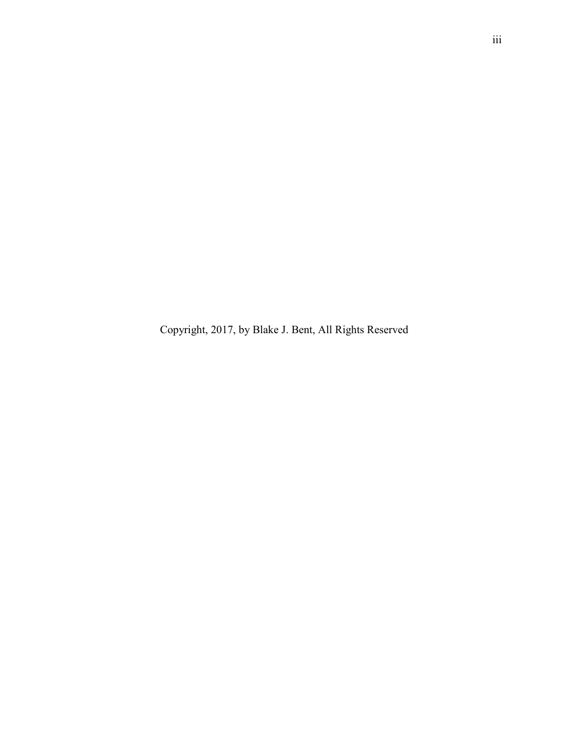Copyright, 2017, by Blake J. Bent, All Rights Reserved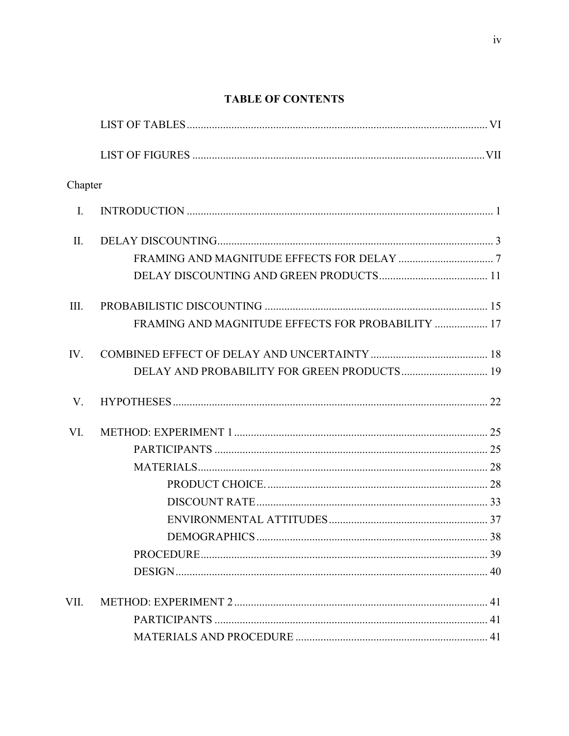## **TABLE OF CONTENTS**

| Chapter        |                                                   |  |
|----------------|---------------------------------------------------|--|
| $\mathbf{I}$ . |                                                   |  |
| $\prod$ .      |                                                   |  |
|                |                                                   |  |
|                |                                                   |  |
| III.           |                                                   |  |
|                | FRAMING AND MAGNITUDE EFFECTS FOR PROBABILITY  17 |  |
| IV.            |                                                   |  |
|                | DELAY AND PROBABILITY FOR GREEN PRODUCTS 19       |  |
| V.             |                                                   |  |
| VI.            |                                                   |  |
|                |                                                   |  |
|                |                                                   |  |
|                |                                                   |  |
|                |                                                   |  |
|                |                                                   |  |
|                |                                                   |  |
|                |                                                   |  |
|                |                                                   |  |
| VII.           |                                                   |  |
|                |                                                   |  |
|                |                                                   |  |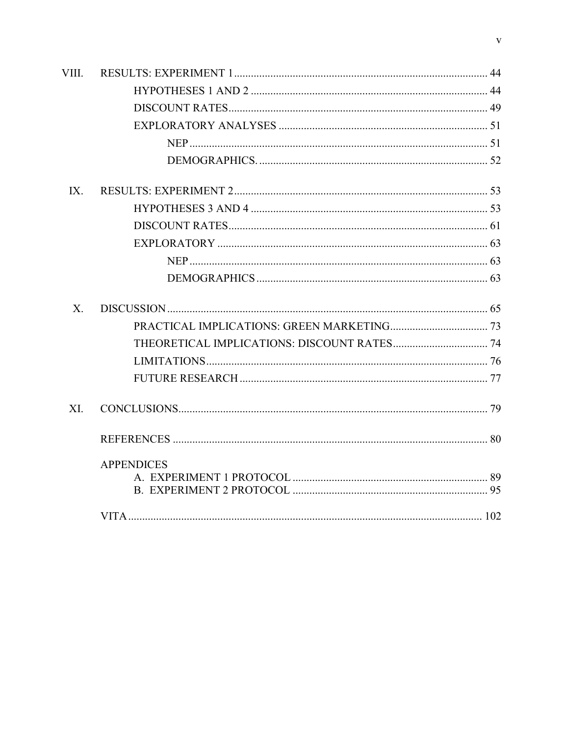| VIII.    |                   |  |
|----------|-------------------|--|
|          |                   |  |
|          |                   |  |
|          |                   |  |
|          |                   |  |
|          |                   |  |
| $IX_{-}$ |                   |  |
|          |                   |  |
|          |                   |  |
|          |                   |  |
|          |                   |  |
|          |                   |  |
| X        |                   |  |
|          |                   |  |
|          |                   |  |
|          |                   |  |
|          |                   |  |
| XI.      |                   |  |
|          |                   |  |
|          | <b>APPENDICES</b> |  |
|          |                   |  |
|          |                   |  |
|          |                   |  |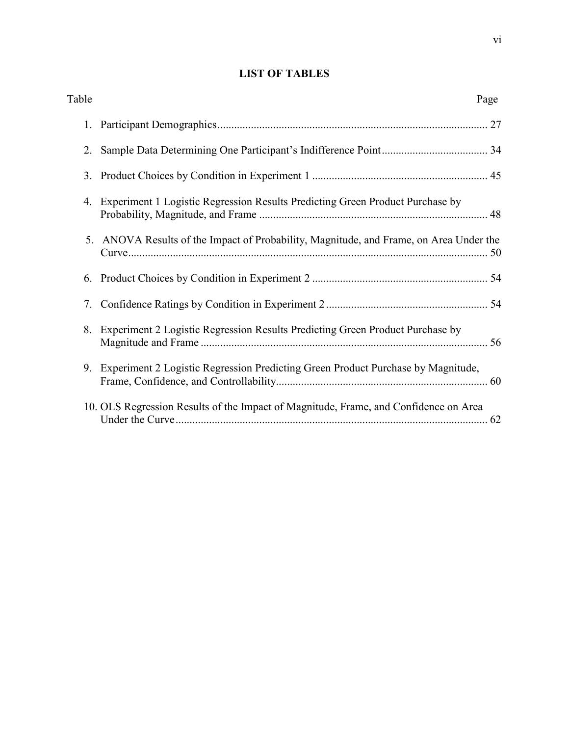## **LIST OF TABLES**

| Table |                                                                                        | Page |
|-------|----------------------------------------------------------------------------------------|------|
| 1.    |                                                                                        |      |
|       |                                                                                        |      |
|       |                                                                                        |      |
| 4.    | Experiment 1 Logistic Regression Results Predicting Green Product Purchase by          |      |
|       | 5. ANOVA Results of the Impact of Probability, Magnitude, and Frame, on Area Under the |      |
|       |                                                                                        |      |
| 7.    |                                                                                        |      |
|       | 8. Experiment 2 Logistic Regression Results Predicting Green Product Purchase by       |      |
|       | 9. Experiment 2 Logistic Regression Predicting Green Product Purchase by Magnitude,    |      |
|       | 10. OLS Regression Results of the Impact of Magnitude, Frame, and Confidence on Area   |      |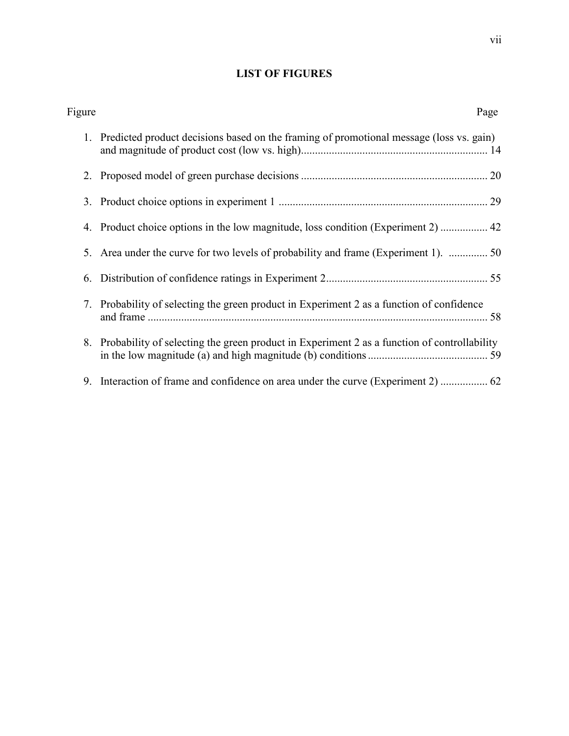## **LIST OF FIGURES**

| Figure | Page                                                                                           |
|--------|------------------------------------------------------------------------------------------------|
| 1.     | Predicted product decisions based on the framing of promotional message (loss vs. gain)        |
|        |                                                                                                |
|        |                                                                                                |
|        | 4. Product choice options in the low magnitude, loss condition (Experiment 2)  42              |
|        | 5. Area under the curve for two levels of probability and frame (Experiment 1).  50            |
| 6.     |                                                                                                |
|        | 7. Probability of selecting the green product in Experiment 2 as a function of confidence      |
|        | 8. Probability of selecting the green product in Experiment 2 as a function of controllability |
|        |                                                                                                |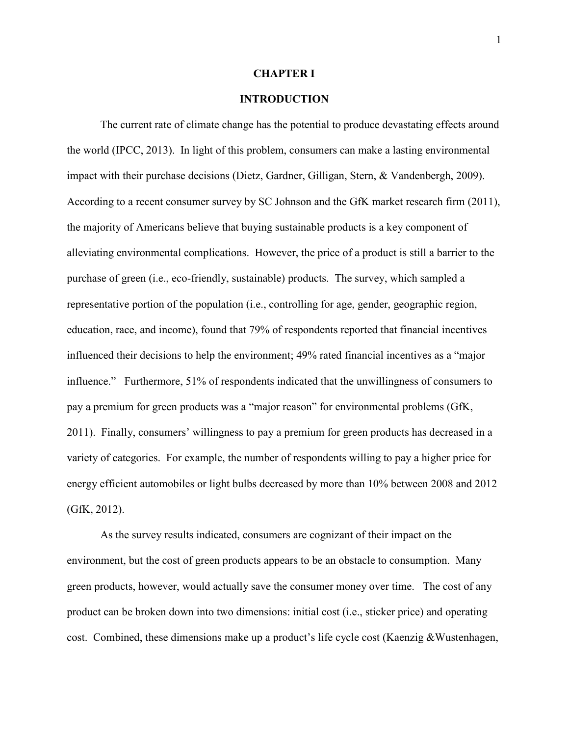#### **CHAPTER I**

## **INTRODUCTION**

The current rate of climate change has the potential to produce devastating effects around the world (IPCC, 2013). In light of this problem, consumers can make a lasting environmental impact with their purchase decisions (Dietz, Gardner, Gilligan, Stern, & Vandenbergh, 2009). According to a recent consumer survey by SC Johnson and the GfK market research firm (2011), the majority of Americans believe that buying sustainable products is a key component of alleviating environmental complications. However, the price of a product is still a barrier to the purchase of green (i.e., eco-friendly, sustainable) products. The survey, which sampled a representative portion of the population (i.e., controlling for age, gender, geographic region, education, race, and income), found that 79% of respondents reported that financial incentives influenced their decisions to help the environment; 49% rated financial incentives as a "major influence." Furthermore, 51% of respondents indicated that the unwillingness of consumers to pay a premium for green products was a "major reason" for environmental problems (GfK, 2011). Finally, consumers' willingness to pay a premium for green products has decreased in a variety of categories. For example, the number of respondents willing to pay a higher price for energy efficient automobiles or light bulbs decreased by more than 10% between 2008 and 2012 (GfK, 2012).

 As the survey results indicated, consumers are cognizant of their impact on the environment, but the cost of green products appears to be an obstacle to consumption. Many green products, however, would actually save the consumer money over time. The cost of any product can be broken down into two dimensions: initial cost (i.e., sticker price) and operating cost. Combined, these dimensions make up a product's life cycle cost (Kaenzig &Wustenhagen,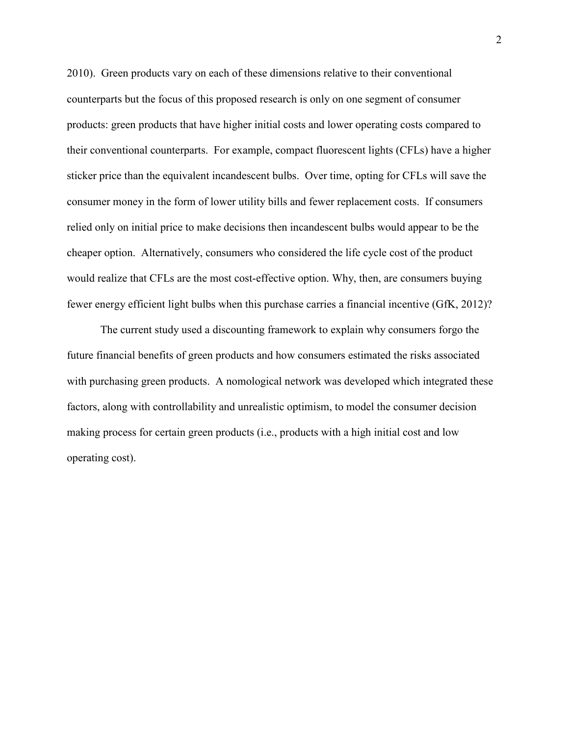2010). Green products vary on each of these dimensions relative to their conventional counterparts but the focus of this proposed research is only on one segment of consumer products: green products that have higher initial costs and lower operating costs compared to their conventional counterparts. For example, compact fluorescent lights (CFLs) have a higher sticker price than the equivalent incandescent bulbs. Over time, opting for CFLs will save the consumer money in the form of lower utility bills and fewer replacement costs. If consumers relied only on initial price to make decisions then incandescent bulbs would appear to be the cheaper option. Alternatively, consumers who considered the life cycle cost of the product would realize that CFLs are the most cost-effective option. Why, then, are consumers buying fewer energy efficient light bulbs when this purchase carries a financial incentive (GfK, 2012)?

 The current study used a discounting framework to explain why consumers forgo the future financial benefits of green products and how consumers estimated the risks associated with purchasing green products. A nomological network was developed which integrated these factors, along with controllability and unrealistic optimism, to model the consumer decision making process for certain green products (i.e., products with a high initial cost and low operating cost).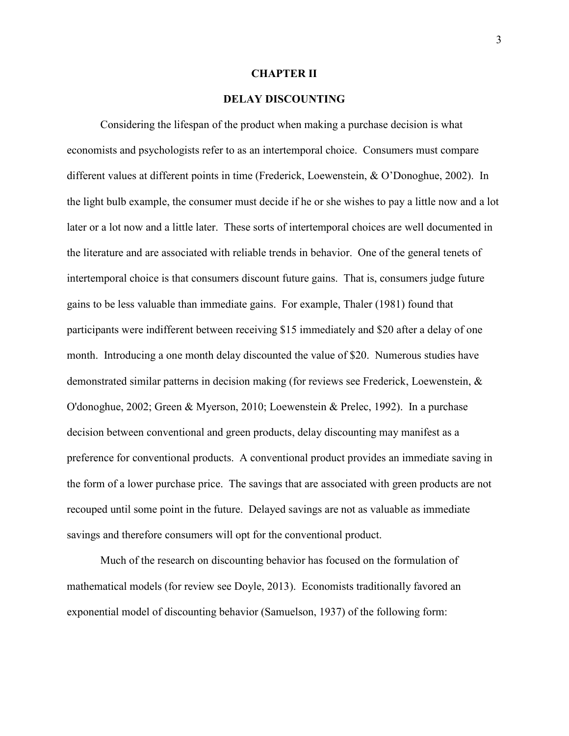#### **CHAPTER II**

## **DELAY DISCOUNTING**

Considering the lifespan of the product when making a purchase decision is what economists and psychologists refer to as an intertemporal choice. Consumers must compare different values at different points in time (Frederick, Loewenstein, & O'Donoghue, 2002). In the light bulb example, the consumer must decide if he or she wishes to pay a little now and a lot later or a lot now and a little later. These sorts of intertemporal choices are well documented in the literature and are associated with reliable trends in behavior. One of the general tenets of intertemporal choice is that consumers discount future gains. That is, consumers judge future gains to be less valuable than immediate gains. For example, Thaler (1981) found that participants were indifferent between receiving \$15 immediately and \$20 after a delay of one month. Introducing a one month delay discounted the value of \$20. Numerous studies have demonstrated similar patterns in decision making (for reviews see Frederick, Loewenstein, & O'donoghue, 2002; Green & Myerson, 2010; Loewenstein & Prelec, 1992). In a purchase decision between conventional and green products, delay discounting may manifest as a preference for conventional products. A conventional product provides an immediate saving in the form of a lower purchase price. The savings that are associated with green products are not recouped until some point in the future. Delayed savings are not as valuable as immediate savings and therefore consumers will opt for the conventional product.

 Much of the research on discounting behavior has focused on the formulation of mathematical models (for review see Doyle, 2013). Economists traditionally favored an exponential model of discounting behavior (Samuelson, 1937) of the following form: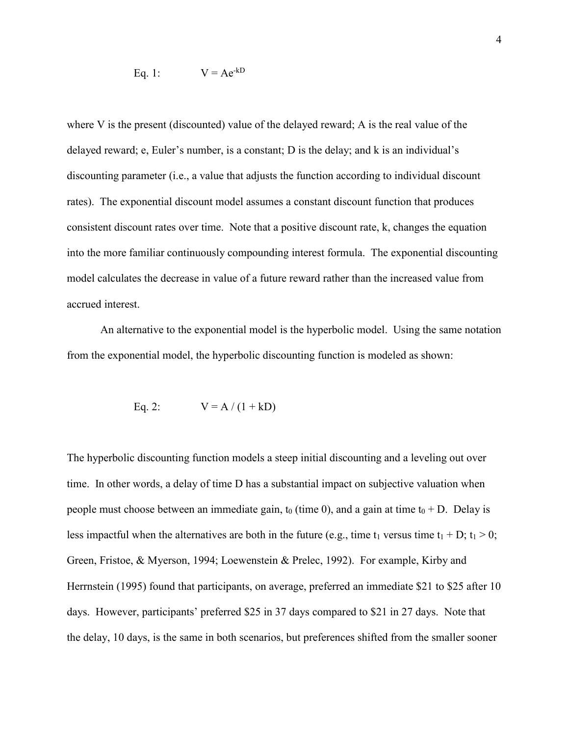Eq. 1: 
$$
V = Ae^{-kD}
$$

where V is the present (discounted) value of the delayed reward; A is the real value of the delayed reward; e, Euler's number, is a constant; D is the delay; and k is an individual's discounting parameter (i.e., a value that adjusts the function according to individual discount rates). The exponential discount model assumes a constant discount function that produces consistent discount rates over time. Note that a positive discount rate, k, changes the equation into the more familiar continuously compounding interest formula. The exponential discounting model calculates the decrease in value of a future reward rather than the increased value from accrued interest.

 An alternative to the exponential model is the hyperbolic model. Using the same notation from the exponential model, the hyperbolic discounting function is modeled as shown:

Eq. 2: 
$$
V = A / (1 + kD)
$$

The hyperbolic discounting function models a steep initial discounting and a leveling out over time. In other words, a delay of time D has a substantial impact on subjective valuation when people must choose between an immediate gain,  $t_0$  (time 0), and a gain at time  $t_0 + D$ . Delay is less impactful when the alternatives are both in the future (e.g., time t<sub>1</sub> versus time t<sub>1</sub> + D; t<sub>1</sub> > 0; Green, Fristoe, & Myerson, 1994; Loewenstein & Prelec, 1992). For example, Kirby and Herrnstein (1995) found that participants, on average, preferred an immediate \$21 to \$25 after 10 days. However, participants' preferred \$25 in 37 days compared to \$21 in 27 days. Note that the delay, 10 days, is the same in both scenarios, but preferences shifted from the smaller sooner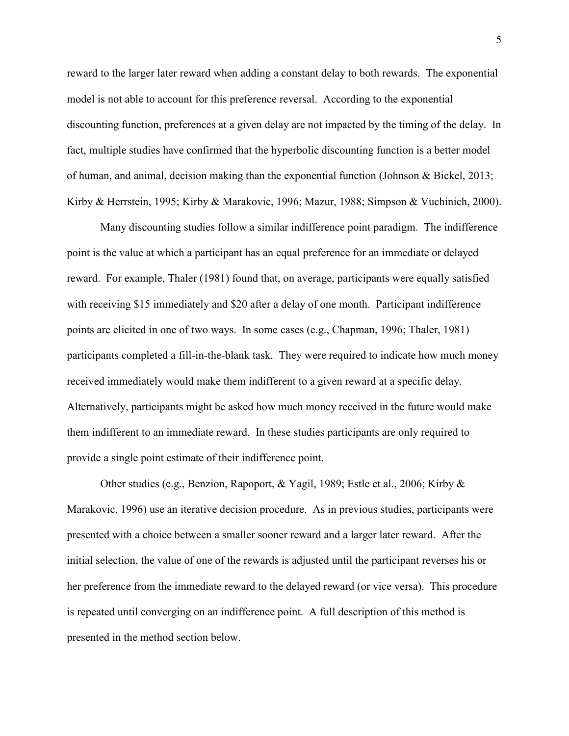reward to the larger later reward when adding a constant delay to both rewards. The exponential model is not able to account for this preference reversal. According to the exponential discounting function, preferences at a given delay are not impacted by the timing of the delay. In fact, multiple studies have confirmed that the hyperbolic discounting function is a better model of human, and animal, decision making than the exponential function (Johnson & Bickel, 2013; Kirby & Herrstein, 1995; Kirby & Marakovic, 1996; Mazur, 1988; Simpson & Vuchinich, 2000).

 Many discounting studies follow a similar indifference point paradigm. The indifference point is the value at which a participant has an equal preference for an immediate or delayed reward. For example, Thaler (1981) found that, on average, participants were equally satisfied with receiving \$15 immediately and \$20 after a delay of one month. Participant indifference points are elicited in one of two ways. In some cases (e.g., Chapman, 1996; Thaler, 1981) participants completed a fill-in-the-blank task. They were required to indicate how much money received immediately would make them indifferent to a given reward at a specific delay. Alternatively, participants might be asked how much money received in the future would make them indifferent to an immediate reward. In these studies participants are only required to provide a single point estimate of their indifference point.

Other studies (e.g., Benzion, Rapoport, & Yagil, 1989; Estle et al., 2006; Kirby & Marakovic, 1996) use an iterative decision procedure. As in previous studies, participants were presented with a choice between a smaller sooner reward and a larger later reward. After the initial selection, the value of one of the rewards is adjusted until the participant reverses his or her preference from the immediate reward to the delayed reward (or vice versa). This procedure is repeated until converging on an indifference point. A full description of this method is presented in the method section below.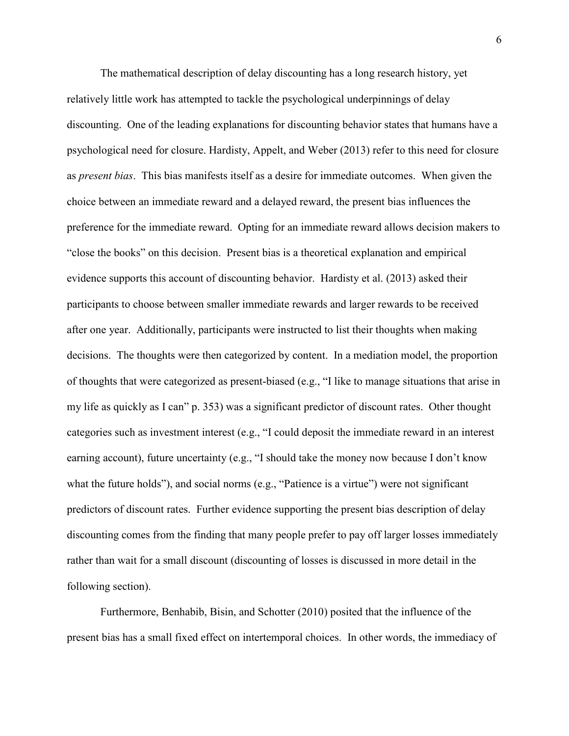The mathematical description of delay discounting has a long research history, yet relatively little work has attempted to tackle the psychological underpinnings of delay discounting. One of the leading explanations for discounting behavior states that humans have a psychological need for closure. Hardisty, Appelt, and Weber (2013) refer to this need for closure as *present bias*. This bias manifests itself as a desire for immediate outcomes. When given the choice between an immediate reward and a delayed reward, the present bias influences the preference for the immediate reward. Opting for an immediate reward allows decision makers to "close the books" on this decision. Present bias is a theoretical explanation and empirical evidence supports this account of discounting behavior. Hardisty et al. (2013) asked their participants to choose between smaller immediate rewards and larger rewards to be received after one year. Additionally, participants were instructed to list their thoughts when making decisions. The thoughts were then categorized by content. In a mediation model, the proportion of thoughts that were categorized as present-biased (e.g., "I like to manage situations that arise in my life as quickly as I can" p. 353) was a significant predictor of discount rates. Other thought categories such as investment interest (e.g., "I could deposit the immediate reward in an interest earning account), future uncertainty (e.g., "I should take the money now because I don't know what the future holds"), and social norms (e.g., "Patience is a virtue") were not significant predictors of discount rates. Further evidence supporting the present bias description of delay discounting comes from the finding that many people prefer to pay off larger losses immediately rather than wait for a small discount (discounting of losses is discussed in more detail in the following section).

 Furthermore, Benhabib, Bisin, and Schotter (2010) posited that the influence of the present bias has a small fixed effect on intertemporal choices. In other words, the immediacy of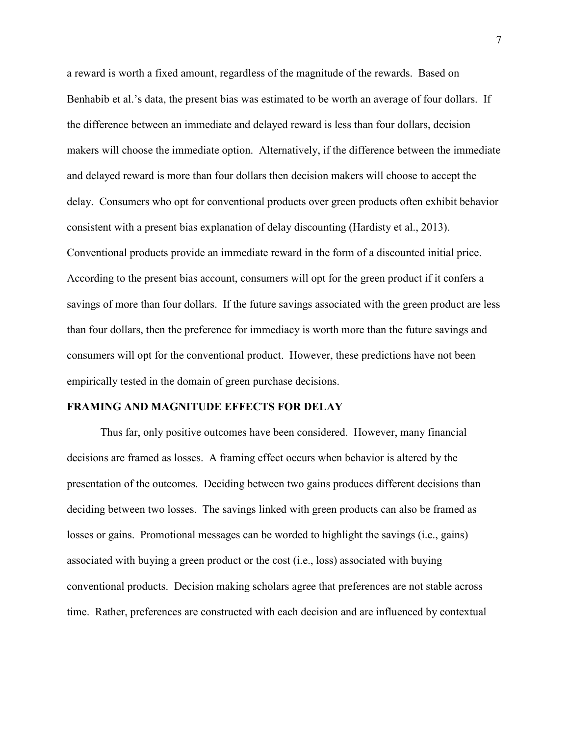a reward is worth a fixed amount, regardless of the magnitude of the rewards. Based on Benhabib et al.'s data, the present bias was estimated to be worth an average of four dollars. If the difference between an immediate and delayed reward is less than four dollars, decision makers will choose the immediate option. Alternatively, if the difference between the immediate and delayed reward is more than four dollars then decision makers will choose to accept the delay. Consumers who opt for conventional products over green products often exhibit behavior consistent with a present bias explanation of delay discounting (Hardisty et al., 2013). Conventional products provide an immediate reward in the form of a discounted initial price. According to the present bias account, consumers will opt for the green product if it confers a savings of more than four dollars. If the future savings associated with the green product are less than four dollars, then the preference for immediacy is worth more than the future savings and consumers will opt for the conventional product. However, these predictions have not been empirically tested in the domain of green purchase decisions.

## **FRAMING AND MAGNITUDE EFFECTS FOR DELAY**

Thus far, only positive outcomes have been considered. However, many financial decisions are framed as losses. A framing effect occurs when behavior is altered by the presentation of the outcomes. Deciding between two gains produces different decisions than deciding between two losses. The savings linked with green products can also be framed as losses or gains. Promotional messages can be worded to highlight the savings (i.e., gains) associated with buying a green product or the cost (i.e., loss) associated with buying conventional products. Decision making scholars agree that preferences are not stable across time. Rather, preferences are constructed with each decision and are influenced by contextual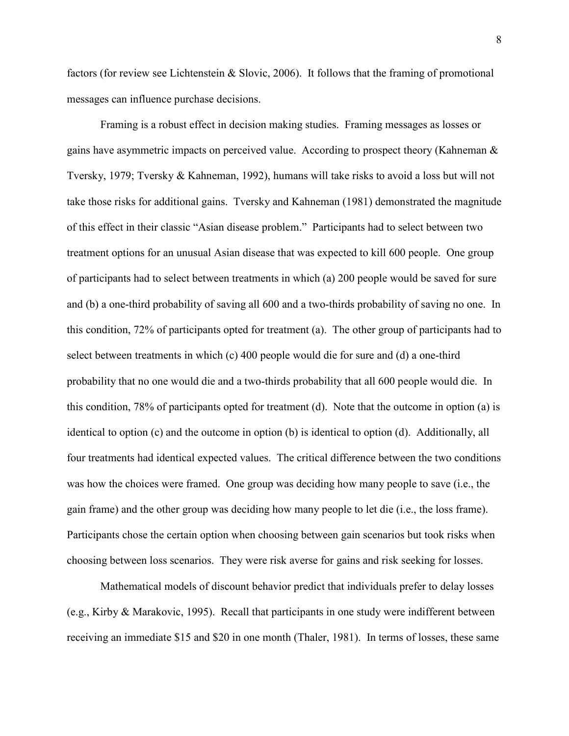factors (for review see Lichtenstein & Slovic, 2006). It follows that the framing of promotional messages can influence purchase decisions.

Framing is a robust effect in decision making studies. Framing messages as losses or gains have asymmetric impacts on perceived value. According to prospect theory (Kahneman & Tversky, 1979; Tversky & Kahneman, 1992), humans will take risks to avoid a loss but will not take those risks for additional gains. Tversky and Kahneman (1981) demonstrated the magnitude of this effect in their classic "Asian disease problem." Participants had to select between two treatment options for an unusual Asian disease that was expected to kill 600 people. One group of participants had to select between treatments in which (a) 200 people would be saved for sure and (b) a one-third probability of saving all 600 and a two-thirds probability of saving no one. In this condition, 72% of participants opted for treatment (a). The other group of participants had to select between treatments in which (c) 400 people would die for sure and (d) a one-third probability that no one would die and a two-thirds probability that all 600 people would die. In this condition, 78% of participants opted for treatment (d). Note that the outcome in option (a) is identical to option (c) and the outcome in option (b) is identical to option (d). Additionally, all four treatments had identical expected values. The critical difference between the two conditions was how the choices were framed. One group was deciding how many people to save (i.e., the gain frame) and the other group was deciding how many people to let die (i.e., the loss frame). Participants chose the certain option when choosing between gain scenarios but took risks when choosing between loss scenarios. They were risk averse for gains and risk seeking for losses.

Mathematical models of discount behavior predict that individuals prefer to delay losses (e.g., Kirby & Marakovic, 1995). Recall that participants in one study were indifferent between receiving an immediate \$15 and \$20 in one month (Thaler, 1981). In terms of losses, these same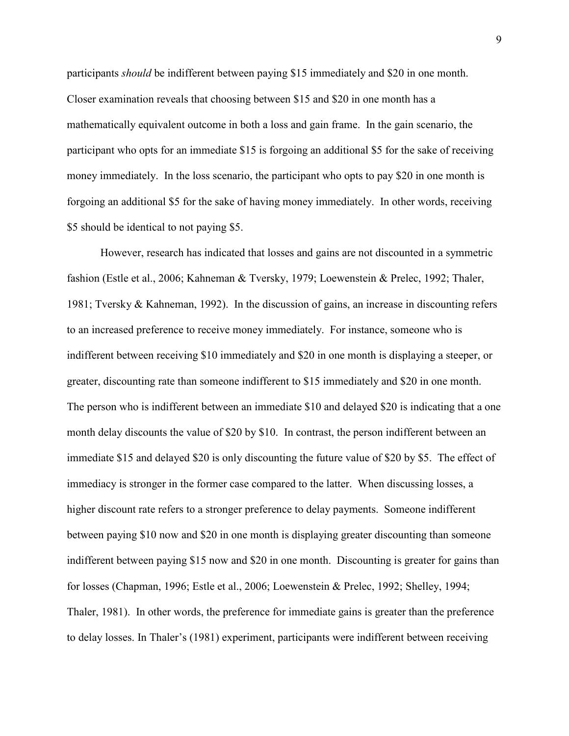participants *should* be indifferent between paying \$15 immediately and \$20 in one month. Closer examination reveals that choosing between \$15 and \$20 in one month has a mathematically equivalent outcome in both a loss and gain frame. In the gain scenario, the participant who opts for an immediate \$15 is forgoing an additional \$5 for the sake of receiving money immediately. In the loss scenario, the participant who opts to pay \$20 in one month is forgoing an additional \$5 for the sake of having money immediately. In other words, receiving \$5 should be identical to not paying \$5.

However, research has indicated that losses and gains are not discounted in a symmetric fashion (Estle et al., 2006; Kahneman & Tversky, 1979; Loewenstein & Prelec, 1992; Thaler, 1981; Tversky & Kahneman, 1992). In the discussion of gains, an increase in discounting refers to an increased preference to receive money immediately. For instance, someone who is indifferent between receiving \$10 immediately and \$20 in one month is displaying a steeper, or greater, discounting rate than someone indifferent to \$15 immediately and \$20 in one month. The person who is indifferent between an immediate \$10 and delayed \$20 is indicating that a one month delay discounts the value of \$20 by \$10. In contrast, the person indifferent between an immediate \$15 and delayed \$20 is only discounting the future value of \$20 by \$5. The effect of immediacy is stronger in the former case compared to the latter. When discussing losses, a higher discount rate refers to a stronger preference to delay payments. Someone indifferent between paying \$10 now and \$20 in one month is displaying greater discounting than someone indifferent between paying \$15 now and \$20 in one month. Discounting is greater for gains than for losses (Chapman, 1996; Estle et al., 2006; Loewenstein & Prelec, 1992; Shelley, 1994; Thaler, 1981). In other words, the preference for immediate gains is greater than the preference to delay losses. In Thaler's (1981) experiment, participants were indifferent between receiving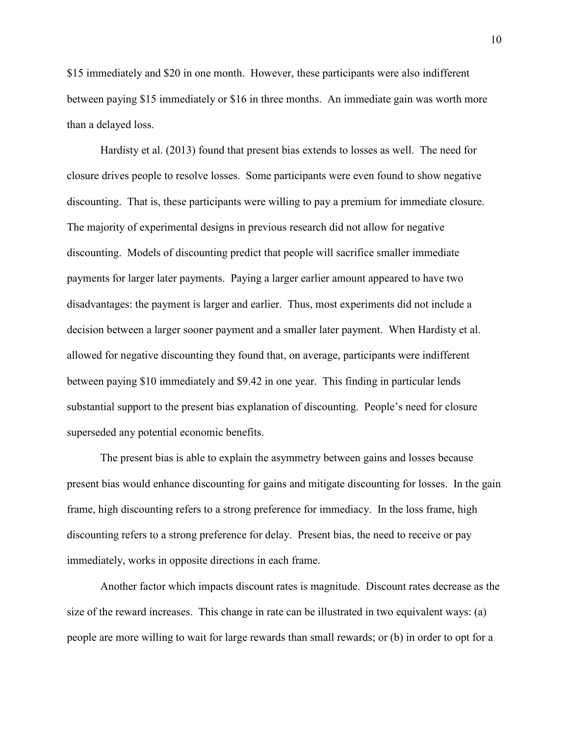\$15 immediately and \$20 in one month. However, these participants were also indifferent between paying \$15 immediately or \$16 in three months. An immediate gain was worth more than a delayed loss.

Hardisty et al. (2013) found that present bias extends to losses as well. The need for closure drives people to resolve losses. Some participants were even found to show negative discounting. That is, these participants were willing to pay a premium for immediate closure. The majority of experimental designs in previous research did not allow for negative discounting. Models of discounting predict that people will sacrifice smaller immediate payments for larger later payments. Paying a larger earlier amount appeared to have two disadvantages: the payment is larger and earlier. Thus, most experiments did not include a decision between a larger sooner payment and a smaller later payment. When Hardisty et al. allowed for negative discounting they found that, on average, participants were indifferent between paying \$10 immediately and \$9.42 in one year. This finding in particular lends substantial support to the present bias explanation of discounting. People's need for closure superseded any potential economic benefits.

The present bias is able to explain the asymmetry between gains and losses because present bias would enhance discounting for gains and mitigate discounting for losses. In the gain frame, high discounting refers to a strong preference for immediacy. In the loss frame, high discounting refers to a strong preference for delay. Present bias, the need to receive or pay immediately, works in opposite directions in each frame.

Another factor which impacts discount rates is magnitude. Discount rates decrease as the size of the reward increases. This change in rate can be illustrated in two equivalent ways: (a) people are more willing to wait for large rewards than small rewards; or (b) in order to opt for a

10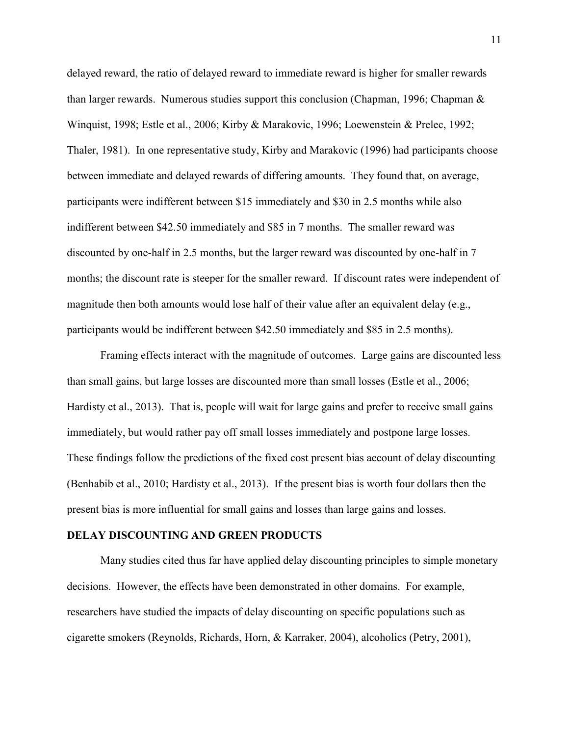delayed reward, the ratio of delayed reward to immediate reward is higher for smaller rewards than larger rewards. Numerous studies support this conclusion (Chapman, 1996; Chapman & Winquist, 1998; Estle et al., 2006; Kirby & Marakovic, 1996; Loewenstein & Prelec, 1992; Thaler, 1981). In one representative study, Kirby and Marakovic (1996) had participants choose between immediate and delayed rewards of differing amounts. They found that, on average, participants were indifferent between \$15 immediately and \$30 in 2.5 months while also indifferent between \$42.50 immediately and \$85 in 7 months. The smaller reward was discounted by one-half in 2.5 months, but the larger reward was discounted by one-half in 7 months; the discount rate is steeper for the smaller reward. If discount rates were independent of magnitude then both amounts would lose half of their value after an equivalent delay (e.g., participants would be indifferent between \$42.50 immediately and \$85 in 2.5 months).

Framing effects interact with the magnitude of outcomes. Large gains are discounted less than small gains, but large losses are discounted more than small losses (Estle et al., 2006; Hardisty et al., 2013). That is, people will wait for large gains and prefer to receive small gains immediately, but would rather pay off small losses immediately and postpone large losses. These findings follow the predictions of the fixed cost present bias account of delay discounting (Benhabib et al., 2010; Hardisty et al., 2013). If the present bias is worth four dollars then the present bias is more influential for small gains and losses than large gains and losses.

#### **DELAY DISCOUNTING AND GREEN PRODUCTS**

Many studies cited thus far have applied delay discounting principles to simple monetary decisions. However, the effects have been demonstrated in other domains. For example, researchers have studied the impacts of delay discounting on specific populations such as cigarette smokers (Reynolds, Richards, Horn, & Karraker, 2004), alcoholics (Petry, 2001),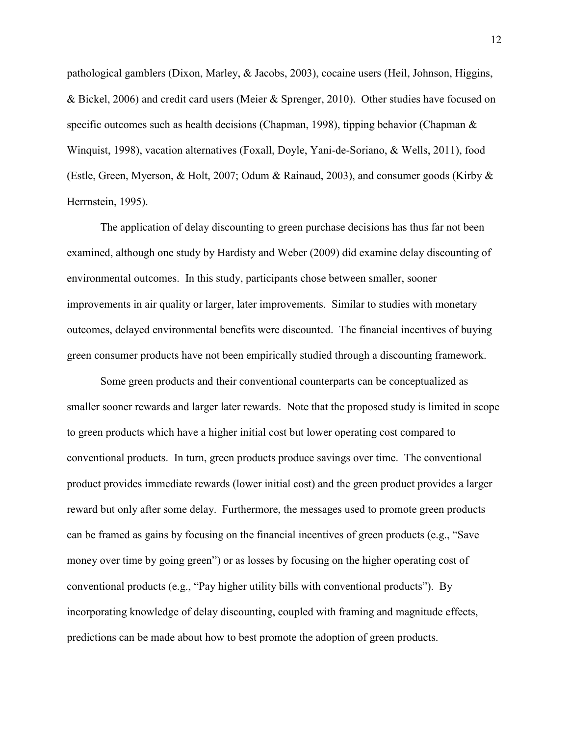pathological gamblers (Dixon, Marley, & Jacobs, 2003), cocaine users (Heil, Johnson, Higgins, & Bickel, 2006) and credit card users (Meier & Sprenger, 2010). Other studies have focused on specific outcomes such as health decisions (Chapman, 1998), tipping behavior (Chapman & Winquist, 1998), vacation alternatives (Foxall, Doyle, Yani-de-Soriano, & Wells, 2011), food (Estle, Green, Myerson, & Holt, 2007; Odum & Rainaud, 2003), and consumer goods (Kirby & Herrnstein, 1995).

 The application of delay discounting to green purchase decisions has thus far not been examined, although one study by Hardisty and Weber (2009) did examine delay discounting of environmental outcomes. In this study, participants chose between smaller, sooner improvements in air quality or larger, later improvements. Similar to studies with monetary outcomes, delayed environmental benefits were discounted. The financial incentives of buying green consumer products have not been empirically studied through a discounting framework.

Some green products and their conventional counterparts can be conceptualized as smaller sooner rewards and larger later rewards. Note that the proposed study is limited in scope to green products which have a higher initial cost but lower operating cost compared to conventional products. In turn, green products produce savings over time. The conventional product provides immediate rewards (lower initial cost) and the green product provides a larger reward but only after some delay. Furthermore, the messages used to promote green products can be framed as gains by focusing on the financial incentives of green products (e.g., "Save money over time by going green") or as losses by focusing on the higher operating cost of conventional products (e.g., "Pay higher utility bills with conventional products"). By incorporating knowledge of delay discounting, coupled with framing and magnitude effects, predictions can be made about how to best promote the adoption of green products.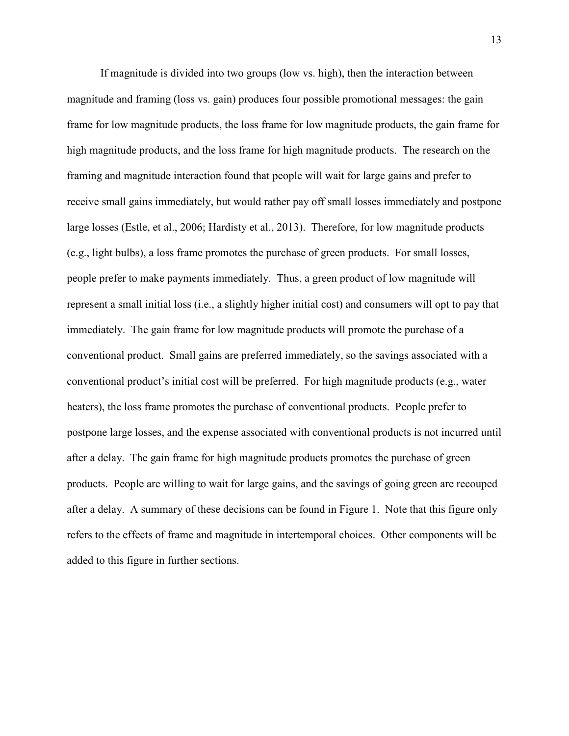If magnitude is divided into two groups (low vs. high), then the interaction between magnitude and framing (loss vs. gain) produces four possible promotional messages: the gain frame for low magnitude products, the loss frame for low magnitude products, the gain frame for high magnitude products, and the loss frame for high magnitude products. The research on the framing and magnitude interaction found that people will wait for large gains and prefer to receive small gains immediately, but would rather pay off small losses immediately and postpone large losses (Estle, et al., 2006; Hardisty et al., 2013). Therefore, for low magnitude products (e.g., light bulbs), a loss frame promotes the purchase of green products. For small losses, people prefer to make payments immediately. Thus, a green product of low magnitude will represent a small initial loss (i.e., a slightly higher initial cost) and consumers will opt to pay that immediately. The gain frame for low magnitude products will promote the purchase of a conventional product. Small gains are preferred immediately, so the savings associated with a conventional product's initial cost will be preferred. For high magnitude products (e.g., water heaters), the loss frame promotes the purchase of conventional products. People prefer to postpone large losses, and the expense associated with conventional products is not incurred until after a delay. The gain frame for high magnitude products promotes the purchase of green products. People are willing to wait for large gains, and the savings of going green are recouped after a delay. A summary of these decisions can be found in Figure 1. Note that this figure only refers to the effects of frame and magnitude in intertemporal choices. Other components will be added to this figure in further sections.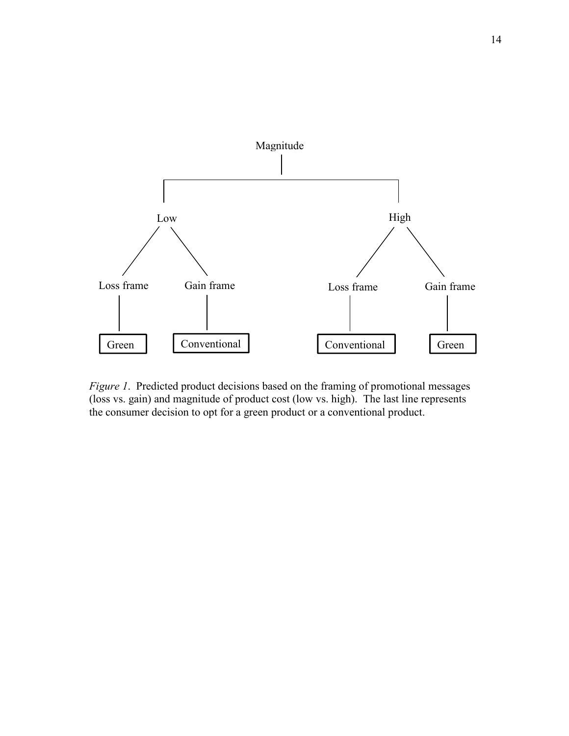

*Figure 1*. Predicted product decisions based on the framing of promotional messages (loss vs. gain) and magnitude of product cost (low vs. high). The last line represents the consumer decision to opt for a green product or a conventional product.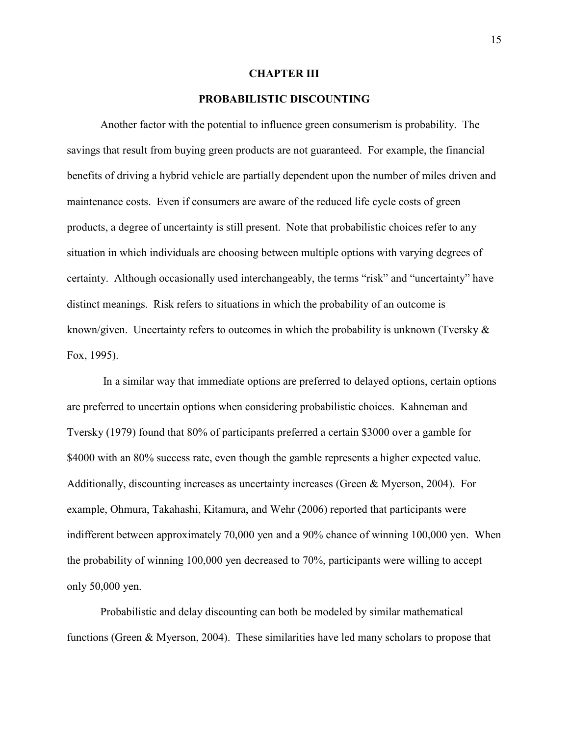#### **CHAPTER III**

## **PROBABILISTIC DISCOUNTING**

Another factor with the potential to influence green consumerism is probability. The savings that result from buying green products are not guaranteed. For example, the financial benefits of driving a hybrid vehicle are partially dependent upon the number of miles driven and maintenance costs. Even if consumers are aware of the reduced life cycle costs of green products, a degree of uncertainty is still present. Note that probabilistic choices refer to any situation in which individuals are choosing between multiple options with varying degrees of certainty. Although occasionally used interchangeably, the terms "risk" and "uncertainty" have distinct meanings. Risk refers to situations in which the probability of an outcome is known/given. Uncertainty refers to outcomes in which the probability is unknown (Tversky  $\&$ Fox, 1995).

 In a similar way that immediate options are preferred to delayed options, certain options are preferred to uncertain options when considering probabilistic choices. Kahneman and Tversky (1979) found that 80% of participants preferred a certain \$3000 over a gamble for \$4000 with an 80% success rate, even though the gamble represents a higher expected value. Additionally, discounting increases as uncertainty increases (Green & Myerson, 2004). For example, Ohmura, Takahashi, Kitamura, and Wehr (2006) reported that participants were indifferent between approximately 70,000 yen and a 90% chance of winning 100,000 yen. When the probability of winning 100,000 yen decreased to 70%, participants were willing to accept only 50,000 yen.

 Probabilistic and delay discounting can both be modeled by similar mathematical functions (Green & Myerson, 2004). These similarities have led many scholars to propose that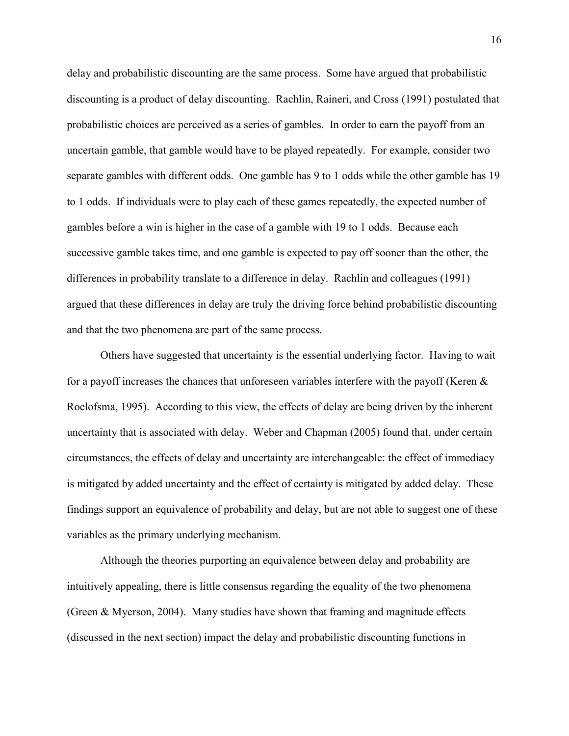delay and probabilistic discounting are the same process. Some have argued that probabilistic discounting is a product of delay discounting. Rachlin, Raineri, and Cross (1991) postulated that probabilistic choices are perceived as a series of gambles. In order to earn the payoff from an uncertain gamble, that gamble would have to be played repeatedly. For example, consider two separate gambles with different odds. One gamble has 9 to 1 odds while the other gamble has 19 to 1 odds. If individuals were to play each of these games repeatedly, the expected number of gambles before a win is higher in the case of a gamble with 19 to 1 odds. Because each successive gamble takes time, and one gamble is expected to pay off sooner than the other, the differences in probability translate to a difference in delay. Rachlin and colleagues (1991) argued that these differences in delay are truly the driving force behind probabilistic discounting and that the two phenomena are part of the same process.

Others have suggested that uncertainty is the essential underlying factor. Having to wait for a payoff increases the chances that unforeseen variables interfere with the payoff (Keren  $\&$ Roelofsma, 1995). According to this view, the effects of delay are being driven by the inherent uncertainty that is associated with delay. Weber and Chapman (2005) found that, under certain circumstances, the effects of delay and uncertainty are interchangeable: the effect of immediacy is mitigated by added uncertainty and the effect of certainty is mitigated by added delay. These findings support an equivalence of probability and delay, but are not able to suggest one of these variables as the primary underlying mechanism.

Although the theories purporting an equivalence between delay and probability are intuitively appealing, there is little consensus regarding the equality of the two phenomena (Green & Myerson, 2004). Many studies have shown that framing and magnitude effects (discussed in the next section) impact the delay and probabilistic discounting functions in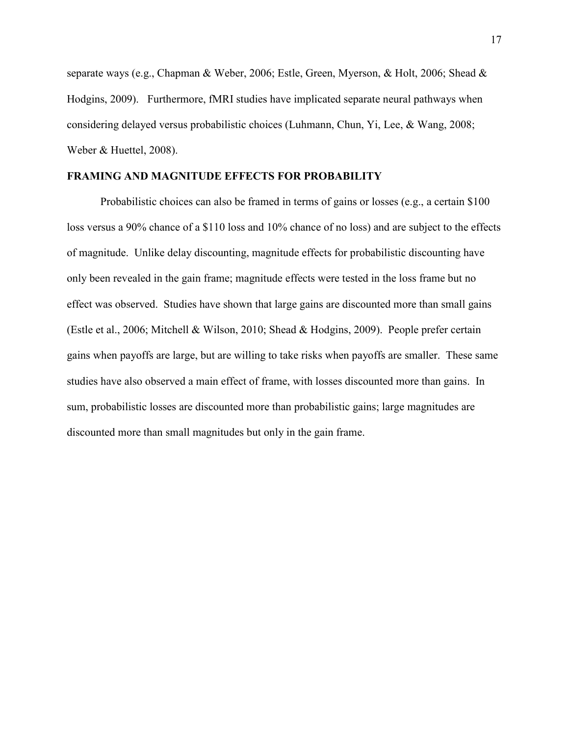separate ways (e.g., Chapman & Weber, 2006; Estle, Green, Myerson, & Holt, 2006; Shead & Hodgins, 2009). Furthermore, fMRI studies have implicated separate neural pathways when considering delayed versus probabilistic choices (Luhmann, Chun, Yi, Lee, & Wang, 2008; Weber & Huettel, 2008).

## **FRAMING AND MAGNITUDE EFFECTS FOR PROBABILITY**

Probabilistic choices can also be framed in terms of gains or losses (e.g., a certain \$100 loss versus a 90% chance of a \$110 loss and 10% chance of no loss) and are subject to the effects of magnitude. Unlike delay discounting, magnitude effects for probabilistic discounting have only been revealed in the gain frame; magnitude effects were tested in the loss frame but no effect was observed. Studies have shown that large gains are discounted more than small gains (Estle et al., 2006; Mitchell & Wilson, 2010; Shead & Hodgins, 2009). People prefer certain gains when payoffs are large, but are willing to take risks when payoffs are smaller. These same studies have also observed a main effect of frame, with losses discounted more than gains. In sum, probabilistic losses are discounted more than probabilistic gains; large magnitudes are discounted more than small magnitudes but only in the gain frame.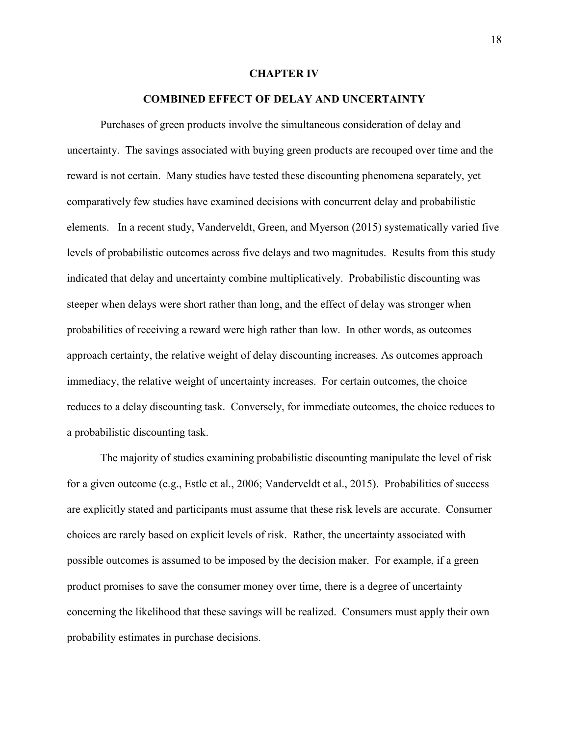#### **CHAPTER IV**

### **COMBINED EFFECT OF DELAY AND UNCERTAINTY**

Purchases of green products involve the simultaneous consideration of delay and uncertainty. The savings associated with buying green products are recouped over time and the reward is not certain. Many studies have tested these discounting phenomena separately, yet comparatively few studies have examined decisions with concurrent delay and probabilistic elements. In a recent study, Vanderveldt, Green, and Myerson (2015) systematically varied five levels of probabilistic outcomes across five delays and two magnitudes. Results from this study indicated that delay and uncertainty combine multiplicatively. Probabilistic discounting was steeper when delays were short rather than long, and the effect of delay was stronger when probabilities of receiving a reward were high rather than low. In other words, as outcomes approach certainty, the relative weight of delay discounting increases. As outcomes approach immediacy, the relative weight of uncertainty increases. For certain outcomes, the choice reduces to a delay discounting task. Conversely, for immediate outcomes, the choice reduces to a probabilistic discounting task.

The majority of studies examining probabilistic discounting manipulate the level of risk for a given outcome (e.g., Estle et al., 2006; Vanderveldt et al., 2015). Probabilities of success are explicitly stated and participants must assume that these risk levels are accurate. Consumer choices are rarely based on explicit levels of risk. Rather, the uncertainty associated with possible outcomes is assumed to be imposed by the decision maker. For example, if a green product promises to save the consumer money over time, there is a degree of uncertainty concerning the likelihood that these savings will be realized. Consumers must apply their own probability estimates in purchase decisions.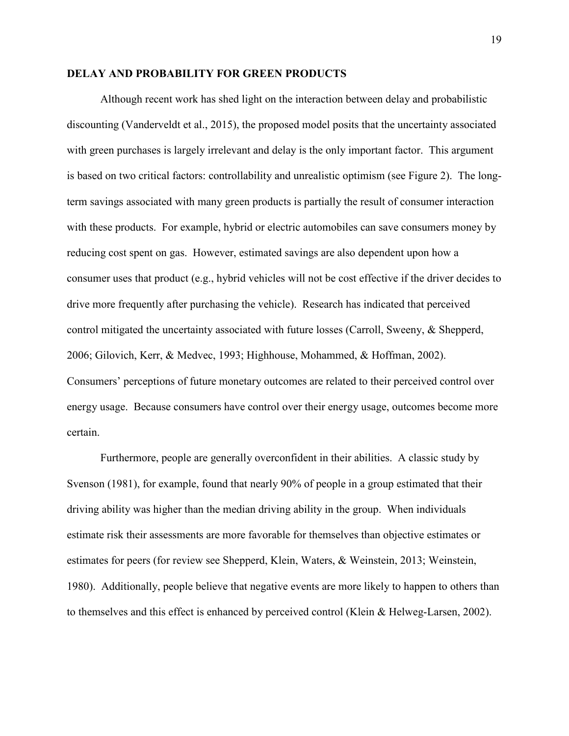## **DELAY AND PROBABILITY FOR GREEN PRODUCTS**

Although recent work has shed light on the interaction between delay and probabilistic discounting (Vanderveldt et al., 2015), the proposed model posits that the uncertainty associated with green purchases is largely irrelevant and delay is the only important factor. This argument is based on two critical factors: controllability and unrealistic optimism (see Figure 2). The longterm savings associated with many green products is partially the result of consumer interaction with these products. For example, hybrid or electric automobiles can save consumers money by reducing cost spent on gas. However, estimated savings are also dependent upon how a consumer uses that product (e.g., hybrid vehicles will not be cost effective if the driver decides to drive more frequently after purchasing the vehicle). Research has indicated that perceived control mitigated the uncertainty associated with future losses (Carroll, Sweeny, & Shepperd, 2006; Gilovich, Kerr, & Medvec, 1993; Highhouse, Mohammed, & Hoffman, 2002). Consumers' perceptions of future monetary outcomes are related to their perceived control over energy usage. Because consumers have control over their energy usage, outcomes become more certain.

Furthermore, people are generally overconfident in their abilities. A classic study by Svenson (1981), for example, found that nearly 90% of people in a group estimated that their driving ability was higher than the median driving ability in the group. When individuals estimate risk their assessments are more favorable for themselves than objective estimates or estimates for peers (for review see Shepperd, Klein, Waters, & Weinstein, 2013; Weinstein, 1980). Additionally, people believe that negative events are more likely to happen to others than to themselves and this effect is enhanced by perceived control (Klein & Helweg-Larsen, 2002).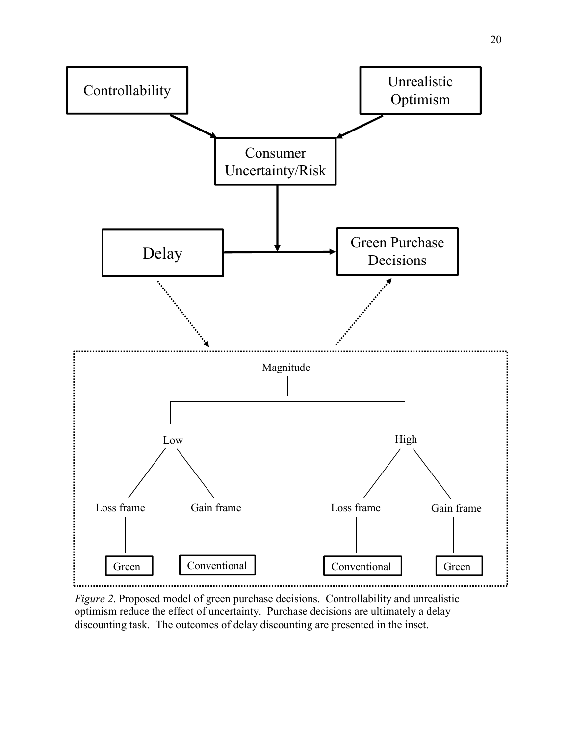

*Figure 2*. Proposed model of green purchase decisions. Controllability and unrealistic optimism reduce the effect of uncertainty. Purchase decisions are ultimately a delay discounting task. The outcomes of delay discounting are presented in the inset.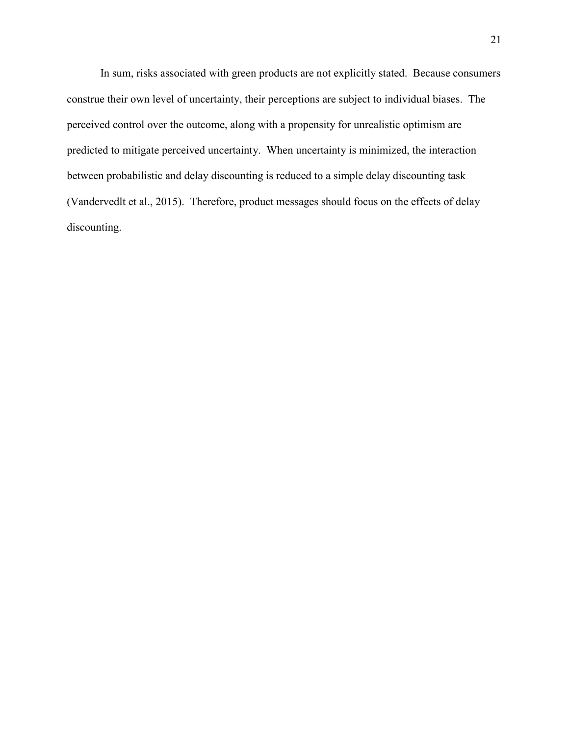In sum, risks associated with green products are not explicitly stated. Because consumers construe their own level of uncertainty, their perceptions are subject to individual biases. The perceived control over the outcome, along with a propensity for unrealistic optimism are predicted to mitigate perceived uncertainty. When uncertainty is minimized, the interaction between probabilistic and delay discounting is reduced to a simple delay discounting task (Vandervedlt et al., 2015). Therefore, product messages should focus on the effects of delay discounting.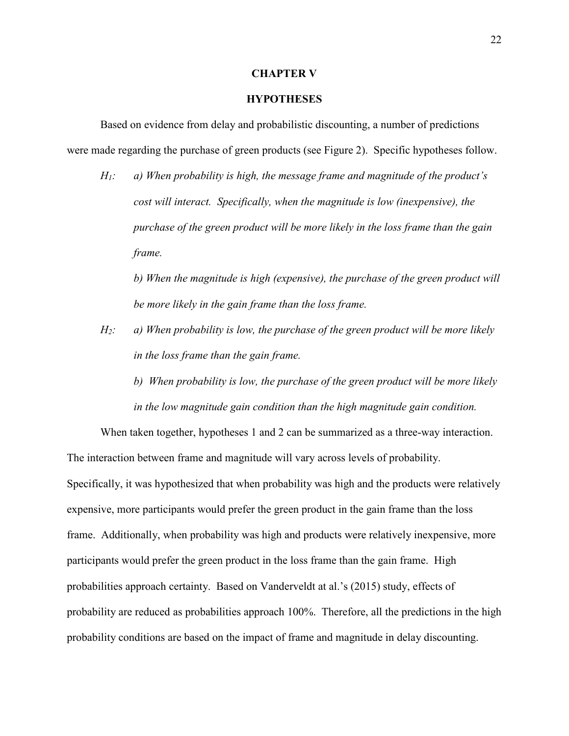#### **CHAPTER V**

## **HYPOTHESES**

Based on evidence from delay and probabilistic discounting, a number of predictions were made regarding the purchase of green products (see Figure 2). Specific hypotheses follow.

*H1: a) When probability is high, the message frame and magnitude of the product's cost will interact. Specifically, when the magnitude is low (inexpensive), the purchase of the green product will be more likely in the loss frame than the gain frame.* 

*b) When the magnitude is high (expensive), the purchase of the green product will be more likely in the gain frame than the loss frame.* 

- *H2: a) When probability is low, the purchase of the green product will be more likely in the loss frame than the gain frame.*
	- *b) When probability is low, the purchase of the green product will be more likely in the low magnitude gain condition than the high magnitude gain condition.*

When taken together, hypotheses 1 and 2 can be summarized as a three-way interaction. The interaction between frame and magnitude will vary across levels of probability. Specifically, it was hypothesized that when probability was high and the products were relatively expensive, more participants would prefer the green product in the gain frame than the loss frame. Additionally, when probability was high and products were relatively inexpensive, more participants would prefer the green product in the loss frame than the gain frame. High probabilities approach certainty. Based on Vanderveldt at al.'s (2015) study, effects of probability are reduced as probabilities approach 100%. Therefore, all the predictions in the high probability conditions are based on the impact of frame and magnitude in delay discounting.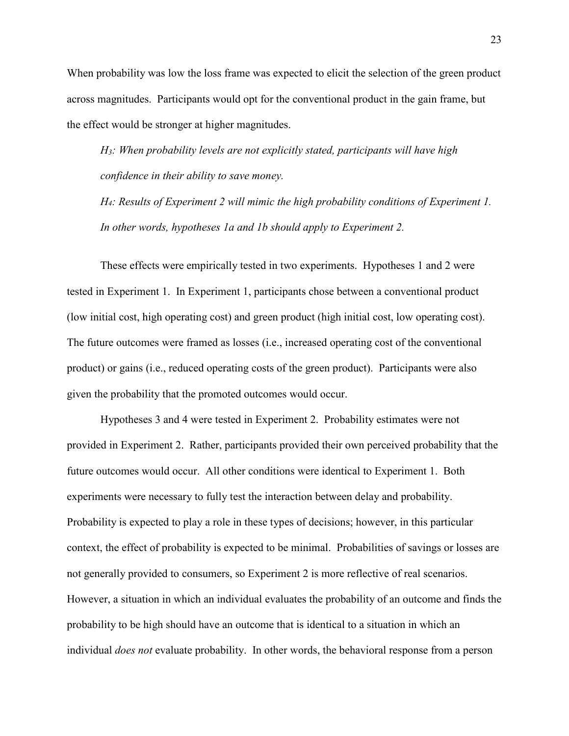When probability was low the loss frame was expected to elicit the selection of the green product across magnitudes. Participants would opt for the conventional product in the gain frame, but the effect would be stronger at higher magnitudes.

*H3: When probability levels are not explicitly stated, participants will have high confidence in their ability to save money.* 

*H4: Results of Experiment 2 will mimic the high probability conditions of Experiment 1. In other words, hypotheses 1a and 1b should apply to Experiment 2.* 

These effects were empirically tested in two experiments. Hypotheses 1 and 2 were tested in Experiment 1. In Experiment 1, participants chose between a conventional product (low initial cost, high operating cost) and green product (high initial cost, low operating cost). The future outcomes were framed as losses (i.e., increased operating cost of the conventional product) or gains (i.e., reduced operating costs of the green product). Participants were also given the probability that the promoted outcomes would occur.

Hypotheses 3 and 4 were tested in Experiment 2. Probability estimates were not provided in Experiment 2. Rather, participants provided their own perceived probability that the future outcomes would occur. All other conditions were identical to Experiment 1. Both experiments were necessary to fully test the interaction between delay and probability. Probability is expected to play a role in these types of decisions; however, in this particular context, the effect of probability is expected to be minimal. Probabilities of savings or losses are not generally provided to consumers, so Experiment 2 is more reflective of real scenarios. However, a situation in which an individual evaluates the probability of an outcome and finds the probability to be high should have an outcome that is identical to a situation in which an individual *does not* evaluate probability. In other words, the behavioral response from a person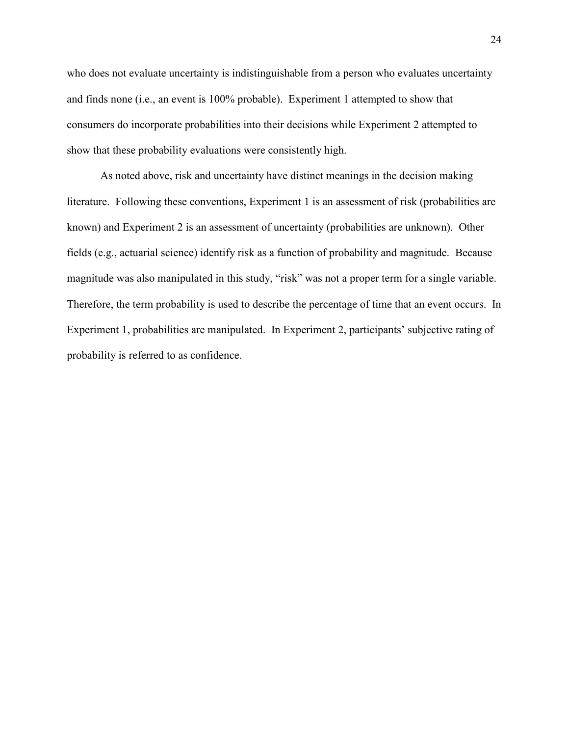who does not evaluate uncertainty is indistinguishable from a person who evaluates uncertainty and finds none (i.e., an event is 100% probable). Experiment 1 attempted to show that consumers do incorporate probabilities into their decisions while Experiment 2 attempted to show that these probability evaluations were consistently high.

As noted above, risk and uncertainty have distinct meanings in the decision making literature. Following these conventions, Experiment 1 is an assessment of risk (probabilities are known) and Experiment 2 is an assessment of uncertainty (probabilities are unknown). Other fields (e.g., actuarial science) identify risk as a function of probability and magnitude. Because magnitude was also manipulated in this study, "risk" was not a proper term for a single variable. Therefore, the term probability is used to describe the percentage of time that an event occurs. In Experiment 1, probabilities are manipulated. In Experiment 2, participants' subjective rating of probability is referred to as confidence.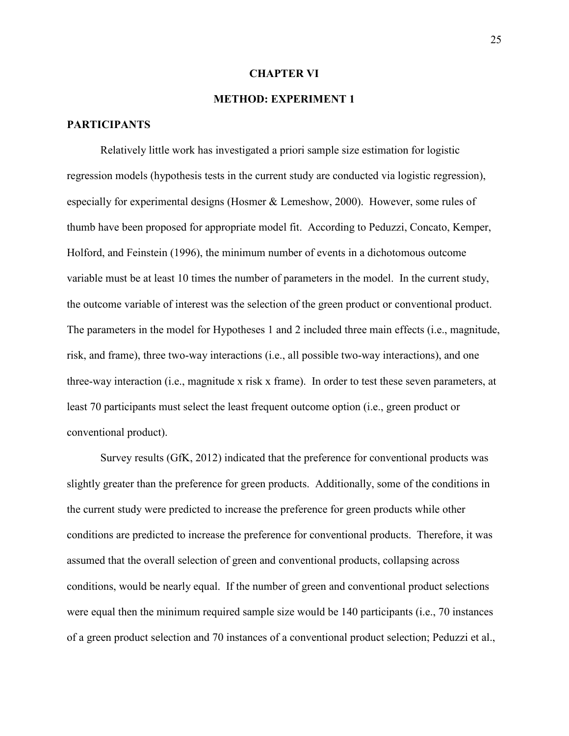#### **CHAPTER VI**

## **METHOD: EXPERIMENT 1**

## **PARTICIPANTS**

Relatively little work has investigated a priori sample size estimation for logistic regression models (hypothesis tests in the current study are conducted via logistic regression), especially for experimental designs (Hosmer & Lemeshow, 2000). However, some rules of thumb have been proposed for appropriate model fit. According to Peduzzi, Concato, Kemper, Holford, and Feinstein (1996), the minimum number of events in a dichotomous outcome variable must be at least 10 times the number of parameters in the model. In the current study, the outcome variable of interest was the selection of the green product or conventional product. The parameters in the model for Hypotheses 1 and 2 included three main effects (i.e., magnitude, risk, and frame), three two-way interactions (i.e., all possible two-way interactions), and one three-way interaction (i.e., magnitude x risk x frame). In order to test these seven parameters, at least 70 participants must select the least frequent outcome option (i.e., green product or conventional product).

Survey results (GfK, 2012) indicated that the preference for conventional products was slightly greater than the preference for green products. Additionally, some of the conditions in the current study were predicted to increase the preference for green products while other conditions are predicted to increase the preference for conventional products. Therefore, it was assumed that the overall selection of green and conventional products, collapsing across conditions, would be nearly equal. If the number of green and conventional product selections were equal then the minimum required sample size would be 140 participants (i.e., 70 instances of a green product selection and 70 instances of a conventional product selection; Peduzzi et al.,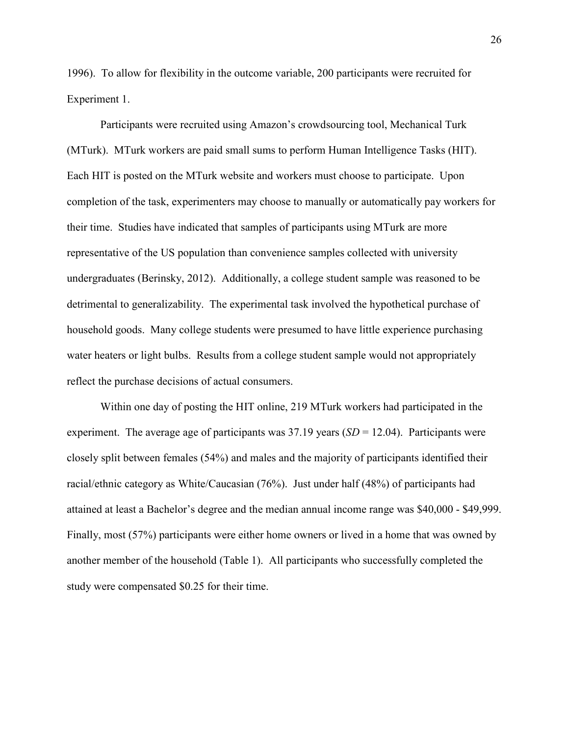1996). To allow for flexibility in the outcome variable, 200 participants were recruited for Experiment 1.

Participants were recruited using Amazon's crowdsourcing tool, Mechanical Turk (MTurk). MTurk workers are paid small sums to perform Human Intelligence Tasks (HIT). Each HIT is posted on the MTurk website and workers must choose to participate. Upon completion of the task, experimenters may choose to manually or automatically pay workers for their time. Studies have indicated that samples of participants using MTurk are more representative of the US population than convenience samples collected with university undergraduates (Berinsky, 2012). Additionally, a college student sample was reasoned to be detrimental to generalizability. The experimental task involved the hypothetical purchase of household goods. Many college students were presumed to have little experience purchasing water heaters or light bulbs. Results from a college student sample would not appropriately reflect the purchase decisions of actual consumers.

Within one day of posting the HIT online, 219 MTurk workers had participated in the experiment. The average age of participants was 37.19 years (*SD* = 12.04). Participants were closely split between females (54%) and males and the majority of participants identified their racial/ethnic category as White/Caucasian (76%). Just under half (48%) of participants had attained at least a Bachelor's degree and the median annual income range was \$40,000 - \$49,999. Finally, most (57%) participants were either home owners or lived in a home that was owned by another member of the household (Table 1). All participants who successfully completed the study were compensated \$0.25 for their time.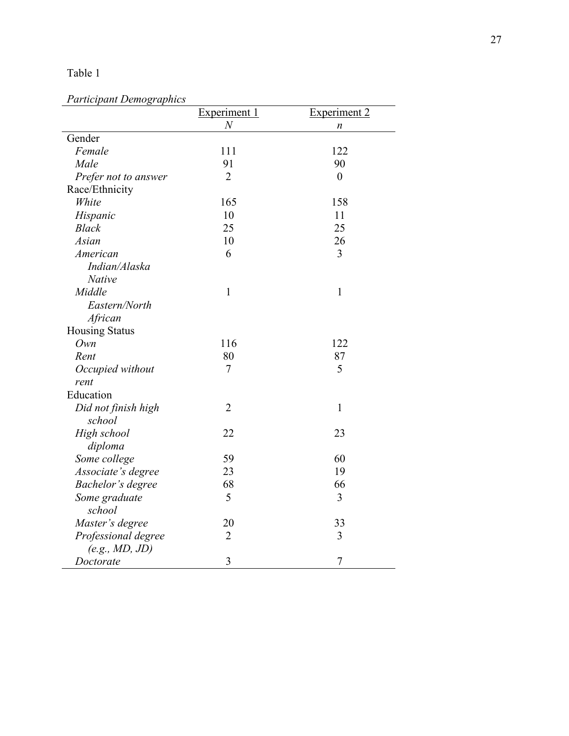## Table 1

## *Participant Demographics*

|                       | Experiment 1   | <b>Experiment 2</b> |
|-----------------------|----------------|---------------------|
|                       | $\,N$          | n                   |
| Gender                |                |                     |
| Female                | 111            | 122                 |
| Male                  | 91             | 90                  |
| Prefer not to answer  | $\overline{2}$ | $\boldsymbol{0}$    |
| Race/Ethnicity        |                |                     |
| White                 | 165            | 158                 |
| Hispanic              | 10             | 11                  |
| <b>Black</b>          | 25             | 25                  |
| Asian                 | 10             | 26                  |
| American              | 6              | 3                   |
| Indian/Alaska         |                |                     |
| Native                |                |                     |
| Middle                | $\mathbf{1}$   | $\mathbf{1}$        |
| Eastern/North         |                |                     |
| African               |                |                     |
| <b>Housing Status</b> |                |                     |
| Own                   | 116            | 122                 |
| Rent                  | 80             | 87                  |
| Occupied without      | $\tau$         | 5                   |
| rent                  |                |                     |
| Education             |                |                     |
| Did not finish high   | $\overline{2}$ | $\mathbf{1}$        |
| school                |                |                     |
| High school           | 22             | 23                  |
| diploma               |                |                     |
| Some college          | 59             | 60                  |
| Associate's degree    | 23             | 19                  |
| Bachelor's degree     | 68             | 66                  |
| Some graduate         | 5              | 3                   |
| school                |                |                     |
| Master's degree       | 20             | 33                  |
| Professional degree   | $\overline{2}$ | 3                   |
| (e.g., MD, JD)        |                |                     |
| Doctorate             | 3              | 7                   |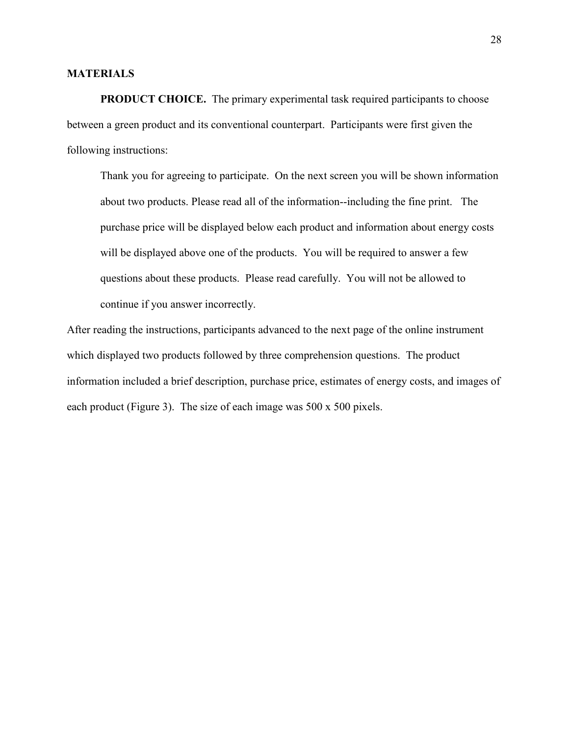#### **MATERIALS**

**PRODUCT CHOICE.** The primary experimental task required participants to choose between a green product and its conventional counterpart. Participants were first given the following instructions:

Thank you for agreeing to participate. On the next screen you will be shown information about two products. Please read all of the information--including the fine print. The purchase price will be displayed below each product and information about energy costs will be displayed above one of the products. You will be required to answer a few questions about these products. Please read carefully. You will not be allowed to continue if you answer incorrectly.

After reading the instructions, participants advanced to the next page of the online instrument which displayed two products followed by three comprehension questions. The product information included a brief description, purchase price, estimates of energy costs, and images of each product (Figure 3). The size of each image was 500 x 500 pixels.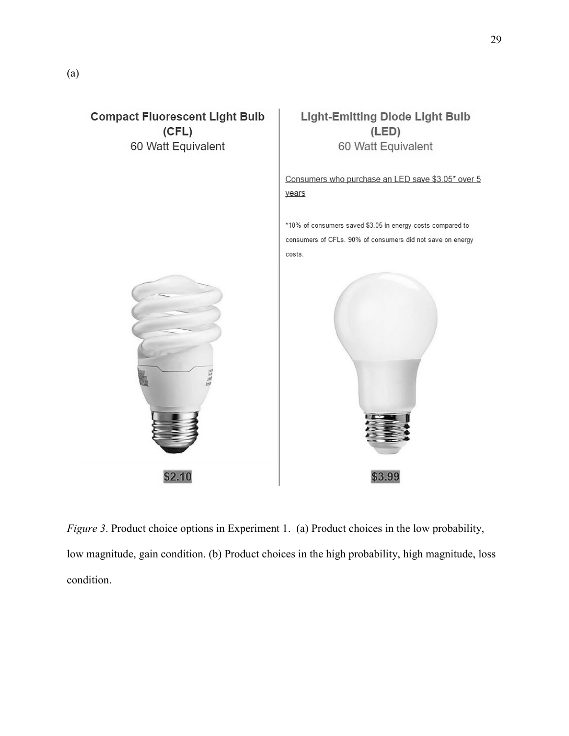

*Figure 3*. Product choice options in Experiment 1. (a) Product choices in the low probability, low magnitude, gain condition. (b) Product choices in the high probability, high magnitude, loss condition.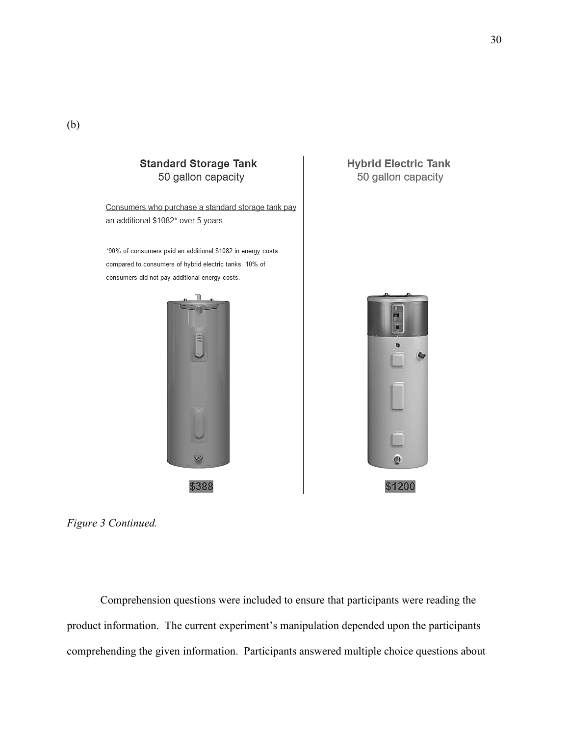

**Hybrid Electric Tank** 50 gallon capacity



*Figure 3 Continued.* 

Comprehension questions were included to ensure that participants were reading the product information. The current experiment's manipulation depended upon the participants comprehending the given information. Participants answered multiple choice questions about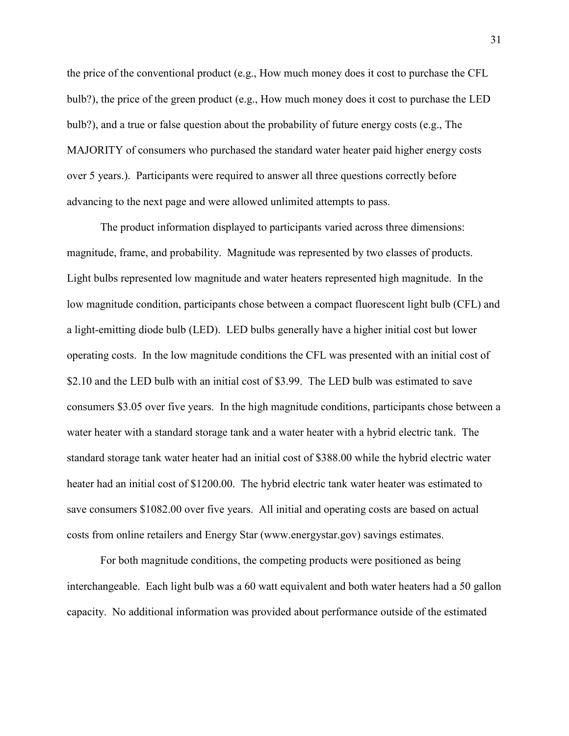the price of the conventional product (e.g., How much money does it cost to purchase the CFL bulb?), the price of the green product (e.g., How much money does it cost to purchase the LED bulb?), and a true or false question about the probability of future energy costs (e.g., The MAJORITY of consumers who purchased the standard water heater paid higher energy costs over 5 years.). Participants were required to answer all three questions correctly before advancing to the next page and were allowed unlimited attempts to pass.

The product information displayed to participants varied across three dimensions: magnitude, frame, and probability. Magnitude was represented by two classes of products. Light bulbs represented low magnitude and water heaters represented high magnitude. In the low magnitude condition, participants chose between a compact fluorescent light bulb (CFL) and a light-emitting diode bulb (LED). LED bulbs generally have a higher initial cost but lower operating costs. In the low magnitude conditions the CFL was presented with an initial cost of \$2.10 and the LED bulb with an initial cost of \$3.99. The LED bulb was estimated to save consumers \$3.05 over five years. In the high magnitude conditions, participants chose between a water heater with a standard storage tank and a water heater with a hybrid electric tank. The standard storage tank water heater had an initial cost of \$388.00 while the hybrid electric water heater had an initial cost of \$1200.00. The hybrid electric tank water heater was estimated to save consumers \$1082.00 over five years. All initial and operating costs are based on actual costs from online retailers and Energy Star (www.energystar.gov) savings estimates.

For both magnitude conditions, the competing products were positioned as being interchangeable. Each light bulb was a 60 watt equivalent and both water heaters had a 50 gallon capacity. No additional information was provided about performance outside of the estimated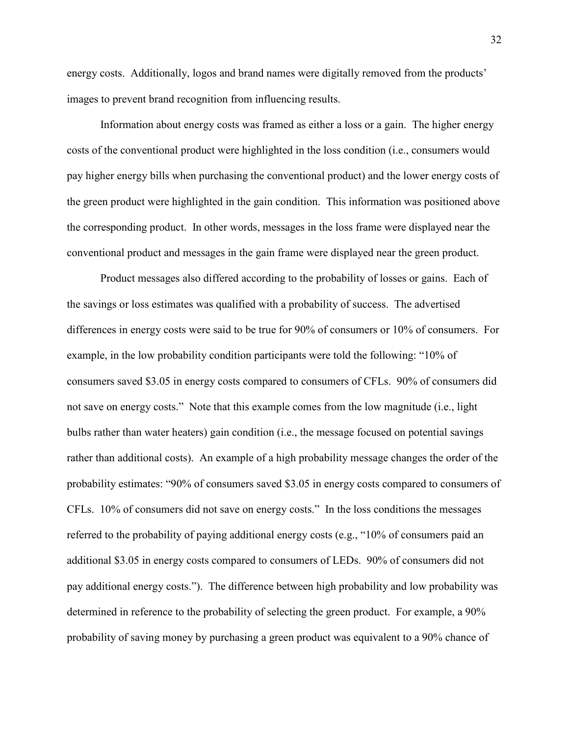energy costs. Additionally, logos and brand names were digitally removed from the products' images to prevent brand recognition from influencing results.

Information about energy costs was framed as either a loss or a gain. The higher energy costs of the conventional product were highlighted in the loss condition (i.e., consumers would pay higher energy bills when purchasing the conventional product) and the lower energy costs of the green product were highlighted in the gain condition. This information was positioned above the corresponding product. In other words, messages in the loss frame were displayed near the conventional product and messages in the gain frame were displayed near the green product.

Product messages also differed according to the probability of losses or gains. Each of the savings or loss estimates was qualified with a probability of success. The advertised differences in energy costs were said to be true for 90% of consumers or 10% of consumers. For example, in the low probability condition participants were told the following: "10% of consumers saved \$3.05 in energy costs compared to consumers of CFLs. 90% of consumers did not save on energy costs." Note that this example comes from the low magnitude (i.e., light bulbs rather than water heaters) gain condition (i.e., the message focused on potential savings rather than additional costs). An example of a high probability message changes the order of the probability estimates: "90% of consumers saved \$3.05 in energy costs compared to consumers of CFLs. 10% of consumers did not save on energy costs." In the loss conditions the messages referred to the probability of paying additional energy costs (e.g., "10% of consumers paid an additional \$3.05 in energy costs compared to consumers of LEDs. 90% of consumers did not pay additional energy costs."). The difference between high probability and low probability was determined in reference to the probability of selecting the green product. For example, a 90% probability of saving money by purchasing a green product was equivalent to a 90% chance of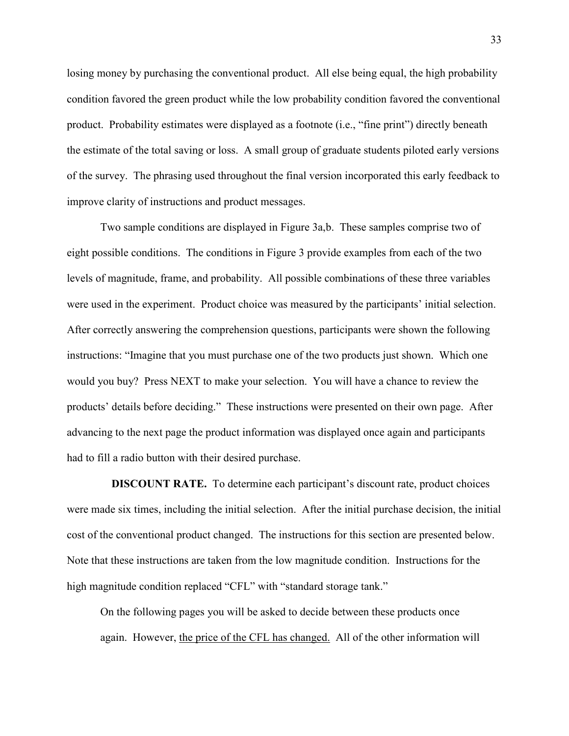losing money by purchasing the conventional product. All else being equal, the high probability condition favored the green product while the low probability condition favored the conventional product. Probability estimates were displayed as a footnote (i.e., "fine print") directly beneath the estimate of the total saving or loss. A small group of graduate students piloted early versions of the survey. The phrasing used throughout the final version incorporated this early feedback to improve clarity of instructions and product messages.

Two sample conditions are displayed in Figure 3a,b. These samples comprise two of eight possible conditions. The conditions in Figure 3 provide examples from each of the two levels of magnitude, frame, and probability. All possible combinations of these three variables were used in the experiment. Product choice was measured by the participants' initial selection. After correctly answering the comprehension questions, participants were shown the following instructions: "Imagine that you must purchase one of the two products just shown. Which one would you buy? Press NEXT to make your selection. You will have a chance to review the products' details before deciding." These instructions were presented on their own page. After advancing to the next page the product information was displayed once again and participants had to fill a radio button with their desired purchase.

 **DISCOUNT RATE.** To determine each participant's discount rate, product choices were made six times, including the initial selection. After the initial purchase decision, the initial cost of the conventional product changed. The instructions for this section are presented below. Note that these instructions are taken from the low magnitude condition. Instructions for the high magnitude condition replaced "CFL" with "standard storage tank."

On the following pages you will be asked to decide between these products once again. However, the price of the CFL has changed. All of the other information will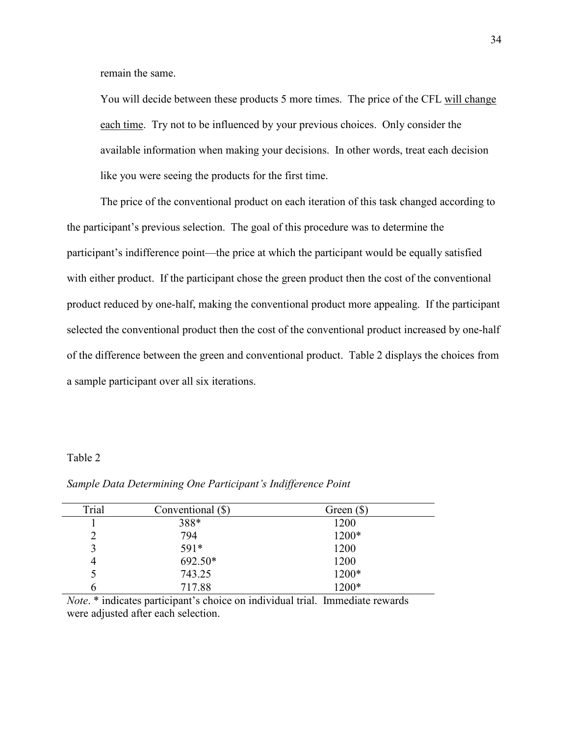remain the same.

You will decide between these products 5 more times. The price of the CFL will change each time. Try not to be influenced by your previous choices. Only consider the available information when making your decisions. In other words, treat each decision like you were seeing the products for the first time.

The price of the conventional product on each iteration of this task changed according to the participant's previous selection. The goal of this procedure was to determine the participant's indifference point—the price at which the participant would be equally satisfied with either product. If the participant chose the green product then the cost of the conventional product reduced by one-half, making the conventional product more appealing. If the participant selected the conventional product then the cost of the conventional product increased by one-half of the difference between the green and conventional product. Table 2 displays the choices from a sample participant over all six iterations.

### Table 2

| Trial         | Conventional (\$) | Green $(\$)$ |
|---------------|-------------------|--------------|
|               | 388*              | 1200         |
| $\mathcal{D}$ | 794               | 1200*        |
| 3             | 591*              | 1200         |
| 4             | 692.50*           | 1200         |
|               | 743.25            | 1200*        |
| n             | 717.88            | 1200*        |

*Sample Data Determining One Participant's Indifference Point* 

*Note*. \* indicates participant's choice on individual trial. Immediate rewards were adjusted after each selection.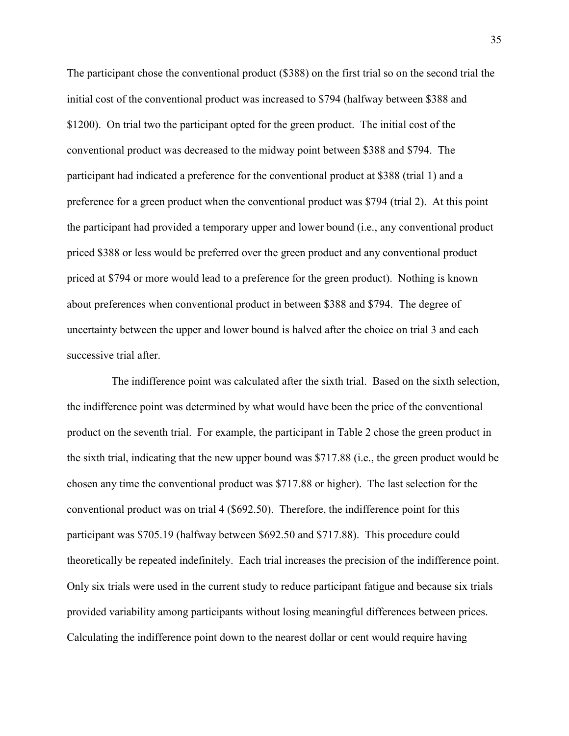The participant chose the conventional product (\$388) on the first trial so on the second trial the initial cost of the conventional product was increased to \$794 (halfway between \$388 and \$1200). On trial two the participant opted for the green product. The initial cost of the conventional product was decreased to the midway point between \$388 and \$794. The participant had indicated a preference for the conventional product at \$388 (trial 1) and a preference for a green product when the conventional product was \$794 (trial 2). At this point the participant had provided a temporary upper and lower bound (i.e., any conventional product priced \$388 or less would be preferred over the green product and any conventional product priced at \$794 or more would lead to a preference for the green product). Nothing is known about preferences when conventional product in between \$388 and \$794. The degree of uncertainty between the upper and lower bound is halved after the choice on trial 3 and each successive trial after.

 The indifference point was calculated after the sixth trial. Based on the sixth selection, the indifference point was determined by what would have been the price of the conventional product on the seventh trial. For example, the participant in Table 2 chose the green product in the sixth trial, indicating that the new upper bound was \$717.88 (i.e., the green product would be chosen any time the conventional product was \$717.88 or higher). The last selection for the conventional product was on trial 4 (\$692.50). Therefore, the indifference point for this participant was \$705.19 (halfway between \$692.50 and \$717.88). This procedure could theoretically be repeated indefinitely. Each trial increases the precision of the indifference point. Only six trials were used in the current study to reduce participant fatigue and because six trials provided variability among participants without losing meaningful differences between prices. Calculating the indifference point down to the nearest dollar or cent would require having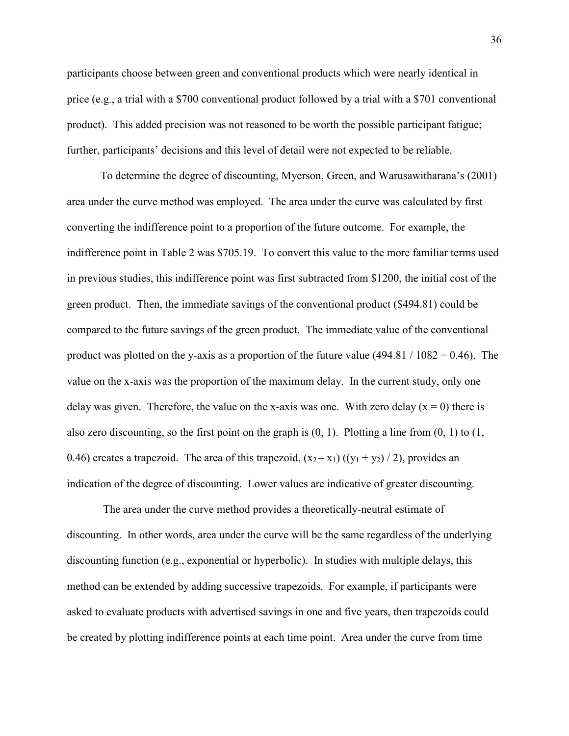participants choose between green and conventional products which were nearly identical in price (e.g., a trial with a \$700 conventional product followed by a trial with a \$701 conventional product). This added precision was not reasoned to be worth the possible participant fatigue; further, participants' decisions and this level of detail were not expected to be reliable.

To determine the degree of discounting, Myerson, Green, and Warusawitharana's (2001) area under the curve method was employed. The area under the curve was calculated by first converting the indifference point to a proportion of the future outcome. For example, the indifference point in Table 2 was \$705.19. To convert this value to the more familiar terms used in previous studies, this indifference point was first subtracted from \$1200, the initial cost of the green product. Then, the immediate savings of the conventional product (\$494.81) could be compared to the future savings of the green product. The immediate value of the conventional product was plotted on the y-axis as a proportion of the future value  $(494.81 / 1082 = 0.46)$ . The value on the x-axis was the proportion of the maximum delay. In the current study, only one delay was given. Therefore, the value on the x-axis was one. With zero delay ( $x = 0$ ) there is also zero discounting, so the first point on the graph is  $(0, 1)$ . Plotting a line from  $(0, 1)$  to  $(1, 1)$ 0.46) creates a trapezoid. The area of this trapezoid,  $(x_2 - x_1)$  ( $(y_1 + y_2) / 2$ ), provides an indication of the degree of discounting. Lower values are indicative of greater discounting.

 The area under the curve method provides a theoretically-neutral estimate of discounting. In other words, area under the curve will be the same regardless of the underlying discounting function (e.g., exponential or hyperbolic). In studies with multiple delays, this method can be extended by adding successive trapezoids. For example, if participants were asked to evaluate products with advertised savings in one and five years, then trapezoids could be created by plotting indifference points at each time point. Area under the curve from time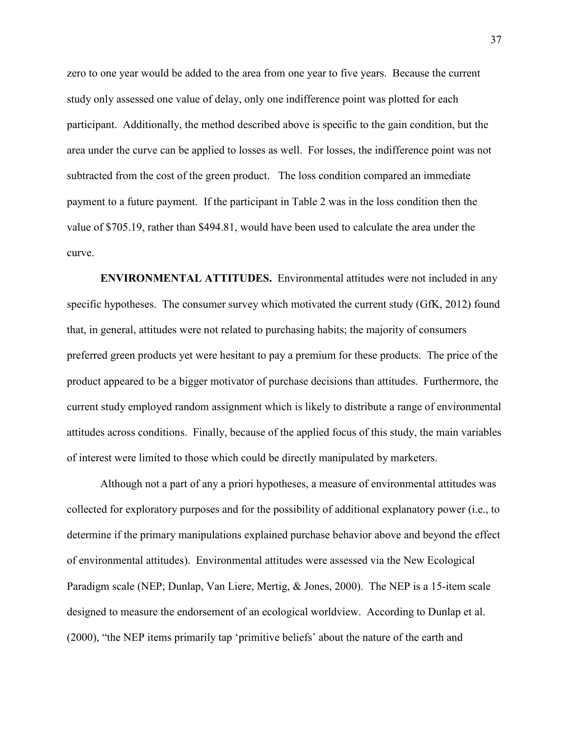zero to one year would be added to the area from one year to five years. Because the current study only assessed one value of delay, only one indifference point was plotted for each participant. Additionally, the method described above is specific to the gain condition, but the area under the curve can be applied to losses as well. For losses, the indifference point was not subtracted from the cost of the green product. The loss condition compared an immediate payment to a future payment. If the participant in Table 2 was in the loss condition then the value of \$705.19, rather than \$494.81, would have been used to calculate the area under the curve.

**ENVIRONMENTAL ATTITUDES.** Environmental attitudes were not included in any specific hypotheses. The consumer survey which motivated the current study (GfK, 2012) found that, in general, attitudes were not related to purchasing habits; the majority of consumers preferred green products yet were hesitant to pay a premium for these products. The price of the product appeared to be a bigger motivator of purchase decisions than attitudes. Furthermore, the current study employed random assignment which is likely to distribute a range of environmental attitudes across conditions. Finally, because of the applied focus of this study, the main variables of interest were limited to those which could be directly manipulated by marketers.

Although not a part of any a priori hypotheses, a measure of environmental attitudes was collected for exploratory purposes and for the possibility of additional explanatory power (i.e., to determine if the primary manipulations explained purchase behavior above and beyond the effect of environmental attitudes). Environmental attitudes were assessed via the New Ecological Paradigm scale (NEP; Dunlap, Van Liere, Mertig, & Jones, 2000). The NEP is a 15-item scale designed to measure the endorsement of an ecological worldview. According to Dunlap et al. (2000), "the NEP items primarily tap 'primitive beliefs' about the nature of the earth and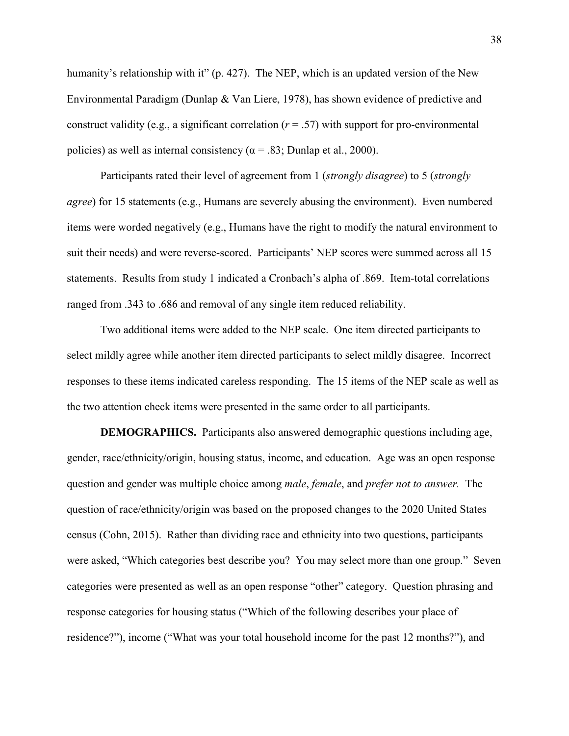humanity's relationship with it" (p. 427). The NEP, which is an updated version of the New Environmental Paradigm (Dunlap & Van Liere, 1978), has shown evidence of predictive and construct validity (e.g., a significant correlation ( $r = .57$ ) with support for pro-environmental policies) as well as internal consistency ( $\alpha$  = .83; Dunlap et al., 2000).

Participants rated their level of agreement from 1 (*strongly disagree*) to 5 (*strongly agree*) for 15 statements (e.g., Humans are severely abusing the environment). Even numbered items were worded negatively (e.g., Humans have the right to modify the natural environment to suit their needs) and were reverse-scored. Participants' NEP scores were summed across all 15 statements. Results from study 1 indicated a Cronbach's alpha of .869. Item-total correlations ranged from .343 to .686 and removal of any single item reduced reliability.

Two additional items were added to the NEP scale. One item directed participants to select mildly agree while another item directed participants to select mildly disagree. Incorrect responses to these items indicated careless responding. The 15 items of the NEP scale as well as the two attention check items were presented in the same order to all participants.

**DEMOGRAPHICS.** Participants also answered demographic questions including age, gender, race/ethnicity/origin, housing status, income, and education. Age was an open response question and gender was multiple choice among *male*, *female*, and *prefer not to answer.* The question of race/ethnicity/origin was based on the proposed changes to the 2020 United States census (Cohn, 2015). Rather than dividing race and ethnicity into two questions, participants were asked, "Which categories best describe you? You may select more than one group." Seven categories were presented as well as an open response "other" category. Question phrasing and response categories for housing status ("Which of the following describes your place of residence?"), income ("What was your total household income for the past 12 months?"), and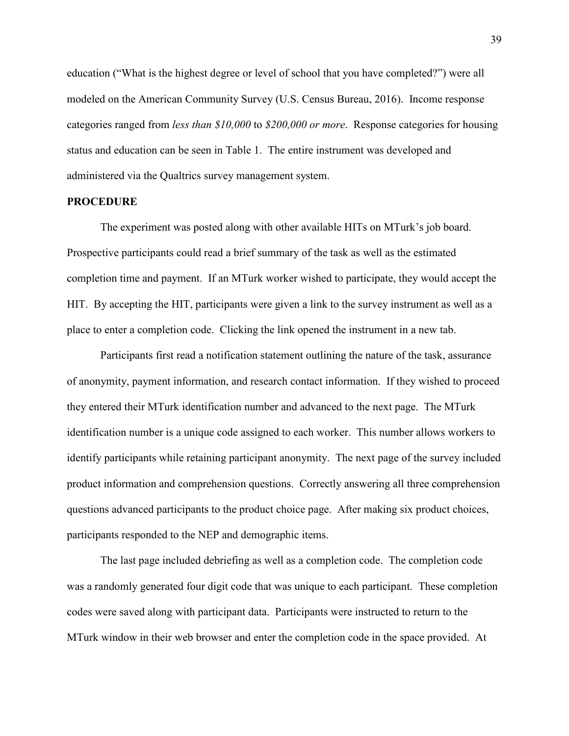education ("What is the highest degree or level of school that you have completed?") were all modeled on the American Community Survey (U.S. Census Bureau, 2016). Income response categories ranged from *less than \$10,000* to *\$200,000 or more*. Response categories for housing status and education can be seen in Table 1. The entire instrument was developed and administered via the Qualtrics survey management system.

#### **PROCEDURE**

 The experiment was posted along with other available HITs on MTurk's job board. Prospective participants could read a brief summary of the task as well as the estimated completion time and payment. If an MTurk worker wished to participate, they would accept the HIT. By accepting the HIT, participants were given a link to the survey instrument as well as a place to enter a completion code. Clicking the link opened the instrument in a new tab.

Participants first read a notification statement outlining the nature of the task, assurance of anonymity, payment information, and research contact information. If they wished to proceed they entered their MTurk identification number and advanced to the next page. The MTurk identification number is a unique code assigned to each worker. This number allows workers to identify participants while retaining participant anonymity. The next page of the survey included product information and comprehension questions. Correctly answering all three comprehension questions advanced participants to the product choice page. After making six product choices, participants responded to the NEP and demographic items.

The last page included debriefing as well as a completion code. The completion code was a randomly generated four digit code that was unique to each participant. These completion codes were saved along with participant data. Participants were instructed to return to the MTurk window in their web browser and enter the completion code in the space provided. At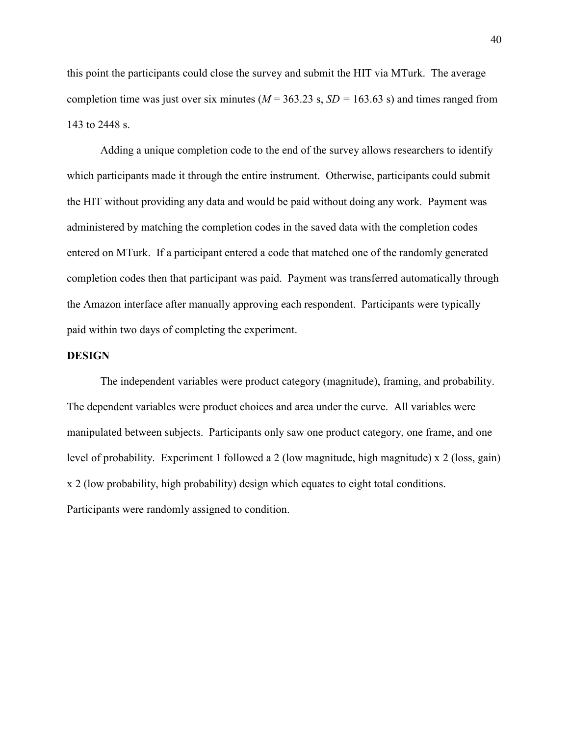this point the participants could close the survey and submit the HIT via MTurk. The average completion time was just over six minutes ( $M = 363.23$  s,  $SD = 163.63$  s) and times ranged from 143 to 2448 s.

Adding a unique completion code to the end of the survey allows researchers to identify which participants made it through the entire instrument. Otherwise, participants could submit the HIT without providing any data and would be paid without doing any work. Payment was administered by matching the completion codes in the saved data with the completion codes entered on MTurk. If a participant entered a code that matched one of the randomly generated completion codes then that participant was paid. Payment was transferred automatically through the Amazon interface after manually approving each respondent. Participants were typically paid within two days of completing the experiment.

### **DESIGN**

 The independent variables were product category (magnitude), framing, and probability. The dependent variables were product choices and area under the curve. All variables were manipulated between subjects. Participants only saw one product category, one frame, and one level of probability. Experiment 1 followed a 2 (low magnitude, high magnitude) x 2 (loss, gain) x 2 (low probability, high probability) design which equates to eight total conditions. Participants were randomly assigned to condition.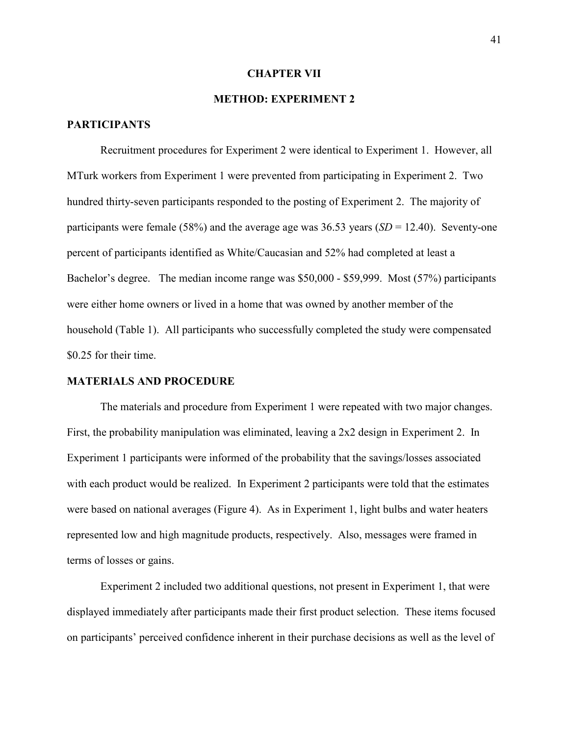#### **CHAPTER VII**

## **METHOD: EXPERIMENT 2**

## **PARTICIPANTS**

Recruitment procedures for Experiment 2 were identical to Experiment 1. However, all MTurk workers from Experiment 1 were prevented from participating in Experiment 2. Two hundred thirty-seven participants responded to the posting of Experiment 2. The majority of participants were female (58%) and the average age was 36.53 years (*SD* = 12.40). Seventy-one percent of participants identified as White/Caucasian and 52% had completed at least a Bachelor's degree. The median income range was \$50,000 - \$59,999. Most (57%) participants were either home owners or lived in a home that was owned by another member of the household (Table 1). All participants who successfully completed the study were compensated \$0.25 for their time.

#### **MATERIALS AND PROCEDURE**

The materials and procedure from Experiment 1 were repeated with two major changes. First, the probability manipulation was eliminated, leaving a 2x2 design in Experiment 2. In Experiment 1 participants were informed of the probability that the savings/losses associated with each product would be realized. In Experiment 2 participants were told that the estimates were based on national averages (Figure 4). As in Experiment 1, light bulbs and water heaters represented low and high magnitude products, respectively. Also, messages were framed in terms of losses or gains.

 Experiment 2 included two additional questions, not present in Experiment 1, that were displayed immediately after participants made their first product selection. These items focused on participants' perceived confidence inherent in their purchase decisions as well as the level of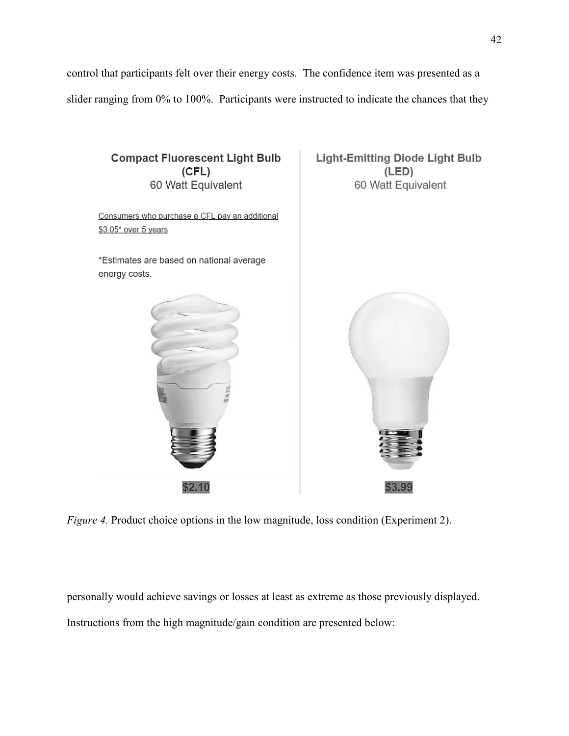control that participants felt over their energy costs. The confidence item was presented as a slider ranging from 0% to 100%. Participants were instructed to indicate the chances that they



*Figure 4.* Product choice options in the low magnitude, loss condition (Experiment 2).

personally would achieve savings or losses at least as extreme as those previously displayed. Instructions from the high magnitude/gain condition are presented below: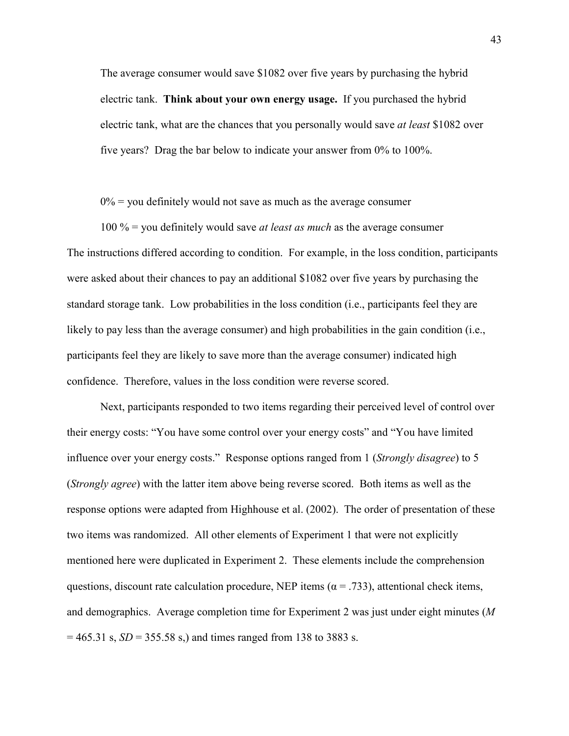The average consumer would save \$1082 over five years by purchasing the hybrid electric tank. **Think about your own energy usage.** If you purchased the hybrid electric tank, what are the chances that you personally would save *at least* \$1082 over five years? Drag the bar below to indicate your answer from 0% to 100%.

 $0\%$  = you definitely would not save as much as the average consumer

100 % = you definitely would save *at least as much* as the average consumer The instructions differed according to condition. For example, in the loss condition, participants were asked about their chances to pay an additional \$1082 over five years by purchasing the standard storage tank. Low probabilities in the loss condition (i.e., participants feel they are likely to pay less than the average consumer) and high probabilities in the gain condition (i.e., participants feel they are likely to save more than the average consumer) indicated high confidence. Therefore, values in the loss condition were reverse scored.

 Next, participants responded to two items regarding their perceived level of control over their energy costs: "You have some control over your energy costs" and "You have limited influence over your energy costs." Response options ranged from 1 (*Strongly disagree*) to 5 (*Strongly agree*) with the latter item above being reverse scored. Both items as well as the response options were adapted from Highhouse et al. (2002). The order of presentation of these two items was randomized. All other elements of Experiment 1 that were not explicitly mentioned here were duplicated in Experiment 2. These elements include the comprehension questions, discount rate calculation procedure, NEP items ( $\alpha$  = .733), attentional check items, and demographics. Average completion time for Experiment 2 was just under eight minutes (*M*   $= 465.31$  s,  $SD = 355.58$  s,) and times ranged from 138 to 3883 s.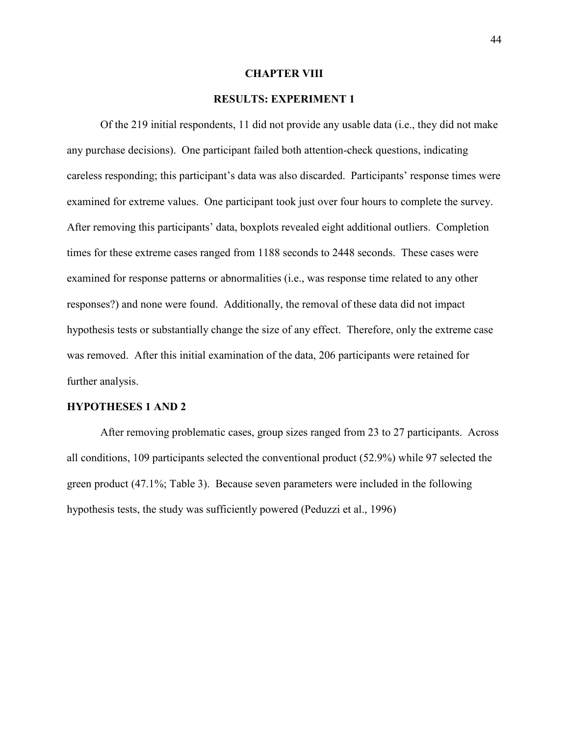#### **CHAPTER VIII**

## **RESULTS: EXPERIMENT 1**

Of the 219 initial respondents, 11 did not provide any usable data (i.e., they did not make any purchase decisions). One participant failed both attention-check questions, indicating careless responding; this participant's data was also discarded. Participants' response times were examined for extreme values. One participant took just over four hours to complete the survey. After removing this participants' data, boxplots revealed eight additional outliers. Completion times for these extreme cases ranged from 1188 seconds to 2448 seconds. These cases were examined for response patterns or abnormalities (i.e., was response time related to any other responses?) and none were found. Additionally, the removal of these data did not impact hypothesis tests or substantially change the size of any effect. Therefore, only the extreme case was removed. After this initial examination of the data, 206 participants were retained for further analysis.

### **HYPOTHESES 1 AND 2**

After removing problematic cases, group sizes ranged from 23 to 27 participants. Across all conditions, 109 participants selected the conventional product (52.9%) while 97 selected the green product (47.1%; Table 3). Because seven parameters were included in the following hypothesis tests, the study was sufficiently powered (Peduzzi et al., 1996)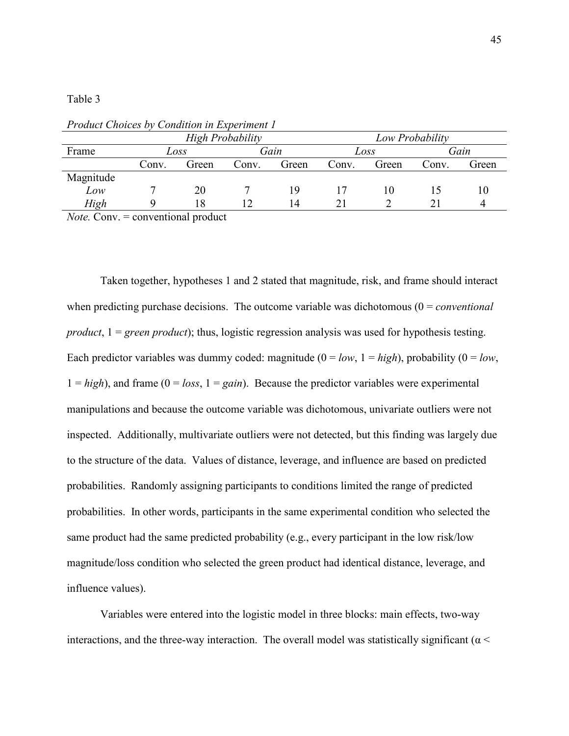Table 3

|           |       |       | <b>High Probability</b> |       | Low Probability |       |       |       |  |  |
|-----------|-------|-------|-------------------------|-------|-----------------|-------|-------|-------|--|--|
| Frame     |       | Loss  |                         | Gain  |                 | Loss  | Gain  |       |  |  |
|           | Conv. | Green | Conv.                   | Green | Conv.           | Green | Conv. | Green |  |  |
| Magnitude |       |       |                         |       |                 |       |       |       |  |  |
| Low       |       | 20    |                         | 19    |                 |       |       | 10    |  |  |
| High      |       | 18    |                         | 14    |                 |       |       |       |  |  |

*Product Choices by Condition in Experiment 1* 

*Note.* Conv. = conventional product

Taken together, hypotheses 1 and 2 stated that magnitude, risk, and frame should interact when predicting purchase decisions. The outcome variable was dichotomous (0 = *conventional product*, 1 = *green product*); thus, logistic regression analysis was used for hypothesis testing. Each predictor variables was dummy coded: magnitude  $(0 = low, 1 = high)$ , probability  $(0 = low, 1)$  $1 = high$ ), and frame ( $0 = loss$ ,  $1 = gain$ ). Because the predictor variables were experimental manipulations and because the outcome variable was dichotomous, univariate outliers were not inspected. Additionally, multivariate outliers were not detected, but this finding was largely due to the structure of the data. Values of distance, leverage, and influence are based on predicted probabilities. Randomly assigning participants to conditions limited the range of predicted probabilities. In other words, participants in the same experimental condition who selected the same product had the same predicted probability (e.g., every participant in the low risk/low magnitude/loss condition who selected the green product had identical distance, leverage, and influence values).

Variables were entered into the logistic model in three blocks: main effects, two-way interactions, and the three-way interaction. The overall model was statistically significant ( $\alpha$  <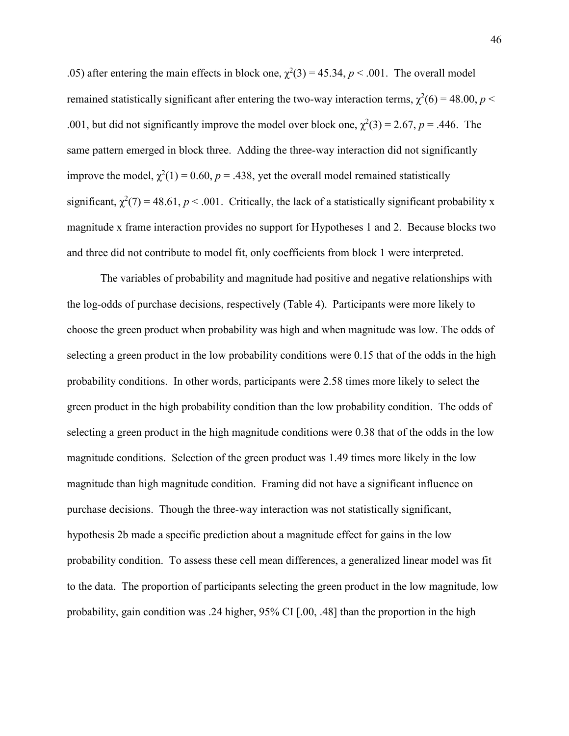.05) after entering the main effects in block one,  $\chi^2(3) = 45.34$ ,  $p < .001$ . The overall model remained statistically significant after entering the two-way interaction terms,  $\chi^2(6) = 48.00, p <$ .001, but did not significantly improve the model over block one,  $\chi^2(3) = 2.67$ ,  $p = .446$ . The same pattern emerged in block three. Adding the three-way interaction did not significantly improve the model,  $\chi^2(1) = 0.60$ ,  $p = 0.438$ , yet the overall model remained statistically significant,  $\chi^2(7) = 48.61$ ,  $p < .001$ . Critically, the lack of a statistically significant probability x magnitude x frame interaction provides no support for Hypotheses 1 and 2. Because blocks two and three did not contribute to model fit, only coefficients from block 1 were interpreted.

 The variables of probability and magnitude had positive and negative relationships with the log-odds of purchase decisions, respectively (Table 4). Participants were more likely to choose the green product when probability was high and when magnitude was low. The odds of selecting a green product in the low probability conditions were 0.15 that of the odds in the high probability conditions. In other words, participants were 2.58 times more likely to select the green product in the high probability condition than the low probability condition. The odds of selecting a green product in the high magnitude conditions were 0.38 that of the odds in the low magnitude conditions. Selection of the green product was 1.49 times more likely in the low magnitude than high magnitude condition. Framing did not have a significant influence on purchase decisions. Though the three-way interaction was not statistically significant, hypothesis 2b made a specific prediction about a magnitude effect for gains in the low probability condition. To assess these cell mean differences, a generalized linear model was fit to the data. The proportion of participants selecting the green product in the low magnitude, low probability, gain condition was .24 higher, 95% CI [.00, .48] than the proportion in the high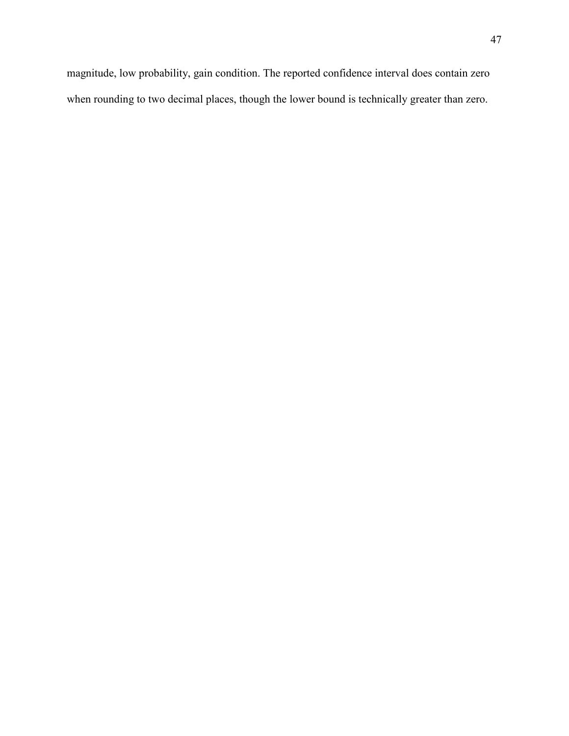magnitude, low probability, gain condition. The reported confidence interval does contain zero when rounding to two decimal places, though the lower bound is technically greater than zero.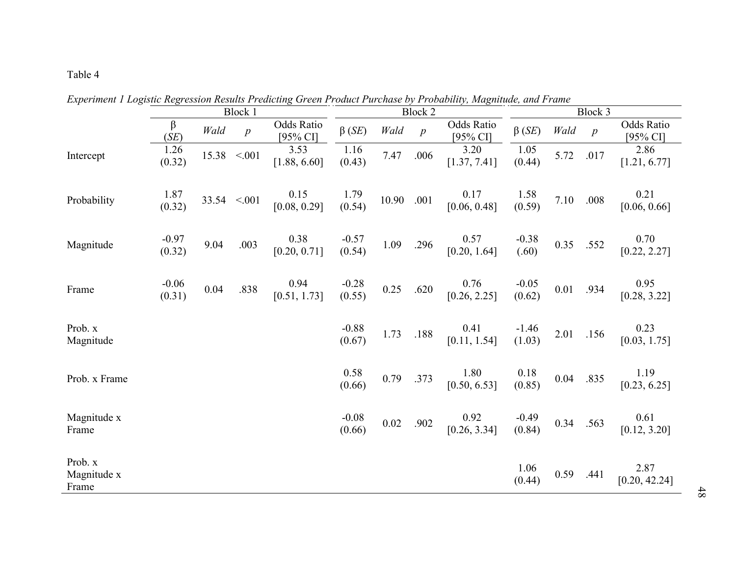## Table 4

|                                 | Block 1           |       |                   | <b>Block 2</b>                |                   |       |                  | Block 3                |                   |      |                |                               |
|---------------------------------|-------------------|-------|-------------------|-------------------------------|-------------------|-------|------------------|------------------------|-------------------|------|----------------|-------------------------------|
|                                 | β<br>(SE)         | Wald  | $\boldsymbol{p}$  | <b>Odds Ratio</b><br>[95% CI] | $\beta$ (SE)      | Wald  | $\boldsymbol{p}$ | Odds Ratio<br>[95% CI] | $\beta$ (SE)      | Wald | $\overline{p}$ | <b>Odds Ratio</b><br>[95% CI] |
| Intercept                       | 1.26<br>(0.32)    | 15.38 | < 0.01            | 3.53<br>[1.88, 6.60]          | 1.16<br>(0.43)    | 7.47  | .006             | 3.20<br>[1.37, 7.41]   | 1.05<br>(0.44)    | 5.72 | .017           | 2.86<br>[1.21, 6.77]          |
| Probability                     | 1.87<br>(0.32)    |       | $33.54 \le 0.001$ | 0.15<br>[0.08, 0.29]          | 1.79<br>(0.54)    | 10.90 | .001             | 0.17<br>[0.06, 0.48]   | 1.58<br>(0.59)    | 7.10 | .008           | 0.21<br>[0.06, 0.66]          |
| Magnitude                       | $-0.97$<br>(0.32) | 9.04  | .003              | 0.38<br>[0.20, 0.71]          | $-0.57$<br>(0.54) | 1.09  | .296             | 0.57<br>[0.20, 1.64]   | $-0.38$<br>(.60)  | 0.35 | .552           | 0.70<br>[0.22, 2.27]          |
| Frame                           | $-0.06$<br>(0.31) | 0.04  | .838              | 0.94<br>[0.51, 1.73]          | $-0.28$<br>(0.55) | 0.25  | .620             | 0.76<br>[0.26, 2.25]   | $-0.05$<br>(0.62) | 0.01 | .934           | 0.95<br>[0.28, 3.22]          |
| Prob. x<br>Magnitude            |                   |       |                   |                               | $-0.88$<br>(0.67) | 1.73  | .188             | 0.41<br>[0.11, 1.54]   | $-1.46$<br>(1.03) | 2.01 | .156           | 0.23<br>[0.03, 1.75]          |
| Prob. x Frame                   |                   |       |                   |                               | 0.58<br>(0.66)    | 0.79  | .373             | 1.80<br>[0.50, 6.53]   | 0.18<br>(0.85)    | 0.04 | .835           | 1.19<br>[0.23, 6.25]          |
| Magnitude x<br>Frame            |                   |       |                   |                               | $-0.08$<br>(0.66) | 0.02  | .902             | 0.92<br>[0.26, 3.34]   | $-0.49$<br>(0.84) | 0.34 | .563           | 0.61<br>[0.12, 3.20]          |
| Prob. x<br>Magnitude x<br>Frame |                   |       |                   |                               |                   |       |                  |                        | 1.06<br>(0.44)    | 0.59 | .441           | 2.87<br>[0.20, 42.24]         |

*Experiment 1 Logistic Regression Results Predicting Green Product Purchase by Probability, Magnitude, and Frame* 

48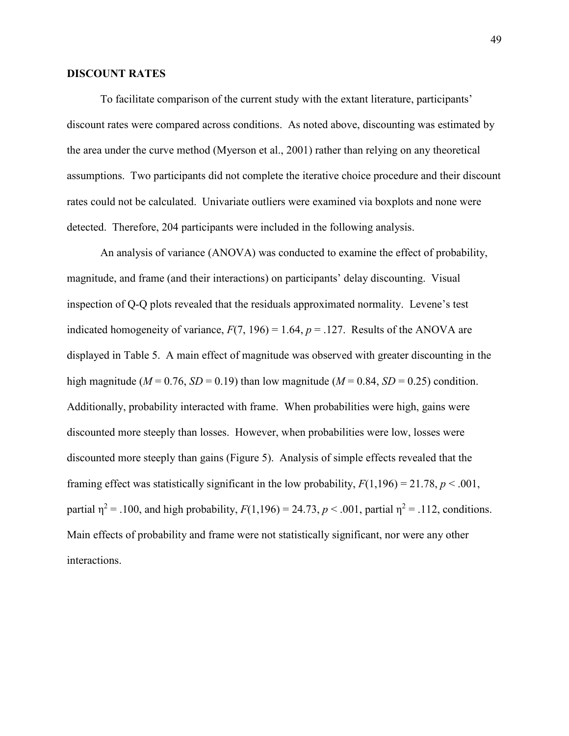### **DISCOUNT RATES**

To facilitate comparison of the current study with the extant literature, participants' discount rates were compared across conditions. As noted above, discounting was estimated by the area under the curve method (Myerson et al., 2001) rather than relying on any theoretical assumptions. Two participants did not complete the iterative choice procedure and their discount rates could not be calculated. Univariate outliers were examined via boxplots and none were detected. Therefore, 204 participants were included in the following analysis.

 An analysis of variance (ANOVA) was conducted to examine the effect of probability, magnitude, and frame (and their interactions) on participants' delay discounting. Visual inspection of Q-Q plots revealed that the residuals approximated normality. Levene's test indicated homogeneity of variance,  $F(7, 196) = 1.64$ ,  $p = .127$ . Results of the ANOVA are displayed in Table 5. A main effect of magnitude was observed with greater discounting in the high magnitude ( $M = 0.76$ ,  $SD = 0.19$ ) than low magnitude ( $M = 0.84$ ,  $SD = 0.25$ ) condition. Additionally, probability interacted with frame. When probabilities were high, gains were discounted more steeply than losses. However, when probabilities were low, losses were discounted more steeply than gains (Figure 5). Analysis of simple effects revealed that the framing effect was statistically significant in the low probability,  $F(1,196) = 21.78$ ,  $p < .001$ , partial  $\eta^2 = .100$ , and high probability,  $F(1,196) = 24.73$ ,  $p < .001$ , partial  $\eta^2 = .112$ , conditions. Main effects of probability and frame were not statistically significant, nor were any other interactions.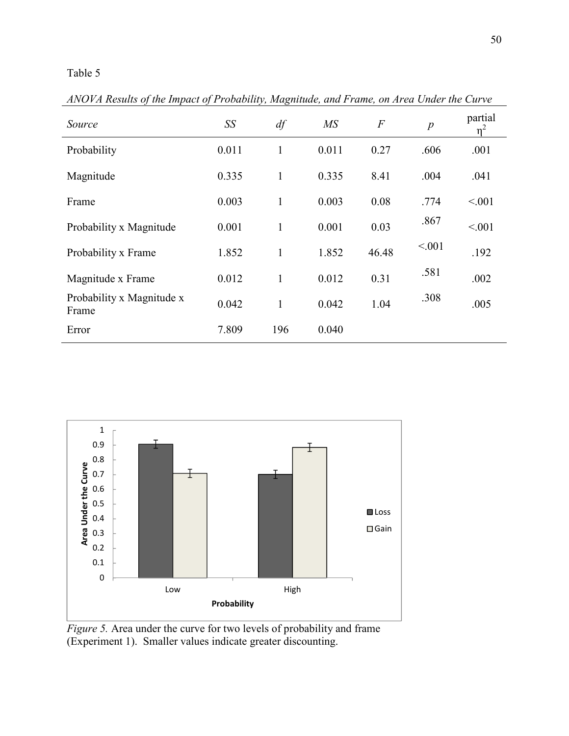## Table 5

*Source* SS df MS F p <sup>partial</sup>  $\eta^2$ Probability 0.011 1 0.011 0.27 .606 .001 Magnitude 0.335 1 0.335 8.41 .004 .041 Frame 0.003 1 0.003 0.08 .774 <.001 Probability x Magnitude  $0.001$  1  $0.001$  0.001  $0.03$   $.867$   $< 0.01$ Probability x Frame  $1.852$   $1$   $1.852$   $46.48$   $\leq .001$   $.192$ Magnitude x Frame  $0.012$  1  $0.012$  0.31  $.581$  .002 Probability x Magnitude x  $0.042$  1  $0.042$  1.04  $.308$  0.05  $.005$ Error 7.809 196 0.040

*ANOVA Results of the Impact of Probability, Magnitude, and Frame, on Area Under the Curve* 



*Figure 5.* Area under the curve for two levels of probability and frame (Experiment 1). Smaller values indicate greater discounting.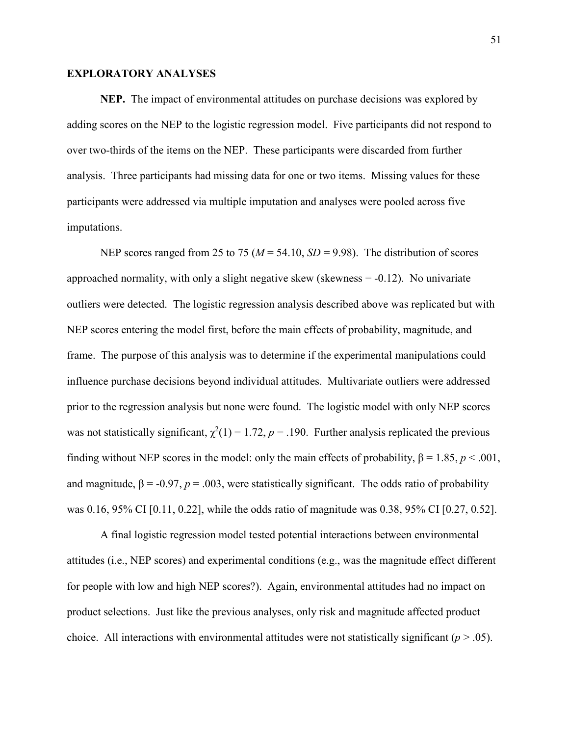### **EXPLORATORY ANALYSES**

 **NEP.** The impact of environmental attitudes on purchase decisions was explored by adding scores on the NEP to the logistic regression model. Five participants did not respond to over two-thirds of the items on the NEP. These participants were discarded from further analysis. Three participants had missing data for one or two items. Missing values for these participants were addressed via multiple imputation and analyses were pooled across five imputations.

NEP scores ranged from 25 to 75 ( $M = 54.10$ ,  $SD = 9.98$ ). The distribution of scores approached normality, with only a slight negative skew (skewness  $= -0.12$ ). No univariate outliers were detected. The logistic regression analysis described above was replicated but with NEP scores entering the model first, before the main effects of probability, magnitude, and frame. The purpose of this analysis was to determine if the experimental manipulations could influence purchase decisions beyond individual attitudes. Multivariate outliers were addressed prior to the regression analysis but none were found. The logistic model with only NEP scores was not statistically significant,  $\chi^2(1) = 1.72$ ,  $p = .190$ . Further analysis replicated the previous finding without NEP scores in the model: only the main effects of probability,  $\beta = 1.85$ ,  $p < .001$ , and magnitude,  $\beta$  = -0.97,  $p$  = .003, were statistically significant. The odds ratio of probability was 0.16, 95% CI [0.11, 0.22], while the odds ratio of magnitude was 0.38, 95% CI [0.27, 0.52].

 A final logistic regression model tested potential interactions between environmental attitudes (i.e., NEP scores) and experimental conditions (e.g., was the magnitude effect different for people with low and high NEP scores?). Again, environmental attitudes had no impact on product selections. Just like the previous analyses, only risk and magnitude affected product choice. All interactions with environmental attitudes were not statistically significant  $(p > .05)$ .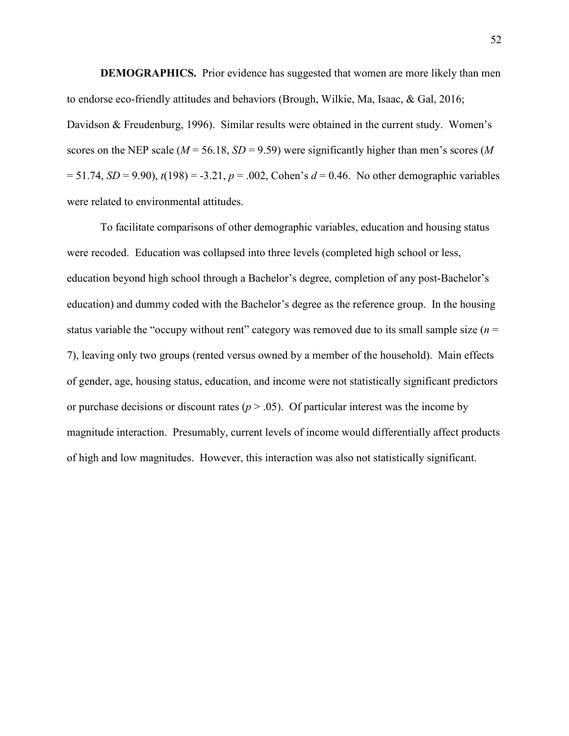**DEMOGRAPHICS.** Prior evidence has suggested that women are more likely than men to endorse eco-friendly attitudes and behaviors (Brough, Wilkie, Ma, Isaac, & Gal, 2016; Davidson & Freudenburg, 1996). Similar results were obtained in the current study. Women's scores on the NEP scale ( $M = 56.18$ ,  $SD = 9.59$ ) were significantly higher than men's scores (M  $= 51.74$ , *SD* = 9.90),  $t(198) = -3.21$ ,  $p = .002$ , Cohen's  $d = 0.46$ . No other demographic variables were related to environmental attitudes.

 To facilitate comparisons of other demographic variables, education and housing status were recoded. Education was collapsed into three levels (completed high school or less, education beyond high school through a Bachelor's degree, completion of any post-Bachelor's education) and dummy coded with the Bachelor's degree as the reference group. In the housing status variable the "occupy without rent" category was removed due to its small sample size (*n* = 7), leaving only two groups (rented versus owned by a member of the household). Main effects of gender, age, housing status, education, and income were not statistically significant predictors or purchase decisions or discount rates ( $p > .05$ ). Of particular interest was the income by magnitude interaction. Presumably, current levels of income would differentially affect products of high and low magnitudes. However, this interaction was also not statistically significant.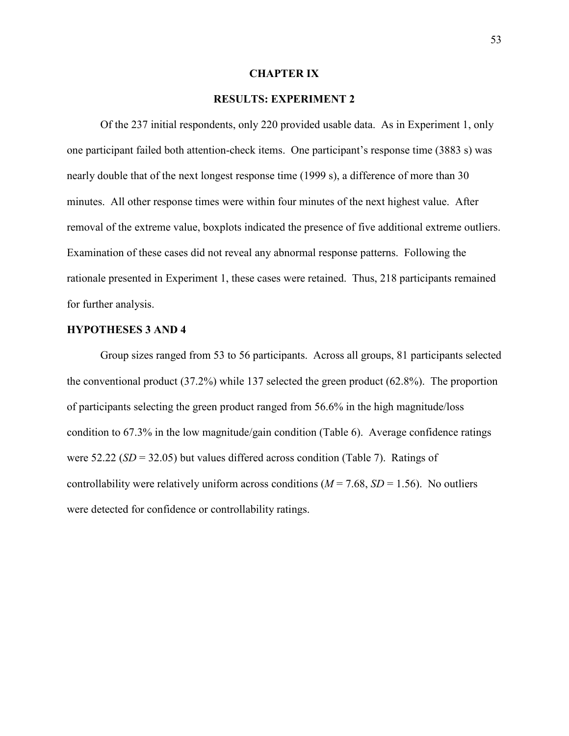#### **CHAPTER IX**

## **RESULTS: EXPERIMENT 2**

 Of the 237 initial respondents, only 220 provided usable data. As in Experiment 1, only one participant failed both attention-check items. One participant's response time (3883 s) was nearly double that of the next longest response time (1999 s), a difference of more than 30 minutes. All other response times were within four minutes of the next highest value. After removal of the extreme value, boxplots indicated the presence of five additional extreme outliers. Examination of these cases did not reveal any abnormal response patterns. Following the rationale presented in Experiment 1, these cases were retained. Thus, 218 participants remained for further analysis.

#### **HYPOTHESES 3 AND 4**

 Group sizes ranged from 53 to 56 participants. Across all groups, 81 participants selected the conventional product (37.2%) while 137 selected the green product (62.8%). The proportion of participants selecting the green product ranged from 56.6% in the high magnitude/loss condition to 67.3% in the low magnitude/gain condition (Table 6). Average confidence ratings were 52.22 (*SD* = 32.05) but values differed across condition (Table 7). Ratings of controllability were relatively uniform across conditions  $(M = 7.68, SD = 1.56)$ . No outliers were detected for confidence or controllability ratings.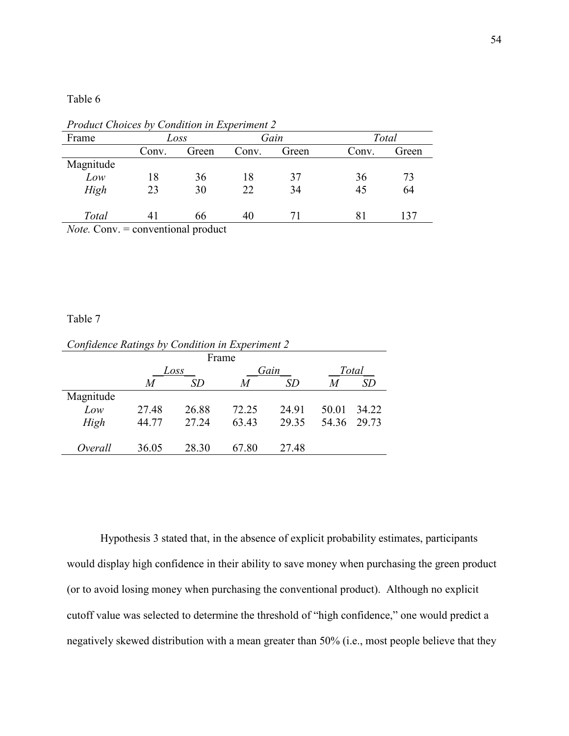Table 6

| Frame                                                                      |       | Loss  |       | Gain  |       | Total |  |  |
|----------------------------------------------------------------------------|-------|-------|-------|-------|-------|-------|--|--|
|                                                                            | Conv. | Green | Conv. | Green | Conv. | Green |  |  |
| Magnitude                                                                  |       |       |       |       |       |       |  |  |
| Low                                                                        | 18    | 36    | 18    | 37    | 36    | 73    |  |  |
| High                                                                       | 23    | 30    | 22    | 34    | 45    | 64    |  |  |
|                                                                            |       |       |       |       |       |       |  |  |
| Total                                                                      | 41    | 66    | 40    | 71    | 81    | 137   |  |  |
| $N0$ $t0$ $C0$ $m1$ $n2$ $n3$ $n4$ $n5$ $n6$ $n7$ $n7$ $n8$ $n9$ $n9$ $n1$ |       |       |       |       |       |       |  |  |

*Product Choices by Condition in Experiment 2* 

*Note.* Conv. = conventional product

## Table 7

| Confidence Ratings by Condition in Experiment 2 |       |       |       |       |       |       |  |  |  |  |  |
|-------------------------------------------------|-------|-------|-------|-------|-------|-------|--|--|--|--|--|
| Frame                                           |       |       |       |       |       |       |  |  |  |  |  |
|                                                 |       | Loss  |       | Gain  | Total |       |  |  |  |  |  |
|                                                 | M     | SD    | M     | SD    | M     | SD    |  |  |  |  |  |
| Magnitude                                       |       |       |       |       |       |       |  |  |  |  |  |
| Low                                             | 27.48 | 26.88 | 72.25 | 24.91 | 50.01 | 34 22 |  |  |  |  |  |
| High                                            | 44.77 | 27.24 | 63.43 | 29.35 | 54.36 | 29.73 |  |  |  |  |  |
|                                                 |       |       |       |       |       |       |  |  |  |  |  |
| Overall                                         | 36 05 | 28.30 | 67.80 | 27 48 |       |       |  |  |  |  |  |

 Hypothesis 3 stated that, in the absence of explicit probability estimates, participants would display high confidence in their ability to save money when purchasing the green product (or to avoid losing money when purchasing the conventional product). Although no explicit cutoff value was selected to determine the threshold of "high confidence," one would predict a negatively skewed distribution with a mean greater than 50% (i.e., most people believe that they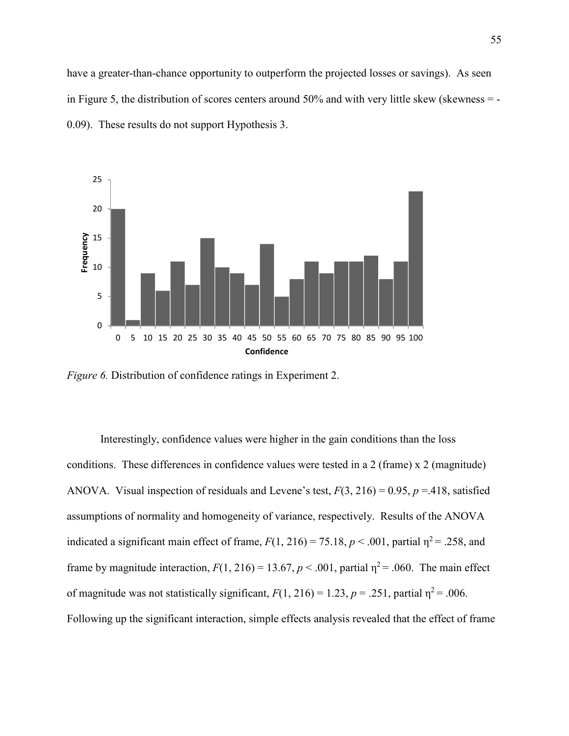have a greater-than-chance opportunity to outperform the projected losses or savings). As seen in Figure 5, the distribution of scores centers around 50% and with very little skew (skewness = - 0.09). These results do not support Hypothesis 3.



*Figure 6.* Distribution of confidence ratings in Experiment 2.

Interestingly, confidence values were higher in the gain conditions than the loss conditions. These differences in confidence values were tested in a 2 (frame) x 2 (magnitude) ANOVA. Visual inspection of residuals and Levene's test, *F*(3, 216) = 0.95, *p* =.418, satisfied assumptions of normality and homogeneity of variance, respectively. Results of the ANOVA indicated a significant main effect of frame,  $F(1, 216) = 75.18$ ,  $p < .001$ , partial  $\eta^2 = .258$ , and frame by magnitude interaction,  $F(1, 216) = 13.67$ ,  $p < .001$ , partial  $\eta^2 = .060$ . The main effect of magnitude was not statistically significant,  $F(1, 216) = 1.23$ ,  $p = .251$ , partial  $\eta^2 = .006$ . Following up the significant interaction, simple effects analysis revealed that the effect of frame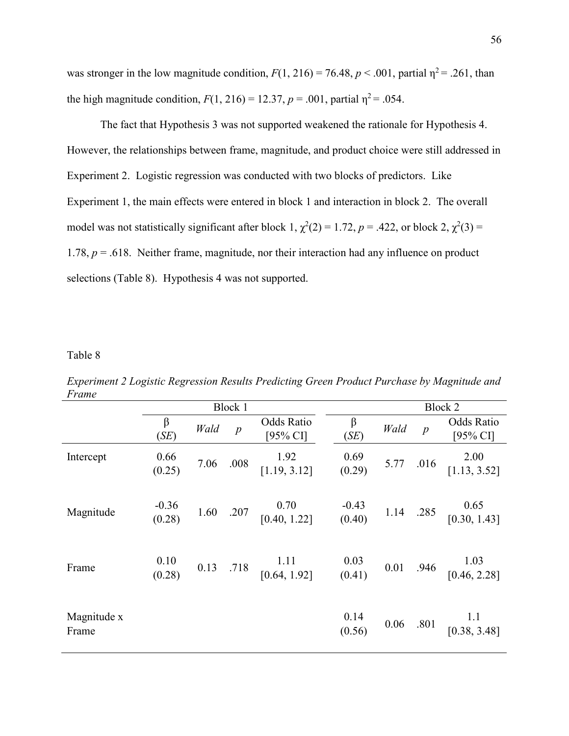was stronger in the low magnitude condition,  $F(1, 216) = 76.48$ ,  $p < .001$ , partial  $\eta^2 = .261$ , than the high magnitude condition,  $F(1, 216) = 12.37$ ,  $p = .001$ , partial  $\eta^2 = .054$ .

 The fact that Hypothesis 3 was not supported weakened the rationale for Hypothesis 4. However, the relationships between frame, magnitude, and product choice were still addressed in Experiment 2. Logistic regression was conducted with two blocks of predictors. Like Experiment 1, the main effects were entered in block 1 and interaction in block 2. The overall model was not statistically significant after block 1,  $\chi^2(2) = 1.72$ ,  $p = .422$ , or block 2,  $\chi^2(3) =$ 1.78,  $p = .618$ . Neither frame, magnitude, nor their interaction had any influence on product selections (Table 8). Hypothesis 4 was not supported.

Table 8

| $1$ runc             |                   |      |                  |                                                                             |                 |      |                  |                                                                      |  |
|----------------------|-------------------|------|------------------|-----------------------------------------------------------------------------|-----------------|------|------------------|----------------------------------------------------------------------|--|
|                      |                   |      | Block 1          |                                                                             | Block 2         |      |                  |                                                                      |  |
|                      | $\beta$<br>(SE)   | Wald | $\boldsymbol{p}$ | Odds Ratio<br>[95% CI]                                                      | $\beta$<br>(SE) | Wald | $\boldsymbol{p}$ | Odds Ratio<br>[95% CI]                                               |  |
| Intercept            | 0.66<br>(0.25)    |      | 7.06 .008        | 1.92<br>[1.19, 3.12]                                                        | 0.69<br>(0.29)  |      |                  | 2.00<br>5.77 .016 $\begin{bmatrix} 2.00 \\ 1.13, 3.52 \end{bmatrix}$ |  |
| Magnitude            | $-0.36$<br>(0.28) |      |                  | 1.60 .207 $\begin{bmatrix} 0.70 & -0.43 \\ 0.40, 1.22 \end{bmatrix}$ (0.40) |                 |      |                  | 1.14 .285 $\begin{bmatrix} 0.65 \\ 0.30, 1.43 \end{bmatrix}$         |  |
| Frame                | 0.10<br>(0.28)    |      |                  | 0.13 .718 $\begin{bmatrix} 1.11 & 0.03 \\ 0.64, 1.92 \end{bmatrix}$ (0.41)  |                 |      |                  | 0.01 .946 $\begin{bmatrix} 1.03 \\ 1.03 \end{bmatrix}$               |  |
| Magnitude x<br>Frame |                   |      |                  |                                                                             | 0.14<br>(0.56)  |      |                  | 0.06 .801 $\begin{bmatrix} 1.1 \\ 0.38, 3.48 \end{bmatrix}$          |  |

*Experiment 2 Logistic Regression Results Predicting Green Product Purchase by Magnitude and Frame*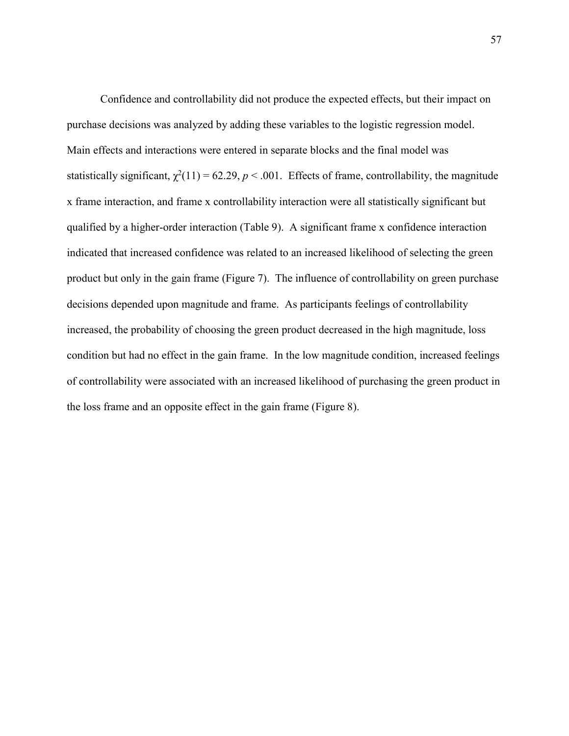Confidence and controllability did not produce the expected effects, but their impact on purchase decisions was analyzed by adding these variables to the logistic regression model. Main effects and interactions were entered in separate blocks and the final model was statistically significant,  $\chi^2(11) = 62.29$ ,  $p < .001$ . Effects of frame, controllability, the magnitude x frame interaction, and frame x controllability interaction were all statistically significant but qualified by a higher-order interaction (Table 9). A significant frame x confidence interaction indicated that increased confidence was related to an increased likelihood of selecting the green product but only in the gain frame (Figure 7). The influence of controllability on green purchase decisions depended upon magnitude and frame. As participants feelings of controllability increased, the probability of choosing the green product decreased in the high magnitude, loss condition but had no effect in the gain frame. In the low magnitude condition, increased feelings of controllability were associated with an increased likelihood of purchasing the green product in the loss frame and an opposite effect in the gain frame (Figure 8).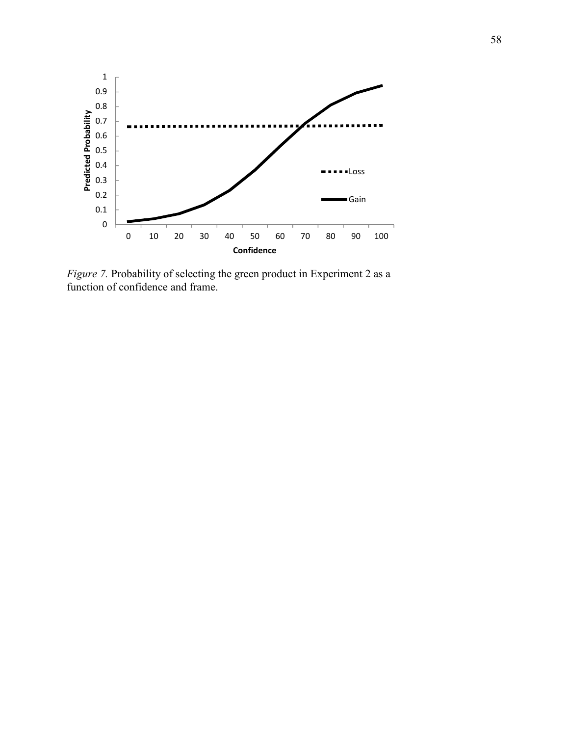

*Figure 7.* Probability of selecting the green product in Experiment 2 as a function of confidence and frame.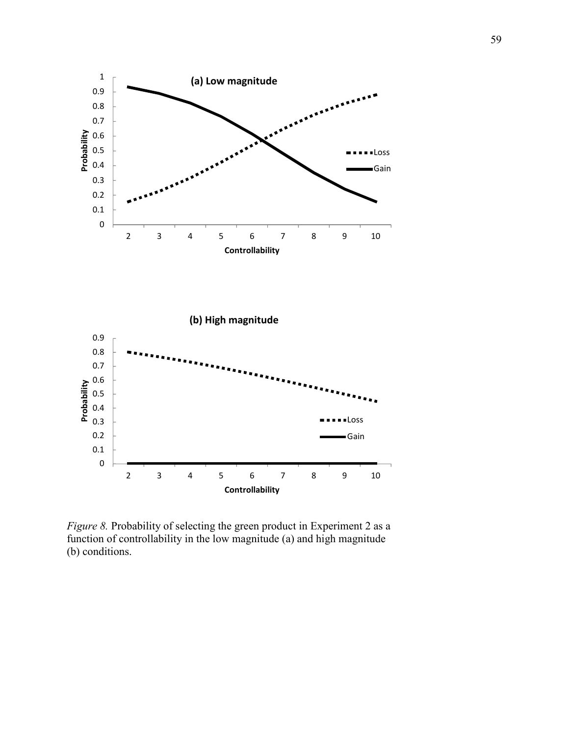

*Figure 8.* Probability of selecting the green product in Experiment 2 as a function of controllability in the low magnitude (a) and high magnitude (b) conditions.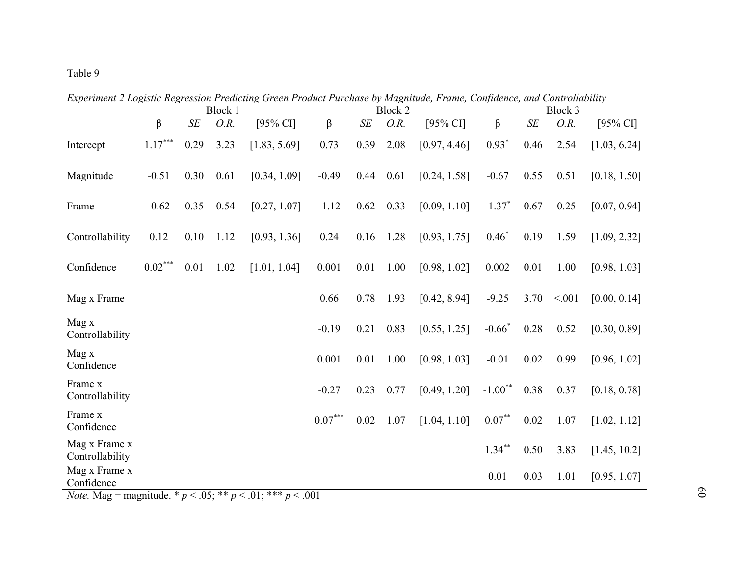# Table 9

|                                                          | Block 1                                           |      |          |              | <b>Block 2</b> |        | Block 3 |              |           |      |        |              |
|----------------------------------------------------------|---------------------------------------------------|------|----------|--------------|----------------|--------|---------|--------------|-----------|------|--------|--------------|
|                                                          | $\beta$                                           | SE   | O.R.     | [95% CI]     | $\beta$        | $S\!E$ | O.R.    | $[95%$ CI]   | β         | SE   | O.R.   | $[95%$ CI]   |
| Intercept                                                | $1.17***$                                         | 0.29 | 3.23     | [1.83, 5.69] | 0.73           | 0.39   | 2.08    | [0.97, 4.46] | $0.93*$   | 0.46 | 2.54   | [1.03, 6.24] |
| Magnitude                                                | $-0.51$                                           | 0.30 | 0.61     | [0.34, 1.09] | $-0.49$        | 0.44   | 0.61    | [0.24, 1.58] | $-0.67$   | 0.55 | 0.51   | [0.18, 1.50] |
| Frame                                                    | $-0.62$                                           | 0.35 | 0.54     | [0.27, 1.07] | $-1.12$        | 0.62   | 0.33    | [0.09, 1.10] | $-1.37*$  | 0.67 | 0.25   | [0.07, 0.94] |
| Controllability                                          | 0.12                                              | 0.10 | 1.12     | [0.93, 1.36] | 0.24           | 0.16   | 1.28    | [0.93, 1.75] | $0.46*$   | 0.19 | 1.59   | [1.09, 2.32] |
| Confidence                                               | $0.02***$                                         | 0.01 | 1.02     | [1.01, 1.04] | 0.001          | 0.01   | 1.00    | [0.98, 1.02] | 0.002     | 0.01 | 1.00   | [0.98, 1.03] |
| Mag x Frame                                              |                                                   |      |          |              | 0.66           | 0.78   | 1.93    | [0.42, 8.94] | $-9.25$   | 3.70 | < 0.01 | [0.00, 0.14] |
| Mag x<br>Controllability                                 |                                                   |      |          |              | $-0.19$        | 0.21   | 0.83    | [0.55, 1.25] | $-0.66*$  | 0.28 | 0.52   | [0.30, 0.89] |
| Mag x<br>Confidence                                      |                                                   |      |          |              | 0.001          | 0.01   | 1.00    | [0.98, 1.03] | $-0.01$   | 0.02 | 0.99   | [0.96, 1.02] |
| Frame x<br>Controllability                               |                                                   |      |          |              | $-0.27$        | 0.23   | 0.77    | [0.49, 1.20] | $-1.00**$ | 0.38 | 0.37   | [0.18, 0.78] |
| Frame x<br>Confidence                                    |                                                   |      |          |              | $0.07***$      | 0.02   | 1.07    | [1.04, 1.10] | $0.07***$ | 0.02 | 1.07   | [1.02, 1.12] |
| Mag x Frame x<br>Controllability                         |                                                   |      |          |              |                |        |         |              | $1.34***$ | 0.50 | 3.83   | [1.45, 10.2] |
| Mag x Frame x<br>Confidence<br>$\mathbf{v}$ $\mathbf{v}$ | $\mathbf{r}_1$ and $\mathbf{r}_2$<br>$\mathbf{L}$ |      | $0 - 44$ | $01 - 444$   | 0.01           |        |         |              | 0.01      | 0.03 | 1.01   | [0.95, 1.07] |

*Experiment 2 Logistic Regression Predicting Green Product Purchase by Magnitude, Frame, Confidence, and Controllability* 

*Note.* Mag = magnitude. \* *p* < .05; \*\* *p* < .01; \*\*\* *p* < .001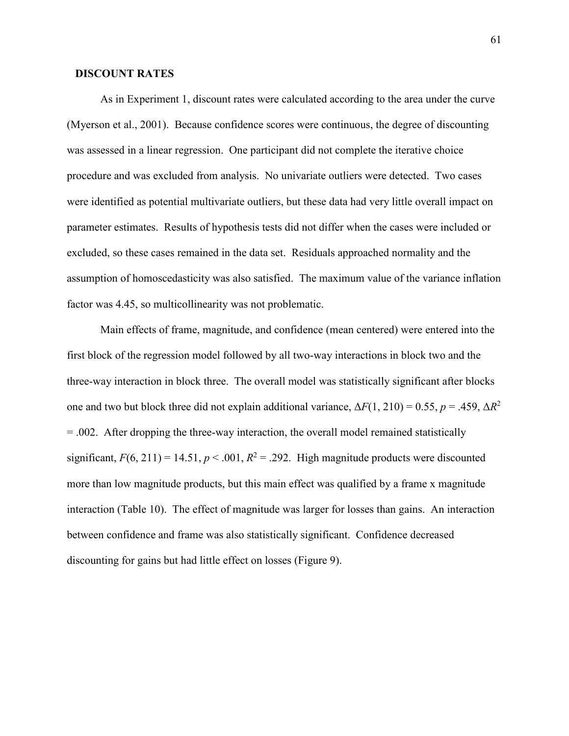### **DISCOUNT RATES**

 As in Experiment 1, discount rates were calculated according to the area under the curve (Myerson et al., 2001). Because confidence scores were continuous, the degree of discounting was assessed in a linear regression. One participant did not complete the iterative choice procedure and was excluded from analysis. No univariate outliers were detected. Two cases were identified as potential multivariate outliers, but these data had very little overall impact on parameter estimates. Results of hypothesis tests did not differ when the cases were included or excluded, so these cases remained in the data set. Residuals approached normality and the assumption of homoscedasticity was also satisfied. The maximum value of the variance inflation factor was 4.45, so multicollinearity was not problematic.

 Main effects of frame, magnitude, and confidence (mean centered) were entered into the first block of the regression model followed by all two-way interactions in block two and the three-way interaction in block three. The overall model was statistically significant after blocks one and two but block three did not explain additional variance,  $\Delta F(1, 210) = 0.55$ ,  $p = .459$ ,  $\Delta R^2$ = .002. After dropping the three-way interaction, the overall model remained statistically significant,  $F(6, 211) = 14.51$ ,  $p < .001$ ,  $R^2 = .292$ . High magnitude products were discounted more than low magnitude products, but this main effect was qualified by a frame x magnitude interaction (Table 10). The effect of magnitude was larger for losses than gains. An interaction between confidence and frame was also statistically significant. Confidence decreased discounting for gains but had little effect on losses (Figure 9).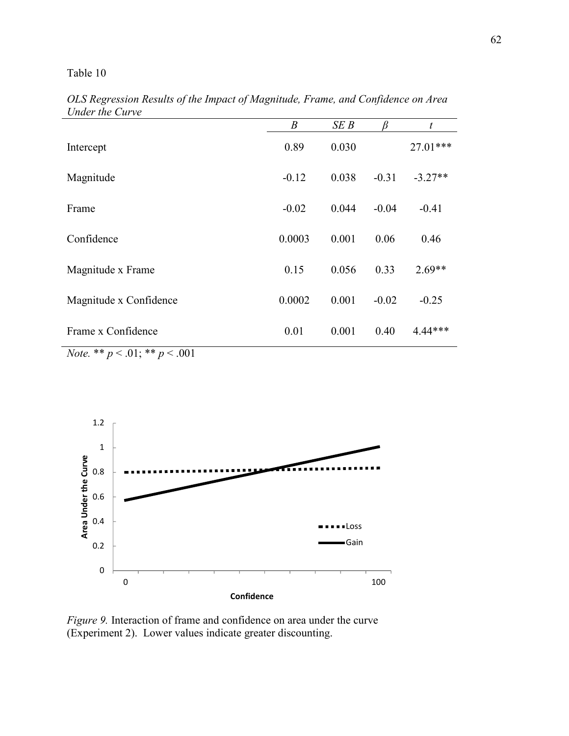# Table 10

|                                                                                                            | $\boldsymbol{B}$ | SEB   |         | t         |
|------------------------------------------------------------------------------------------------------------|------------------|-------|---------|-----------|
| Intercept                                                                                                  | 0.89             | 0.030 |         | 27.01***  |
| Magnitude                                                                                                  | $-0.12$          | 0.038 | $-0.31$ | $-3.27**$ |
| Frame                                                                                                      | $-0.02$          | 0.044 | $-0.04$ | $-0.41$   |
| Confidence                                                                                                 | 0.0003           | 0.001 | 0.06    | 0.46      |
| Magnitude x Frame                                                                                          | 0.15             | 0.056 | 0.33    | $2.69**$  |
| Magnitude x Confidence                                                                                     | 0.0002           | 0.001 | $-0.02$ | $-0.25$   |
| Frame x Confidence                                                                                         | 0.01             | 0.001 | 0.40    | 4.44***   |
| $\mathbf{M}^T$ , and also $\mathbf{M}^T$ , $\mathbf{M}^T$ , $\mathbf{M}^T$ , $\mathbf{M}^T$<br>$\sim$ 0.01 |                  |       |         |           |

*OLS Regression Results of the Impact of Magnitude, Frame, and Confidence on Area Under the Curve* 

*Note.* \*\* *p* < .01; \*\* *p* < .001



*Figure 9.* Interaction of frame and confidence on area under the curve (Experiment 2). Lower values indicate greater discounting.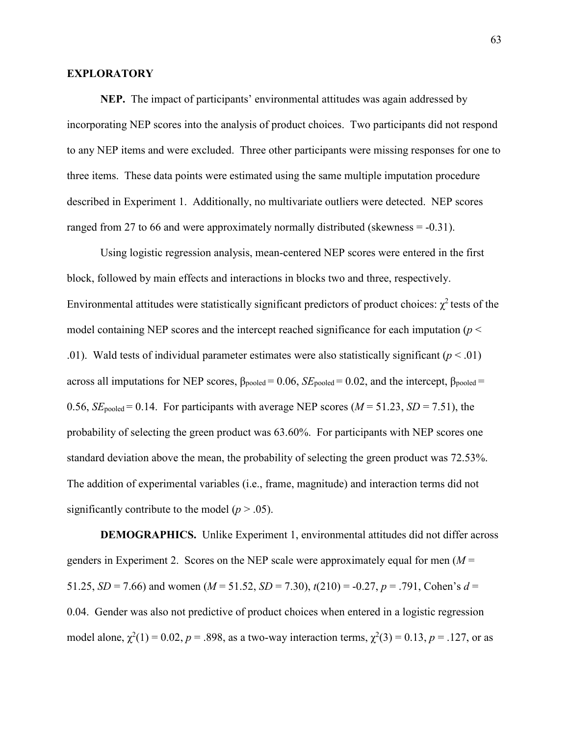### **EXPLORATORY**

 **NEP.** The impact of participants' environmental attitudes was again addressed by incorporating NEP scores into the analysis of product choices. Two participants did not respond to any NEP items and were excluded. Three other participants were missing responses for one to three items. These data points were estimated using the same multiple imputation procedure described in Experiment 1. Additionally, no multivariate outliers were detected. NEP scores ranged from 27 to 66 and were approximately normally distributed (skewness = -0.31).

 Using logistic regression analysis, mean-centered NEP scores were entered in the first block, followed by main effects and interactions in blocks two and three, respectively. Environmental attitudes were statistically significant predictors of product choices:  $\chi^2$  tests of the model containing NEP scores and the intercept reached significance for each imputation ( $p <$ .01). Wald tests of individual parameter estimates were also statistically significant  $(p < .01)$ across all imputations for NEP scores,  $β_{pooled} = 0.06$ ,  $SE_{pooled} = 0.02$ , and the intercept,  $β_{pooled} =$ 0.56,  $SE_{pooled} = 0.14$ . For participants with average NEP scores ( $M = 51.23$ ,  $SD = 7.51$ ), the probability of selecting the green product was 63.60%. For participants with NEP scores one standard deviation above the mean, the probability of selecting the green product was 72.53%. The addition of experimental variables (i.e., frame, magnitude) and interaction terms did not significantly contribute to the model  $(p > .05)$ .

**DEMOGRAPHICS.** Unlike Experiment 1, environmental attitudes did not differ across genders in Experiment 2. Scores on the NEP scale were approximately equal for men  $(M =$ 51.25, *SD* = 7.66) and women ( $M = 51.52$ , *SD* = 7.30),  $t(210) = -0.27$ ,  $p = .791$ , Cohen's  $d =$ 0.04. Gender was also not predictive of product choices when entered in a logistic regression model alone,  $\chi^2(1) = 0.02$ ,  $p = .898$ , as a two-way interaction terms,  $\chi^2(3) = 0.13$ ,  $p = .127$ , or as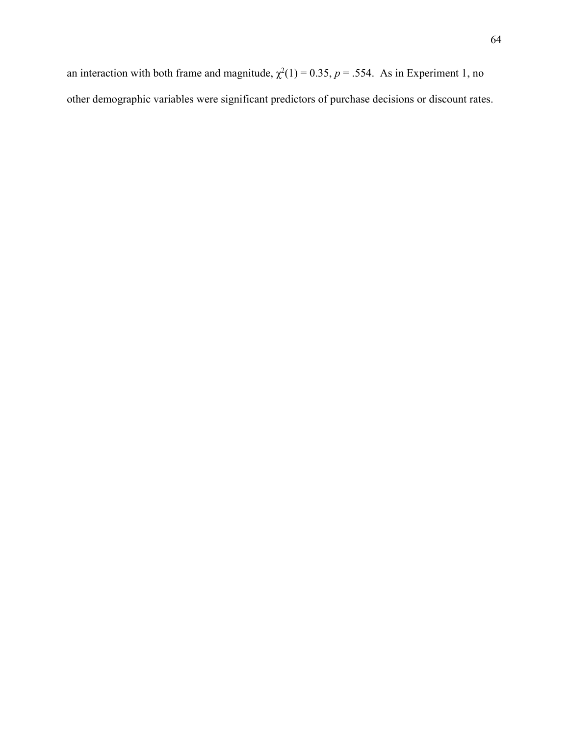an interaction with both frame and magnitude,  $\chi^2(1) = 0.35$ ,  $p = .554$ . As in Experiment 1, no other demographic variables were significant predictors of purchase decisions or discount rates.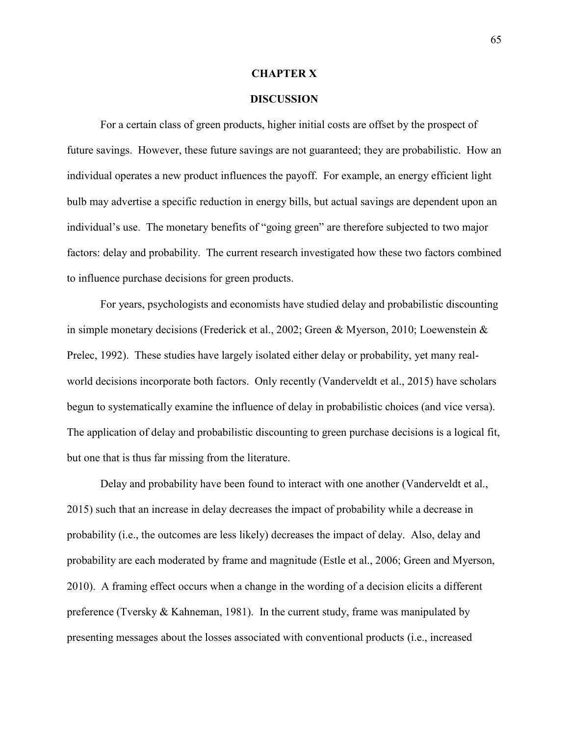#### **CHAPTER X**

#### **DISCUSSION**

 For a certain class of green products, higher initial costs are offset by the prospect of future savings. However, these future savings are not guaranteed; they are probabilistic. How an individual operates a new product influences the payoff. For example, an energy efficient light bulb may advertise a specific reduction in energy bills, but actual savings are dependent upon an individual's use. The monetary benefits of "going green" are therefore subjected to two major factors: delay and probability. The current research investigated how these two factors combined to influence purchase decisions for green products.

 For years, psychologists and economists have studied delay and probabilistic discounting in simple monetary decisions (Frederick et al., 2002; Green & Myerson, 2010; Loewenstein & Prelec, 1992). These studies have largely isolated either delay or probability, yet many realworld decisions incorporate both factors. Only recently (Vanderveldt et al., 2015) have scholars begun to systematically examine the influence of delay in probabilistic choices (and vice versa). The application of delay and probabilistic discounting to green purchase decisions is a logical fit, but one that is thus far missing from the literature.

 Delay and probability have been found to interact with one another (Vanderveldt et al., 2015) such that an increase in delay decreases the impact of probability while a decrease in probability (i.e., the outcomes are less likely) decreases the impact of delay. Also, delay and probability are each moderated by frame and magnitude (Estle et al., 2006; Green and Myerson, 2010). A framing effect occurs when a change in the wording of a decision elicits a different preference (Tversky & Kahneman, 1981). In the current study, frame was manipulated by presenting messages about the losses associated with conventional products (i.e., increased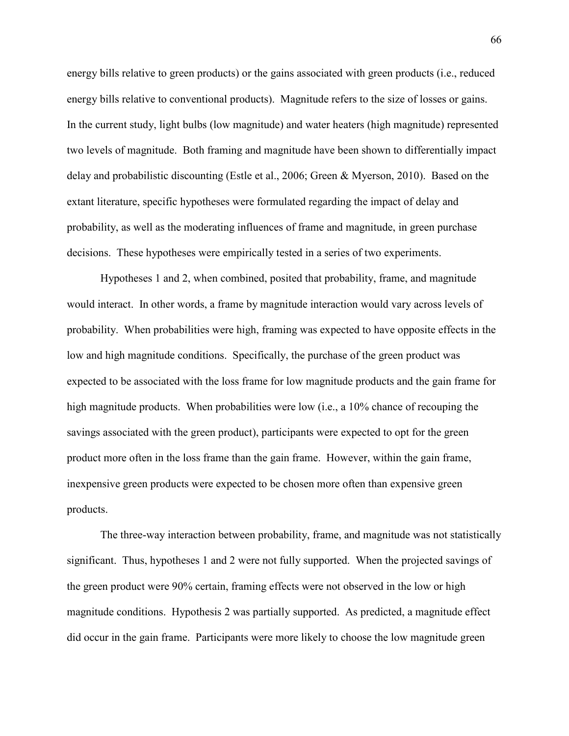energy bills relative to green products) or the gains associated with green products (i.e., reduced energy bills relative to conventional products). Magnitude refers to the size of losses or gains. In the current study, light bulbs (low magnitude) and water heaters (high magnitude) represented two levels of magnitude. Both framing and magnitude have been shown to differentially impact delay and probabilistic discounting (Estle et al., 2006; Green & Myerson, 2010). Based on the extant literature, specific hypotheses were formulated regarding the impact of delay and probability, as well as the moderating influences of frame and magnitude, in green purchase decisions. These hypotheses were empirically tested in a series of two experiments.

 Hypotheses 1 and 2, when combined, posited that probability, frame, and magnitude would interact. In other words, a frame by magnitude interaction would vary across levels of probability. When probabilities were high, framing was expected to have opposite effects in the low and high magnitude conditions. Specifically, the purchase of the green product was expected to be associated with the loss frame for low magnitude products and the gain frame for high magnitude products. When probabilities were low (i.e., a 10% chance of recouping the savings associated with the green product), participants were expected to opt for the green product more often in the loss frame than the gain frame. However, within the gain frame, inexpensive green products were expected to be chosen more often than expensive green products.

The three-way interaction between probability, frame, and magnitude was not statistically significant. Thus, hypotheses 1 and 2 were not fully supported. When the projected savings of the green product were 90% certain, framing effects were not observed in the low or high magnitude conditions. Hypothesis 2 was partially supported. As predicted, a magnitude effect did occur in the gain frame. Participants were more likely to choose the low magnitude green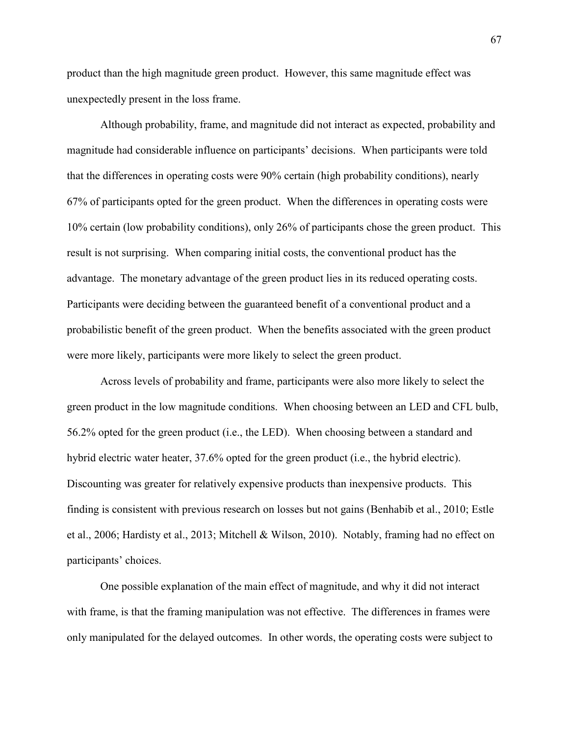product than the high magnitude green product. However, this same magnitude effect was unexpectedly present in the loss frame.

Although probability, frame, and magnitude did not interact as expected, probability and magnitude had considerable influence on participants' decisions. When participants were told that the differences in operating costs were 90% certain (high probability conditions), nearly 67% of participants opted for the green product. When the differences in operating costs were 10% certain (low probability conditions), only 26% of participants chose the green product. This result is not surprising. When comparing initial costs, the conventional product has the advantage. The monetary advantage of the green product lies in its reduced operating costs. Participants were deciding between the guaranteed benefit of a conventional product and a probabilistic benefit of the green product. When the benefits associated with the green product were more likely, participants were more likely to select the green product.

Across levels of probability and frame, participants were also more likely to select the green product in the low magnitude conditions. When choosing between an LED and CFL bulb, 56.2% opted for the green product (i.e., the LED). When choosing between a standard and hybrid electric water heater, 37.6% opted for the green product (i.e., the hybrid electric). Discounting was greater for relatively expensive products than inexpensive products. This finding is consistent with previous research on losses but not gains (Benhabib et al., 2010; Estle et al., 2006; Hardisty et al., 2013; Mitchell & Wilson, 2010). Notably, framing had no effect on participants' choices.

One possible explanation of the main effect of magnitude, and why it did not interact with frame, is that the framing manipulation was not effective. The differences in frames were only manipulated for the delayed outcomes. In other words, the operating costs were subject to

67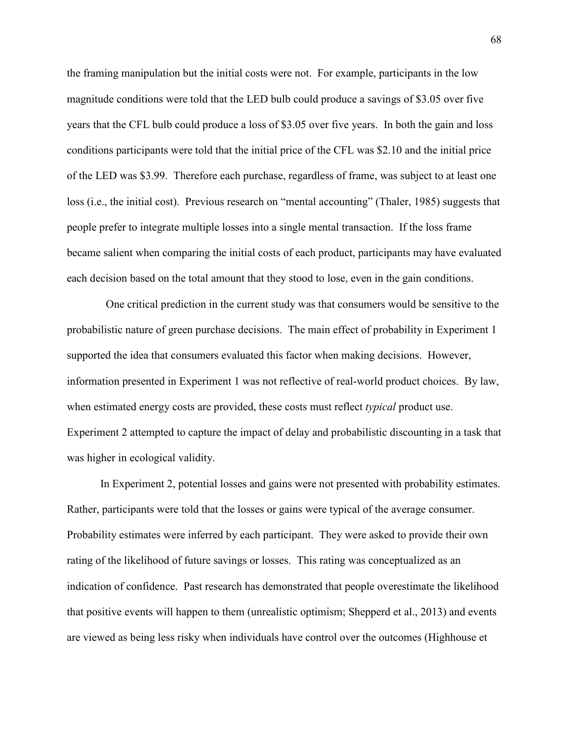the framing manipulation but the initial costs were not. For example, participants in the low magnitude conditions were told that the LED bulb could produce a savings of \$3.05 over five years that the CFL bulb could produce a loss of \$3.05 over five years. In both the gain and loss conditions participants were told that the initial price of the CFL was \$2.10 and the initial price of the LED was \$3.99. Therefore each purchase, regardless of frame, was subject to at least one loss (i.e., the initial cost). Previous research on "mental accounting" (Thaler, 1985) suggests that people prefer to integrate multiple losses into a single mental transaction. If the loss frame became salient when comparing the initial costs of each product, participants may have evaluated each decision based on the total amount that they stood to lose, even in the gain conditions.

 One critical prediction in the current study was that consumers would be sensitive to the probabilistic nature of green purchase decisions. The main effect of probability in Experiment 1 supported the idea that consumers evaluated this factor when making decisions. However, information presented in Experiment 1 was not reflective of real-world product choices. By law, when estimated energy costs are provided, these costs must reflect *typical* product use. Experiment 2 attempted to capture the impact of delay and probabilistic discounting in a task that was higher in ecological validity.

In Experiment 2, potential losses and gains were not presented with probability estimates. Rather, participants were told that the losses or gains were typical of the average consumer. Probability estimates were inferred by each participant. They were asked to provide their own rating of the likelihood of future savings or losses. This rating was conceptualized as an indication of confidence. Past research has demonstrated that people overestimate the likelihood that positive events will happen to them (unrealistic optimism; Shepperd et al., 2013) and events are viewed as being less risky when individuals have control over the outcomes (Highhouse et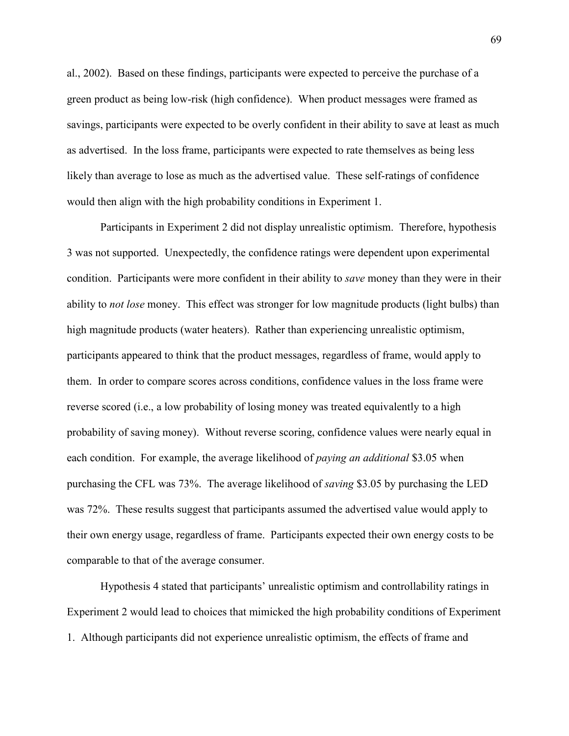al., 2002). Based on these findings, participants were expected to perceive the purchase of a green product as being low-risk (high confidence). When product messages were framed as savings, participants were expected to be overly confident in their ability to save at least as much as advertised. In the loss frame, participants were expected to rate themselves as being less likely than average to lose as much as the advertised value. These self-ratings of confidence would then align with the high probability conditions in Experiment 1.

Participants in Experiment 2 did not display unrealistic optimism. Therefore, hypothesis 3 was not supported. Unexpectedly, the confidence ratings were dependent upon experimental condition. Participants were more confident in their ability to *save* money than they were in their ability to *not lose* money. This effect was stronger for low magnitude products (light bulbs) than high magnitude products (water heaters). Rather than experiencing unrealistic optimism, participants appeared to think that the product messages, regardless of frame, would apply to them. In order to compare scores across conditions, confidence values in the loss frame were reverse scored (i.e., a low probability of losing money was treated equivalently to a high probability of saving money). Without reverse scoring, confidence values were nearly equal in each condition. For example, the average likelihood of *paying an additional* \$3.05 when purchasing the CFL was 73%. The average likelihood of *saving* \$3.05 by purchasing the LED was 72%. These results suggest that participants assumed the advertised value would apply to their own energy usage, regardless of frame. Participants expected their own energy costs to be comparable to that of the average consumer.

Hypothesis 4 stated that participants' unrealistic optimism and controllability ratings in Experiment 2 would lead to choices that mimicked the high probability conditions of Experiment 1. Although participants did not experience unrealistic optimism, the effects of frame and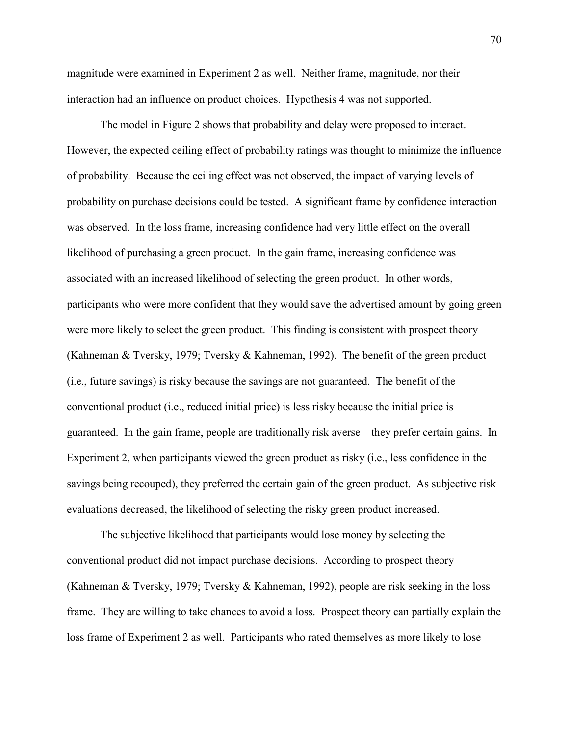magnitude were examined in Experiment 2 as well. Neither frame, magnitude, nor their interaction had an influence on product choices. Hypothesis 4 was not supported.

The model in Figure 2 shows that probability and delay were proposed to interact. However, the expected ceiling effect of probability ratings was thought to minimize the influence of probability. Because the ceiling effect was not observed, the impact of varying levels of probability on purchase decisions could be tested. A significant frame by confidence interaction was observed. In the loss frame, increasing confidence had very little effect on the overall likelihood of purchasing a green product. In the gain frame, increasing confidence was associated with an increased likelihood of selecting the green product. In other words, participants who were more confident that they would save the advertised amount by going green were more likely to select the green product. This finding is consistent with prospect theory (Kahneman & Tversky, 1979; Tversky & Kahneman, 1992). The benefit of the green product (i.e., future savings) is risky because the savings are not guaranteed. The benefit of the conventional product (i.e., reduced initial price) is less risky because the initial price is guaranteed. In the gain frame, people are traditionally risk averse—they prefer certain gains. In Experiment 2, when participants viewed the green product as risky (i.e., less confidence in the savings being recouped), they preferred the certain gain of the green product. As subjective risk evaluations decreased, the likelihood of selecting the risky green product increased.

The subjective likelihood that participants would lose money by selecting the conventional product did not impact purchase decisions. According to prospect theory (Kahneman & Tversky, 1979; Tversky & Kahneman, 1992), people are risk seeking in the loss frame. They are willing to take chances to avoid a loss. Prospect theory can partially explain the loss frame of Experiment 2 as well. Participants who rated themselves as more likely to lose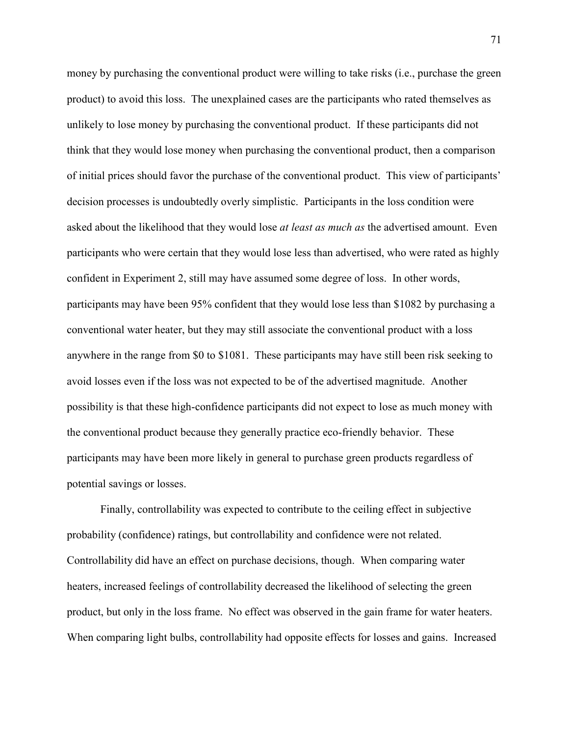money by purchasing the conventional product were willing to take risks (i.e., purchase the green product) to avoid this loss. The unexplained cases are the participants who rated themselves as unlikely to lose money by purchasing the conventional product. If these participants did not think that they would lose money when purchasing the conventional product, then a comparison of initial prices should favor the purchase of the conventional product. This view of participants' decision processes is undoubtedly overly simplistic. Participants in the loss condition were asked about the likelihood that they would lose *at least as much as* the advertised amount. Even participants who were certain that they would lose less than advertised, who were rated as highly confident in Experiment 2, still may have assumed some degree of loss. In other words, participants may have been 95% confident that they would lose less than \$1082 by purchasing a conventional water heater, but they may still associate the conventional product with a loss anywhere in the range from \$0 to \$1081. These participants may have still been risk seeking to avoid losses even if the loss was not expected to be of the advertised magnitude. Another possibility is that these high-confidence participants did not expect to lose as much money with the conventional product because they generally practice eco-friendly behavior. These participants may have been more likely in general to purchase green products regardless of potential savings or losses.

Finally, controllability was expected to contribute to the ceiling effect in subjective probability (confidence) ratings, but controllability and confidence were not related. Controllability did have an effect on purchase decisions, though. When comparing water heaters, increased feelings of controllability decreased the likelihood of selecting the green product, but only in the loss frame. No effect was observed in the gain frame for water heaters. When comparing light bulbs, controllability had opposite effects for losses and gains. Increased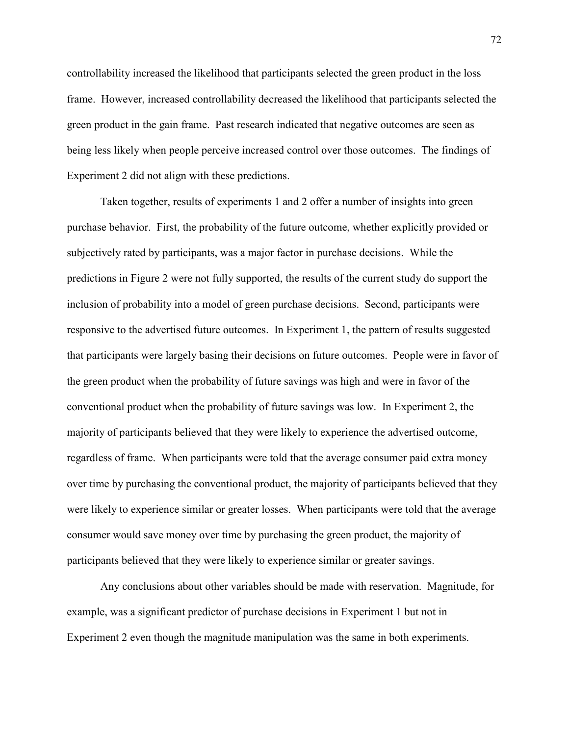controllability increased the likelihood that participants selected the green product in the loss frame. However, increased controllability decreased the likelihood that participants selected the green product in the gain frame. Past research indicated that negative outcomes are seen as being less likely when people perceive increased control over those outcomes. The findings of Experiment 2 did not align with these predictions.

Taken together, results of experiments 1 and 2 offer a number of insights into green purchase behavior. First, the probability of the future outcome, whether explicitly provided or subjectively rated by participants, was a major factor in purchase decisions. While the predictions in Figure 2 were not fully supported, the results of the current study do support the inclusion of probability into a model of green purchase decisions. Second, participants were responsive to the advertised future outcomes. In Experiment 1, the pattern of results suggested that participants were largely basing their decisions on future outcomes. People were in favor of the green product when the probability of future savings was high and were in favor of the conventional product when the probability of future savings was low. In Experiment 2, the majority of participants believed that they were likely to experience the advertised outcome, regardless of frame. When participants were told that the average consumer paid extra money over time by purchasing the conventional product, the majority of participants believed that they were likely to experience similar or greater losses. When participants were told that the average consumer would save money over time by purchasing the green product, the majority of participants believed that they were likely to experience similar or greater savings.

Any conclusions about other variables should be made with reservation. Magnitude, for example, was a significant predictor of purchase decisions in Experiment 1 but not in Experiment 2 even though the magnitude manipulation was the same in both experiments.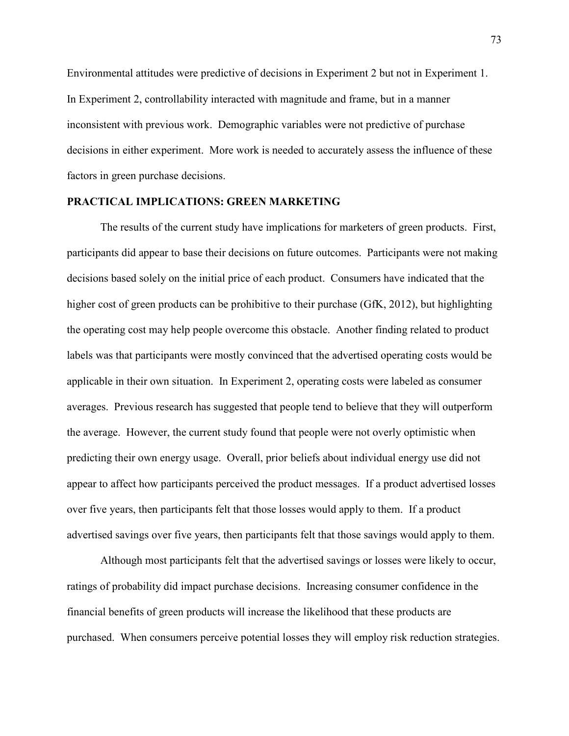Environmental attitudes were predictive of decisions in Experiment 2 but not in Experiment 1. In Experiment 2, controllability interacted with magnitude and frame, but in a manner inconsistent with previous work. Demographic variables were not predictive of purchase decisions in either experiment. More work is needed to accurately assess the influence of these factors in green purchase decisions.

#### **PRACTICAL IMPLICATIONS: GREEN MARKETING**

 The results of the current study have implications for marketers of green products. First, participants did appear to base their decisions on future outcomes. Participants were not making decisions based solely on the initial price of each product. Consumers have indicated that the higher cost of green products can be prohibitive to their purchase (GfK, 2012), but highlighting the operating cost may help people overcome this obstacle. Another finding related to product labels was that participants were mostly convinced that the advertised operating costs would be applicable in their own situation. In Experiment 2, operating costs were labeled as consumer averages. Previous research has suggested that people tend to believe that they will outperform the average. However, the current study found that people were not overly optimistic when predicting their own energy usage. Overall, prior beliefs about individual energy use did not appear to affect how participants perceived the product messages. If a product advertised losses over five years, then participants felt that those losses would apply to them. If a product advertised savings over five years, then participants felt that those savings would apply to them.

 Although most participants felt that the advertised savings or losses were likely to occur, ratings of probability did impact purchase decisions. Increasing consumer confidence in the financial benefits of green products will increase the likelihood that these products are purchased. When consumers perceive potential losses they will employ risk reduction strategies.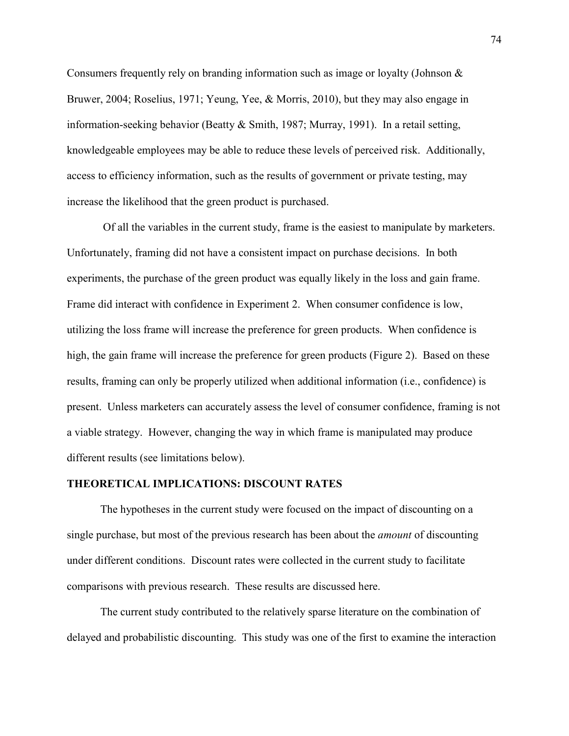Consumers frequently rely on branding information such as image or loyalty (Johnson & Bruwer, 2004; Roselius, 1971; Yeung, Yee, & Morris, 2010), but they may also engage in information-seeking behavior (Beatty & Smith, 1987; Murray, 1991). In a retail setting, knowledgeable employees may be able to reduce these levels of perceived risk. Additionally, access to efficiency information, such as the results of government or private testing, may increase the likelihood that the green product is purchased.

 Of all the variables in the current study, frame is the easiest to manipulate by marketers. Unfortunately, framing did not have a consistent impact on purchase decisions. In both experiments, the purchase of the green product was equally likely in the loss and gain frame. Frame did interact with confidence in Experiment 2. When consumer confidence is low, utilizing the loss frame will increase the preference for green products. When confidence is high, the gain frame will increase the preference for green products (Figure 2). Based on these results, framing can only be properly utilized when additional information (i.e., confidence) is present. Unless marketers can accurately assess the level of consumer confidence, framing is not a viable strategy. However, changing the way in which frame is manipulated may produce different results (see limitations below).

#### **THEORETICAL IMPLICATIONS: DISCOUNT RATES**

 The hypotheses in the current study were focused on the impact of discounting on a single purchase, but most of the previous research has been about the *amount* of discounting under different conditions. Discount rates were collected in the current study to facilitate comparisons with previous research. These results are discussed here.

The current study contributed to the relatively sparse literature on the combination of delayed and probabilistic discounting. This study was one of the first to examine the interaction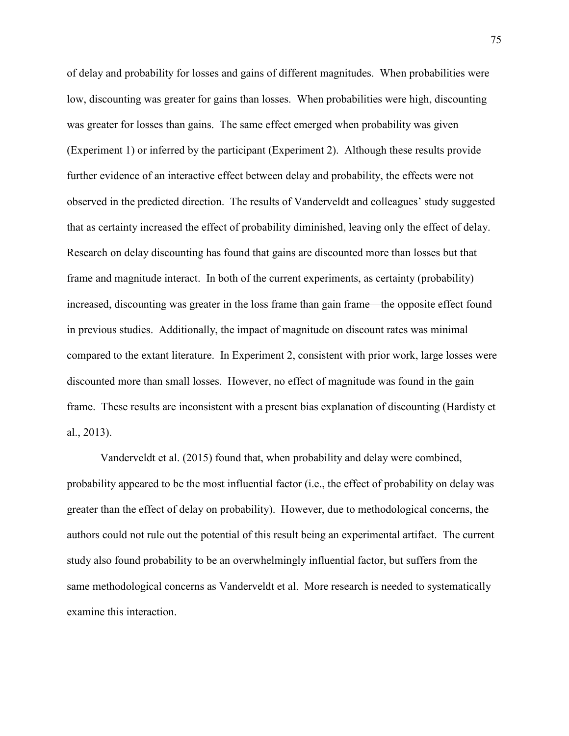of delay and probability for losses and gains of different magnitudes. When probabilities were low, discounting was greater for gains than losses. When probabilities were high, discounting was greater for losses than gains. The same effect emerged when probability was given (Experiment 1) or inferred by the participant (Experiment 2). Although these results provide further evidence of an interactive effect between delay and probability, the effects were not observed in the predicted direction. The results of Vanderveldt and colleagues' study suggested that as certainty increased the effect of probability diminished, leaving only the effect of delay. Research on delay discounting has found that gains are discounted more than losses but that frame and magnitude interact. In both of the current experiments, as certainty (probability) increased, discounting was greater in the loss frame than gain frame—the opposite effect found in previous studies. Additionally, the impact of magnitude on discount rates was minimal compared to the extant literature. In Experiment 2, consistent with prior work, large losses were discounted more than small losses. However, no effect of magnitude was found in the gain frame. These results are inconsistent with a present bias explanation of discounting (Hardisty et al., 2013).

Vanderveldt et al. (2015) found that, when probability and delay were combined, probability appeared to be the most influential factor (i.e., the effect of probability on delay was greater than the effect of delay on probability). However, due to methodological concerns, the authors could not rule out the potential of this result being an experimental artifact. The current study also found probability to be an overwhelmingly influential factor, but suffers from the same methodological concerns as Vanderveldt et al. More research is needed to systematically examine this interaction.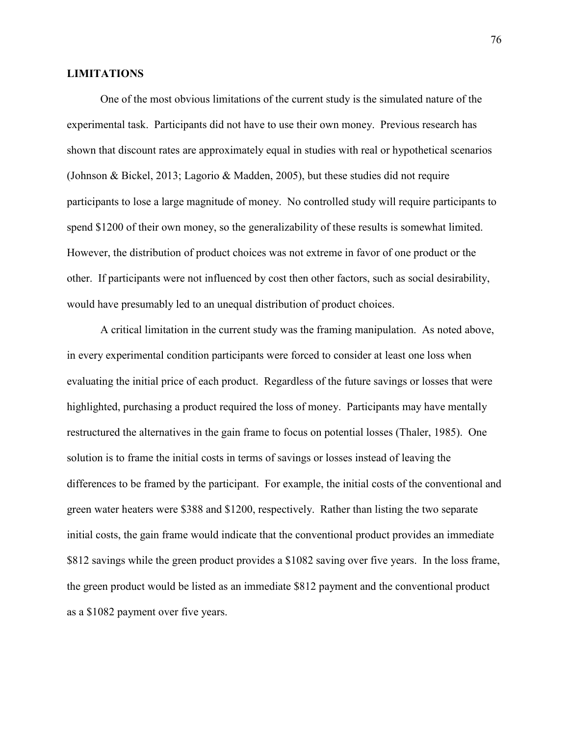#### **LIMITATIONS**

 One of the most obvious limitations of the current study is the simulated nature of the experimental task. Participants did not have to use their own money. Previous research has shown that discount rates are approximately equal in studies with real or hypothetical scenarios (Johnson & Bickel, 2013; Lagorio & Madden, 2005), but these studies did not require participants to lose a large magnitude of money. No controlled study will require participants to spend \$1200 of their own money, so the generalizability of these results is somewhat limited. However, the distribution of product choices was not extreme in favor of one product or the other. If participants were not influenced by cost then other factors, such as social desirability, would have presumably led to an unequal distribution of product choices.

A critical limitation in the current study was the framing manipulation. As noted above, in every experimental condition participants were forced to consider at least one loss when evaluating the initial price of each product. Regardless of the future savings or losses that were highlighted, purchasing a product required the loss of money. Participants may have mentally restructured the alternatives in the gain frame to focus on potential losses (Thaler, 1985). One solution is to frame the initial costs in terms of savings or losses instead of leaving the differences to be framed by the participant. For example, the initial costs of the conventional and green water heaters were \$388 and \$1200, respectively. Rather than listing the two separate initial costs, the gain frame would indicate that the conventional product provides an immediate \$812 savings while the green product provides a \$1082 saving over five years. In the loss frame, the green product would be listed as an immediate \$812 payment and the conventional product as a \$1082 payment over five years.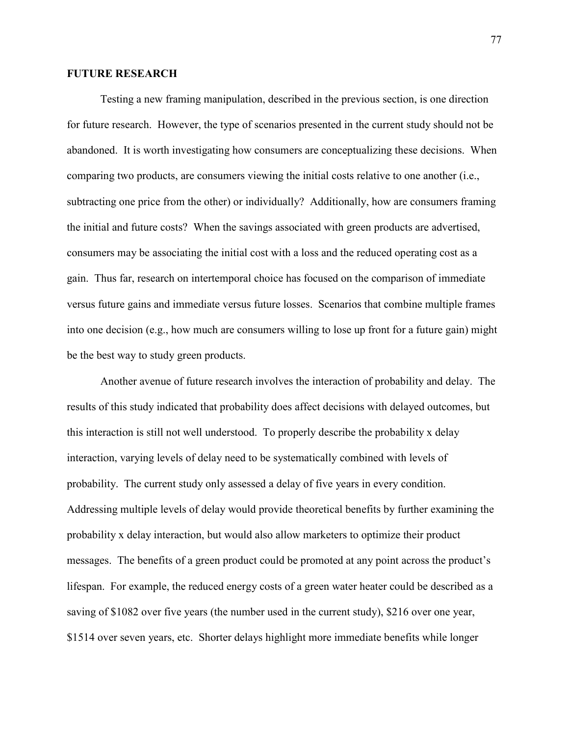#### **FUTURE RESEARCH**

 Testing a new framing manipulation, described in the previous section, is one direction for future research. However, the type of scenarios presented in the current study should not be abandoned. It is worth investigating how consumers are conceptualizing these decisions. When comparing two products, are consumers viewing the initial costs relative to one another (i.e., subtracting one price from the other) or individually? Additionally, how are consumers framing the initial and future costs? When the savings associated with green products are advertised, consumers may be associating the initial cost with a loss and the reduced operating cost as a gain. Thus far, research on intertemporal choice has focused on the comparison of immediate versus future gains and immediate versus future losses. Scenarios that combine multiple frames into one decision (e.g., how much are consumers willing to lose up front for a future gain) might be the best way to study green products.

Another avenue of future research involves the interaction of probability and delay. The results of this study indicated that probability does affect decisions with delayed outcomes, but this interaction is still not well understood. To properly describe the probability x delay interaction, varying levels of delay need to be systematically combined with levels of probability. The current study only assessed a delay of five years in every condition. Addressing multiple levels of delay would provide theoretical benefits by further examining the probability x delay interaction, but would also allow marketers to optimize their product messages. The benefits of a green product could be promoted at any point across the product's lifespan. For example, the reduced energy costs of a green water heater could be described as a saving of \$1082 over five years (the number used in the current study), \$216 over one year, \$1514 over seven years, etc. Shorter delays highlight more immediate benefits while longer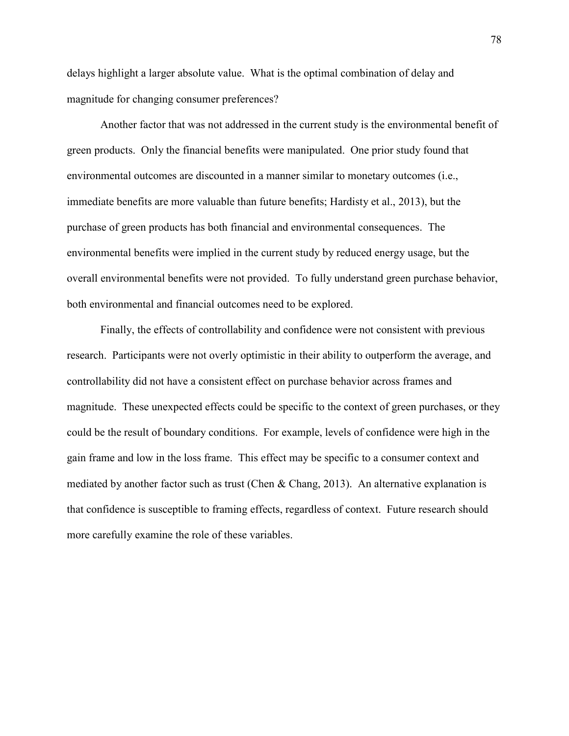delays highlight a larger absolute value. What is the optimal combination of delay and magnitude for changing consumer preferences?

 Another factor that was not addressed in the current study is the environmental benefit of green products. Only the financial benefits were manipulated. One prior study found that environmental outcomes are discounted in a manner similar to monetary outcomes (i.e., immediate benefits are more valuable than future benefits; Hardisty et al., 2013), but the purchase of green products has both financial and environmental consequences. The environmental benefits were implied in the current study by reduced energy usage, but the overall environmental benefits were not provided. To fully understand green purchase behavior, both environmental and financial outcomes need to be explored.

 Finally, the effects of controllability and confidence were not consistent with previous research. Participants were not overly optimistic in their ability to outperform the average, and controllability did not have a consistent effect on purchase behavior across frames and magnitude. These unexpected effects could be specific to the context of green purchases, or they could be the result of boundary conditions. For example, levels of confidence were high in the gain frame and low in the loss frame. This effect may be specific to a consumer context and mediated by another factor such as trust (Chen & Chang, 2013). An alternative explanation is that confidence is susceptible to framing effects, regardless of context. Future research should more carefully examine the role of these variables.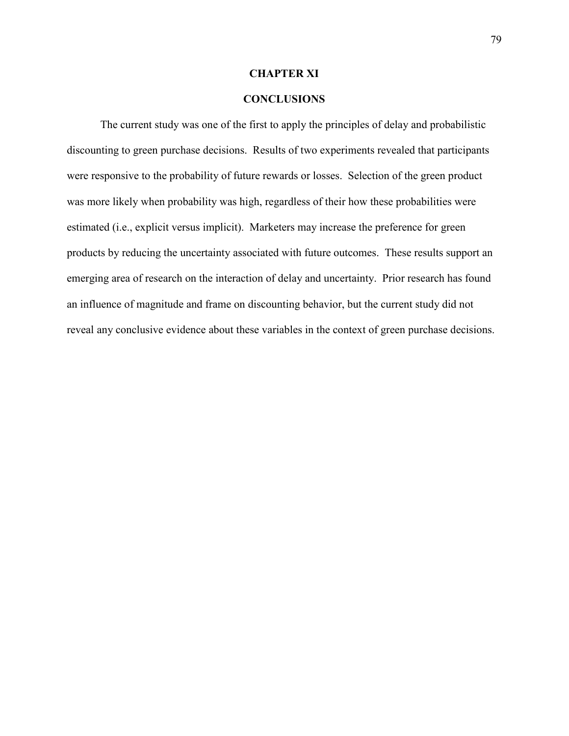#### **CHAPTER XI**

#### **CONCLUSIONS**

 The current study was one of the first to apply the principles of delay and probabilistic discounting to green purchase decisions. Results of two experiments revealed that participants were responsive to the probability of future rewards or losses. Selection of the green product was more likely when probability was high, regardless of their how these probabilities were estimated (i.e., explicit versus implicit). Marketers may increase the preference for green products by reducing the uncertainty associated with future outcomes. These results support an emerging area of research on the interaction of delay and uncertainty. Prior research has found an influence of magnitude and frame on discounting behavior, but the current study did not reveal any conclusive evidence about these variables in the context of green purchase decisions.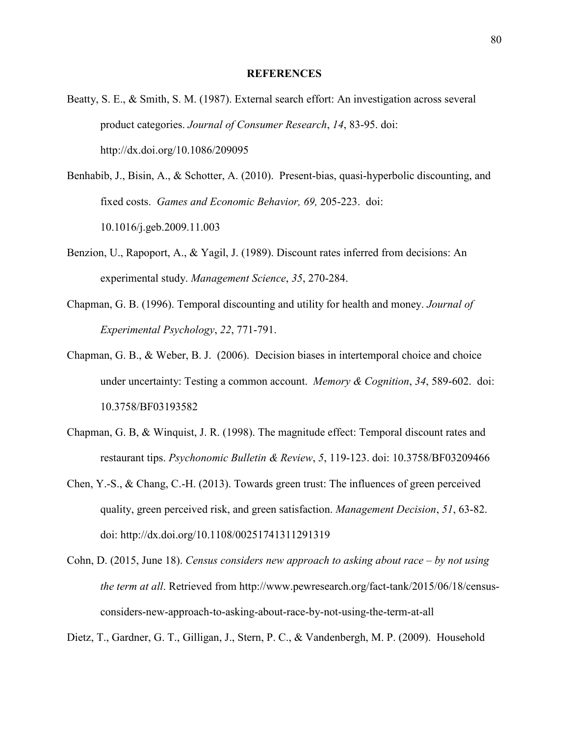#### **REFERENCES**

- Beatty, S. E., & Smith, S. M. (1987). External search effort: An investigation across several product categories. *Journal of Consumer Research*, *14*, 83-95. doi: http://dx.doi.org/10.1086/209095
- Benhabib, J., Bisin, A., & Schotter, A. (2010). Present-bias, quasi-hyperbolic discounting, and fixed costs. *Games and Economic Behavior, 69,* 205-223. doi: 10.1016/j.geb.2009.11.003
- Benzion, U., Rapoport, A., & Yagil, J. (1989). Discount rates inferred from decisions: An experimental study. *Management Science*, *35*, 270-284.
- Chapman, G. B. (1996). Temporal discounting and utility for health and money. *Journal of Experimental Psychology*, *22*, 771-791.
- Chapman, G. B., & Weber, B. J. (2006). Decision biases in intertemporal choice and choice under uncertainty: Testing a common account. *Memory & Cognition*, *34*, 589-602. doi: 10.3758/BF03193582
- Chapman, G. B, & Winquist, J. R. (1998). The magnitude effect: Temporal discount rates and restaurant tips. *Psychonomic Bulletin & Review*, *5*, 119-123. doi: 10.3758/BF03209466
- Chen, Y.-S., & Chang, C.-H. (2013). Towards green trust: The influences of green perceived quality, green perceived risk, and green satisfaction. *Management Decision*, *51*, 63-82. doi: http://dx.doi.org/10.1108/00251741311291319
- Cohn, D. (2015, June 18). *Census considers new approach to asking about race by not using the term at all*. Retrieved from http://www.pewresearch.org/fact-tank/2015/06/18/censusconsiders-new-approach-to-asking-about-race-by-not-using-the-term-at-all

Dietz, T., Gardner, G. T., Gilligan, J., Stern, P. C., & Vandenbergh, M. P. (2009). Household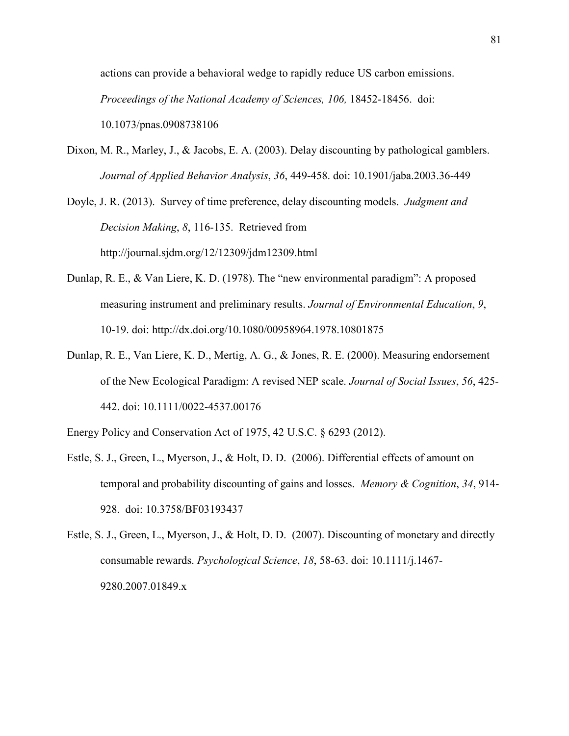actions can provide a behavioral wedge to rapidly reduce US carbon emissions. *Proceedings of the National Academy of Sciences, 106, 18452-18456. doi:* 10.1073/pnas.0908738106

Dixon, M. R., Marley, J., & Jacobs, E. A. (2003). Delay discounting by pathological gamblers. *Journal of Applied Behavior Analysis*, *36*, 449-458. doi: 10.1901/jaba.2003.36-449

Doyle, J. R. (2013). Survey of time preference, delay discounting models. *Judgment and Decision Making*, *8*, 116-135. Retrieved from http://journal.sjdm.org/12/12309/jdm12309.html

- Dunlap, R. E., & Van Liere, K. D. (1978). The "new environmental paradigm": A proposed measuring instrument and preliminary results. *Journal of Environmental Education*, *9*, 10-19. doi: http://dx.doi.org/10.1080/00958964.1978.10801875
- Dunlap, R. E., Van Liere, K. D., Mertig, A. G., & Jones, R. E. (2000). Measuring endorsement of the New Ecological Paradigm: A revised NEP scale. *Journal of Social Issues*, *56*, 425- 442. doi: 10.1111/0022-4537.00176

Energy Policy and Conservation Act of 1975, 42 U.S.C. § 6293 (2012).

Estle, S. J., Green, L., Myerson, J., & Holt, D. D. (2006). Differential effects of amount on temporal and probability discounting of gains and losses. *Memory & Cognition*, *34*, 914- 928. doi: 10.3758/BF03193437

Estle, S. J., Green, L., Myerson, J., & Holt, D. D. (2007). Discounting of monetary and directly consumable rewards. *Psychological Science*, *18*, 58-63. doi: 10.1111/j.1467- 9280.2007.01849.x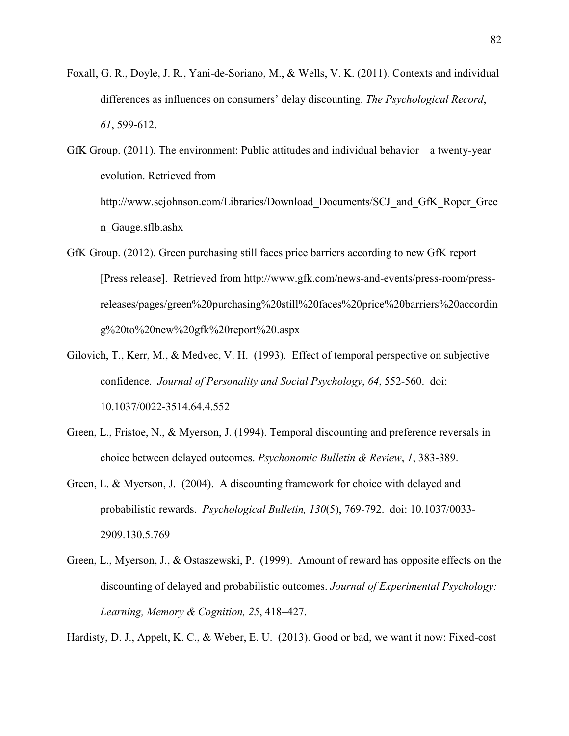- Foxall, G. R., Doyle, J. R., Yani-de-Soriano, M., & Wells, V. K. (2011). Contexts and individual differences as influences on consumers' delay discounting. *The Psychological Record*, *61*, 599-612.
- GfK Group. (2011). The environment: Public attitudes and individual behavior—a twenty-year evolution. Retrieved from http://www.scjohnson.com/Libraries/Download\_Documents/SCJ\_and\_GfK\_Roper\_Gree n\_Gauge.sflb.ashx
- GfK Group. (2012). Green purchasing still faces price barriers according to new GfK report [Press release]. Retrieved from http://www.gfk.com/news-and-events/press-room/pressreleases/pages/green%20purchasing%20still%20faces%20price%20barriers%20accordin g%20to%20new%20gfk%20report%20.aspx
- Gilovich, T., Kerr, M., & Medvec, V. H. (1993). Effect of temporal perspective on subjective confidence. *Journal of Personality and Social Psychology*, *64*, 552-560. doi: 10.1037/0022-3514.64.4.552
- Green, L., Fristoe, N., & Myerson, J. (1994). Temporal discounting and preference reversals in choice between delayed outcomes. *Psychonomic Bulletin & Review*, *1*, 383-389.
- Green, L. & Myerson, J. (2004). A discounting framework for choice with delayed and probabilistic rewards. *Psychological Bulletin, 130*(5), 769-792. doi: 10.1037/0033- 2909.130.5.769
- Green, L., Myerson, J., & Ostaszewski, P. (1999). Amount of reward has opposite effects on the discounting of delayed and probabilistic outcomes. *Journal of Experimental Psychology: Learning, Memory & Cognition, 25*, 418–427.

Hardisty, D. J., Appelt, K. C., & Weber, E. U. (2013). Good or bad, we want it now: Fixed-cost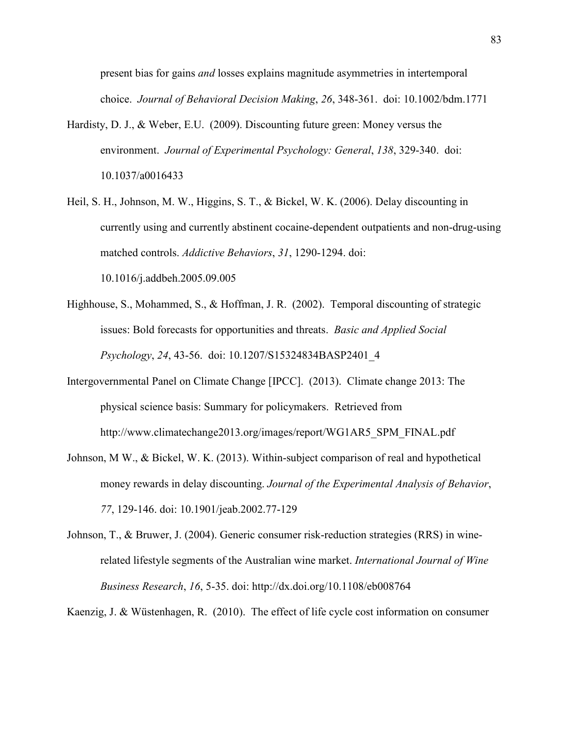present bias for gains *and* losses explains magnitude asymmetries in intertemporal choice. *Journal of Behavioral Decision Making*, *26*, 348-361. doi: 10.1002/bdm.1771

- Hardisty, D. J., & Weber, E.U. (2009). Discounting future green: Money versus the environment. *Journal of Experimental Psychology: General*, *138*, 329-340. doi: 10.1037/a0016433
- Heil, S. H., Johnson, M. W., Higgins, S. T., & Bickel, W. K. (2006). Delay discounting in currently using and currently abstinent cocaine-dependent outpatients and non-drug-using matched controls. *Addictive Behaviors*, *31*, 1290-1294. doi: 10.1016/j.addbeh.2005.09.005
- Highhouse, S., Mohammed, S., & Hoffman, J. R. (2002). Temporal discounting of strategic issues: Bold forecasts for opportunities and threats. *Basic and Applied Social Psychology*, *24*, 43-56. doi: 10.1207/S15324834BASP2401\_4
- Intergovernmental Panel on Climate Change [IPCC]. (2013). Climate change 2013: The physical science basis: Summary for policymakers. Retrieved from http://www.climatechange2013.org/images/report/WG1AR5\_SPM\_FINAL.pdf
- Johnson, M W., & Bickel, W. K. (2013). Within-subject comparison of real and hypothetical money rewards in delay discounting. *Journal of the Experimental Analysis of Behavior*, *77*, 129-146. doi: 10.1901/jeab.2002.77-129
- Johnson, T., & Bruwer, J. (2004). Generic consumer risk-reduction strategies (RRS) in winerelated lifestyle segments of the Australian wine market. *International Journal of Wine Business Research*, *16*, 5-35. doi: http://dx.doi.org/10.1108/eb008764

Kaenzig, J. & Wüstenhagen, R. (2010). The effect of life cycle cost information on consumer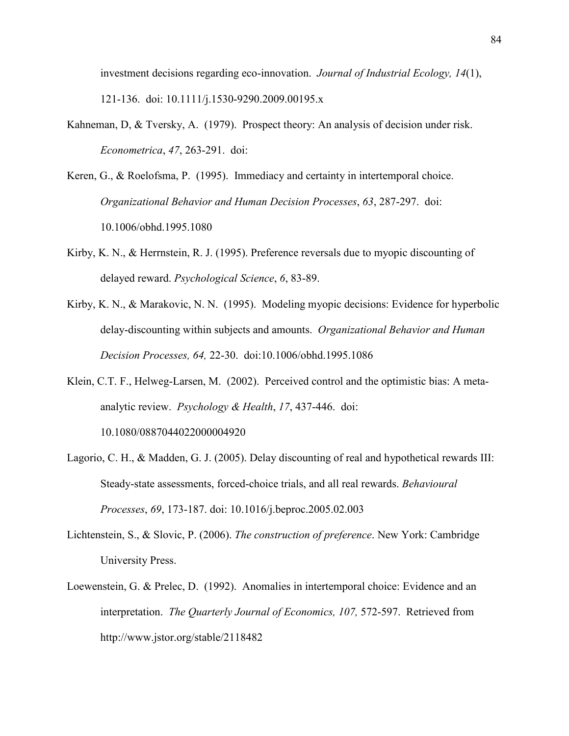investment decisions regarding eco-innovation. *Journal of Industrial Ecology, 14*(1), 121-136. doi: 10.1111/j.1530-9290.2009.00195.x

- Kahneman, D, & Tversky, A. (1979). Prospect theory: An analysis of decision under risk. *Econometrica*, *47*, 263-291. doi:
- Keren, G., & Roelofsma, P. (1995). Immediacy and certainty in intertemporal choice. *Organizational Behavior and Human Decision Processes*, *63*, 287-297. doi: 10.1006/obhd.1995.1080
- Kirby, K. N., & Herrnstein, R. J. (1995). Preference reversals due to myopic discounting of delayed reward. *Psychological Science*, *6*, 83-89.
- Kirby, K. N., & Marakovic, N. N. (1995). Modeling myopic decisions: Evidence for hyperbolic delay-discounting within subjects and amounts. *Organizational Behavior and Human Decision Processes, 64,* 22-30. doi:10.1006/obhd.1995.1086
- Klein, C.T. F., Helweg-Larsen, M. (2002). Perceived control and the optimistic bias: A metaanalytic review. *Psychology & Health*, *17*, 437-446. doi: 10.1080/0887044022000004920
- Lagorio, C. H., & Madden, G. J. (2005). Delay discounting of real and hypothetical rewards III: Steady-state assessments, forced-choice trials, and all real rewards. *Behavioural Processes*, *69*, 173-187. doi: 10.1016/j.beproc.2005.02.003
- Lichtenstein, S., & Slovic, P. (2006). *The construction of preference*. New York: Cambridge University Press.
- Loewenstein, G. & Prelec, D. (1992). Anomalies in intertemporal choice: Evidence and an interpretation. *The Quarterly Journal of Economics, 107,* 572-597. Retrieved from http://www.jstor.org/stable/2118482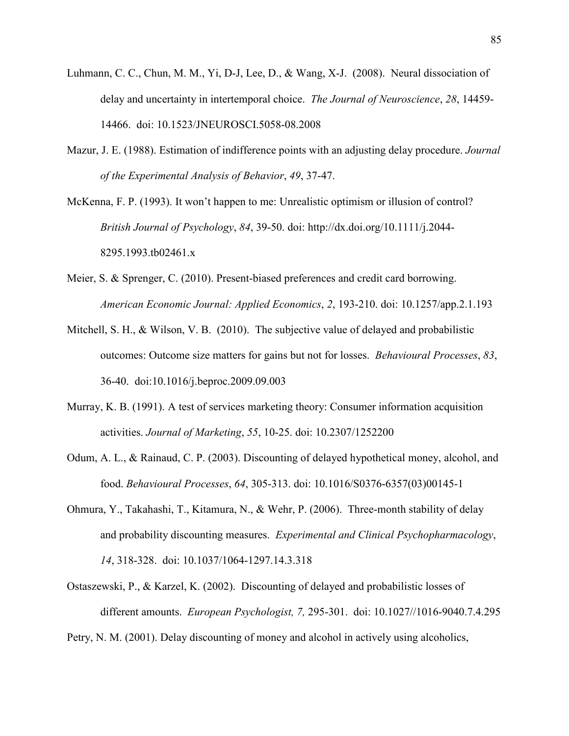- Luhmann, C. C., Chun, M. M., Yi, D-J, Lee, D., & Wang, X-J. (2008). Neural dissociation of delay and uncertainty in intertemporal choice. *The Journal of Neuroscience*, *28*, 14459- 14466. doi: 10.1523/JNEUROSCI.5058-08.2008
- Mazur, J. E. (1988). Estimation of indifference points with an adjusting delay procedure. *Journal of the Experimental Analysis of Behavior*, *49*, 37-47.

McKenna, F. P. (1993). It won't happen to me: Unrealistic optimism or illusion of control? *British Journal of Psychology*, *84*, 39-50. doi: http://dx.doi.org/10.1111/j.2044- 8295.1993.tb02461.x

- Meier, S. & Sprenger, C. (2010). Present-biased preferences and credit card borrowing. *American Economic Journal: Applied Economics*, *2*, 193-210. doi: 10.1257/app.2.1.193
- Mitchell, S. H., & Wilson, V. B. (2010). The subjective value of delayed and probabilistic outcomes: Outcome size matters for gains but not for losses. *Behavioural Processes*, *83*, 36-40. doi:10.1016/j.beproc.2009.09.003
- Murray, K. B. (1991). A test of services marketing theory: Consumer information acquisition activities. *Journal of Marketing*, *55*, 10-25. doi: 10.2307/1252200
- Odum, A. L., & Rainaud, C. P. (2003). Discounting of delayed hypothetical money, alcohol, and food. *Behavioural Processes*, *64*, 305-313. doi: 10.1016/S0376-6357(03)00145-1
- Ohmura, Y., Takahashi, T., Kitamura, N., & Wehr, P. (2006). Three-month stability of delay and probability discounting measures. *Experimental and Clinical Psychopharmacology*, *14*, 318-328. doi: 10.1037/1064-1297.14.3.318
- Ostaszewski, P., & Karzel, K. (2002). Discounting of delayed and probabilistic losses of different amounts. *European Psychologist, 7,* 295-301. doi: 10.1027//1016-9040.7.4.295

Petry, N. M. (2001). Delay discounting of money and alcohol in actively using alcoholics,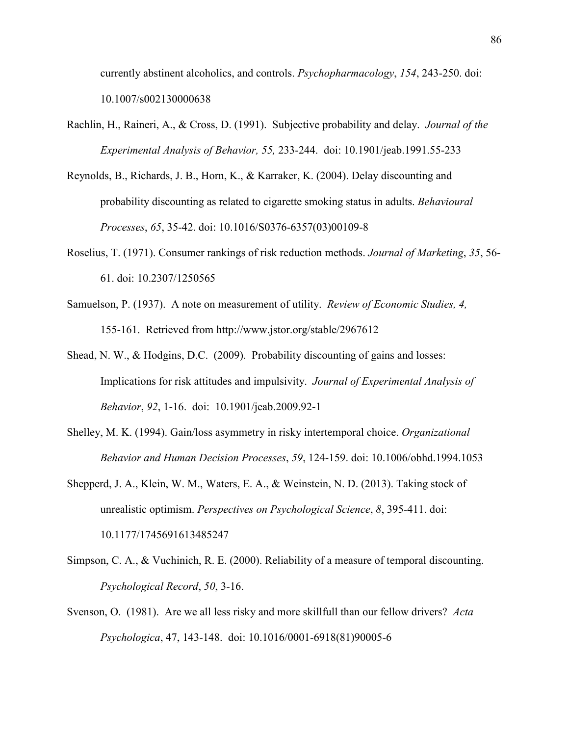currently abstinent alcoholics, and controls. *Psychopharmacology*, *154*, 243-250. doi: 10.1007/s002130000638

- Rachlin, H., Raineri, A., & Cross, D. (1991). Subjective probability and delay. *Journal of the Experimental Analysis of Behavior, 55,* 233-244. doi: 10.1901/jeab.1991.55-233
- Reynolds, B., Richards, J. B., Horn, K., & Karraker, K. (2004). Delay discounting and probability discounting as related to cigarette smoking status in adults. *Behavioural Processes*, *65*, 35-42. doi: 10.1016/S0376-6357(03)00109-8
- Roselius, T. (1971). Consumer rankings of risk reduction methods. *Journal of Marketing*, *35*, 56- 61. doi: 10.2307/1250565
- Samuelson, P. (1937). A note on measurement of utility. *Review of Economic Studies, 4,*  155-161. Retrieved from http://www.jstor.org/stable/2967612
- Shead, N. W., & Hodgins, D.C. (2009). Probability discounting of gains and losses: Implications for risk attitudes and impulsivity. *Journal of Experimental Analysis of Behavior*, *92*, 1-16. doi: 10.1901/jeab.2009.92-1
- Shelley, M. K. (1994). Gain/loss asymmetry in risky intertemporal choice. *Organizational Behavior and Human Decision Processes*, *59*, 124-159. doi: 10.1006/obhd.1994.1053
- Shepperd, J. A., Klein, W. M., Waters, E. A., & Weinstein, N. D. (2013). Taking stock of unrealistic optimism. *Perspectives on Psychological Science*, *8*, 395-411. doi: 10.1177/1745691613485247
- Simpson, C. A., & Vuchinich, R. E. (2000). Reliability of a measure of temporal discounting. *Psychological Record*, *50*, 3-16.
- Svenson, O. (1981). Are we all less risky and more skillfull than our fellow drivers? *Acta Psychologica*, 47, 143-148. doi: 10.1016/0001-6918(81)90005-6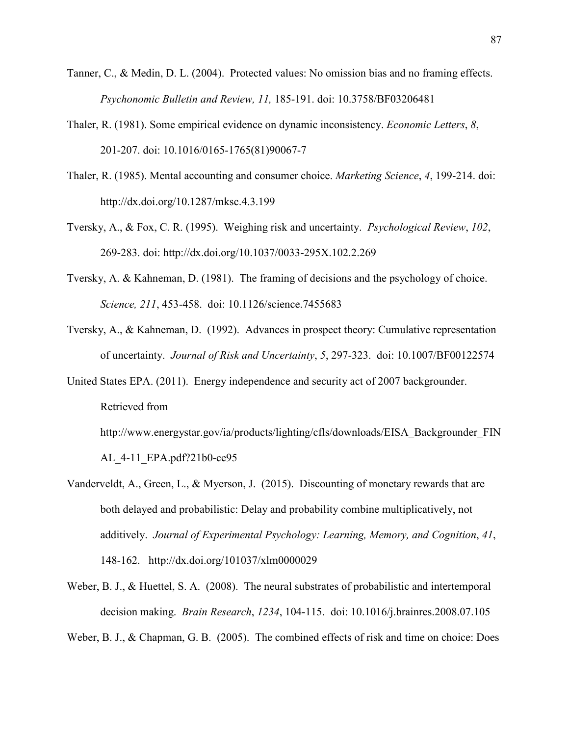- Tanner, C., & Medin, D. L. (2004). Protected values: No omission bias and no framing effects. *Psychonomic Bulletin and Review, 11,* 185-191. doi: 10.3758/BF03206481
- Thaler, R. (1981). Some empirical evidence on dynamic inconsistency. *Economic Letters*, *8*, 201-207. doi: 10.1016/0165-1765(81)90067-7
- Thaler, R. (1985). Mental accounting and consumer choice. *Marketing Science*, *4*, 199-214. doi: http://dx.doi.org/10.1287/mksc.4.3.199
- Tversky, A., & Fox, C. R. (1995). Weighing risk and uncertainty. *Psychological Review*, *102*, 269-283. doi: http://dx.doi.org/10.1037/0033-295X.102.2.269
- Tversky, A. & Kahneman, D. (1981). The framing of decisions and the psychology of choice. *Science, 211*, 453-458. doi: 10.1126/science.7455683
- Tversky, A., & Kahneman, D. (1992). Advances in prospect theory: Cumulative representation of uncertainty. *Journal of Risk and Uncertainty*, *5*, 297-323. doi: 10.1007/BF00122574
- United States EPA. (2011). Energy independence and security act of 2007 backgrounder. Retrieved from

http://www.energystar.gov/ia/products/lighting/cfls/downloads/EISA\_Backgrounder\_FIN AL\_4-11\_EPA.pdf?21b0-ce95

- Vanderveldt, A., Green, L., & Myerson, J. (2015). Discounting of monetary rewards that are both delayed and probabilistic: Delay and probability combine multiplicatively, not additively. *Journal of Experimental Psychology: Learning, Memory, and Cognition*, *41*, 148-162. http://dx.doi.org/101037/xlm0000029
- Weber, B. J., & Huettel, S. A. (2008). The neural substrates of probabilistic and intertemporal decision making. *Brain Research*, *1234*, 104-115. doi: 10.1016/j.brainres.2008.07.105

Weber, B. J., & Chapman, G. B. (2005). The combined effects of risk and time on choice: Does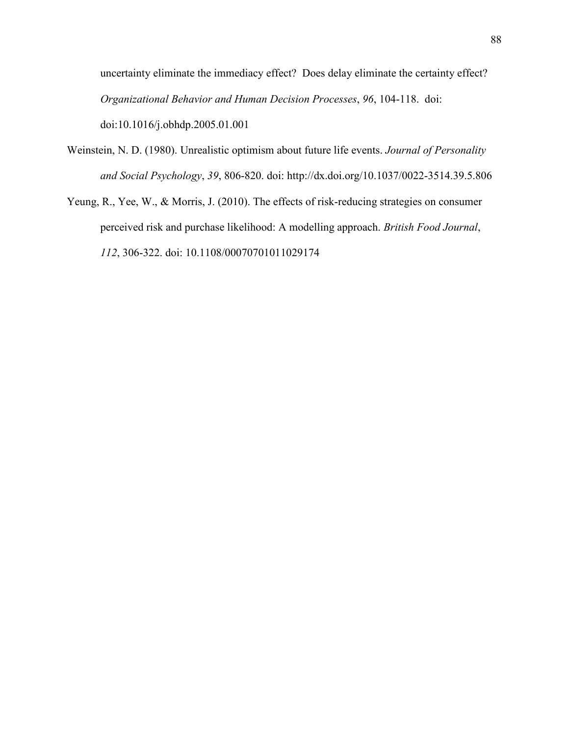uncertainty eliminate the immediacy effect? Does delay eliminate the certainty effect? *Organizational Behavior and Human Decision Processes*, *96*, 104-118. doi: doi:10.1016/j.obhdp.2005.01.001

- Weinstein, N. D. (1980). Unrealistic optimism about future life events. *Journal of Personality and Social Psychology*, *39*, 806-820. doi: http://dx.doi.org/10.1037/0022-3514.39.5.806
- Yeung, R., Yee, W., & Morris, J. (2010). The effects of risk-reducing strategies on consumer perceived risk and purchase likelihood: A modelling approach. *British Food Journal*, *112*, 306-322. doi: 10.1108/00070701011029174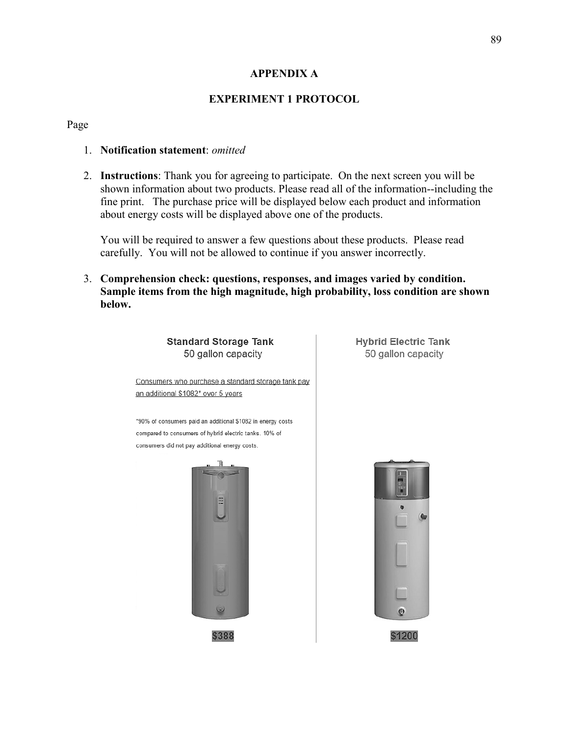### **APPENDIX A**

### **EXPERIMENT 1 PROTOCOL**

#### Page

#### 1. **Notification statement**: *omitted*

2. **Instructions**: Thank you for agreeing to participate. On the next screen you will be shown information about two products. Please read all of the information--including the fine print. The purchase price will be displayed below each product and information about energy costs will be displayed above one of the products.

You will be required to answer a few questions about these products. Please read carefully. You will not be allowed to continue if you answer incorrectly.

3. **Comprehension check: questions, responses, and images varied by condition. Sample items from the high magnitude, high probability, loss condition are shown below.**



**Hybrid Electric Tank** 50 gallon capacity

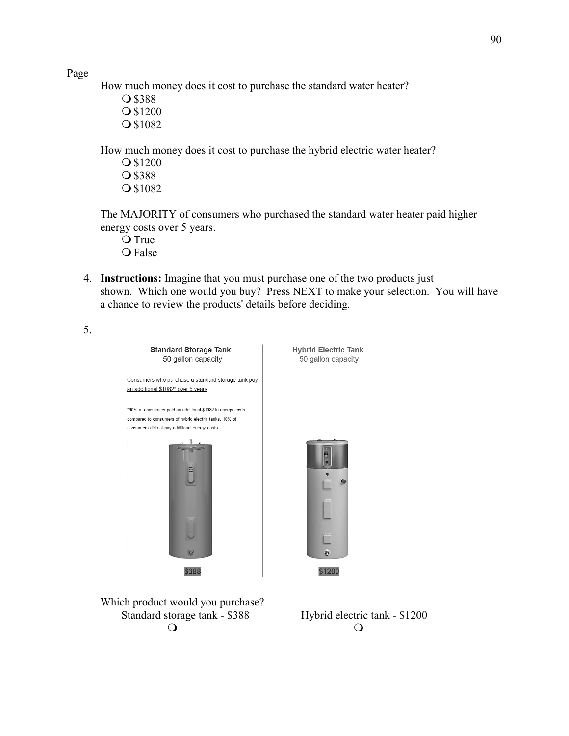How much money does it cost to purchase the standard water heater?

O \$388 **O**\$1200 O \$1082

How much money does it cost to purchase the hybrid electric water heater?

**O**\$1200 O \$388 O \$1082

The MAJORITY of consumers who purchased the standard water heater paid higher energy costs over 5 years.

- O True Q False
- 4. **Instructions:** Imagine that you must purchase one of the two products just shown. Which one would you buy? Press NEXT to make your selection. You will have a chance to review the products' details before deciding.
- 5.



Which product would you purchase? Standard storage tank - \$388 Hybrid electric tank - \$1200  $\circ$   $\circ$   $\circ$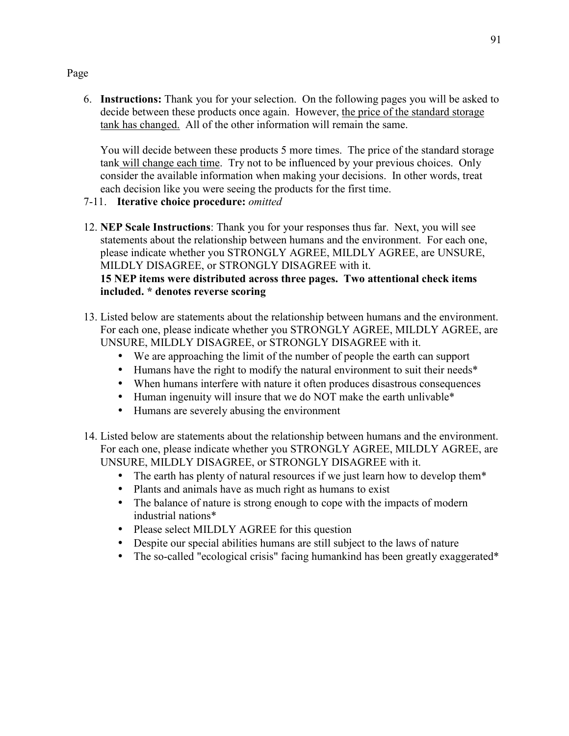6. **Instructions:** Thank you for your selection. On the following pages you will be asked to decide between these products once again. However, the price of the standard storage tank has changed. All of the other information will remain the same.

You will decide between these products 5 more times. The price of the standard storage tank will change each time. Try not to be influenced by your previous choices. Only consider the available information when making your decisions. In other words, treat each decision like you were seeing the products for the first time.

- 7-11. **Iterative choice procedure:** *omitted*
- 12. **NEP Scale Instructions**: Thank you for your responses thus far. Next, you will see statements about the relationship between humans and the environment. For each one, please indicate whether you STRONGLY AGREE, MILDLY AGREE, are UNSURE, MILDLY DISAGREE, or STRONGLY DISAGREE with it.

# **15 NEP items were distributed across three pages. Two attentional check items included. \* denotes reverse scoring**

- 13. Listed below are statements about the relationship between humans and the environment. For each one, please indicate whether you STRONGLY AGREE, MILDLY AGREE, are UNSURE, MILDLY DISAGREE, or STRONGLY DISAGREE with it.
	- We are approaching the limit of the number of people the earth can support
	- Humans have the right to modify the natural environment to suit their needs\*
	- When humans interfere with nature it often produces disastrous consequences
	- Human ingenuity will insure that we do NOT make the earth unlivable\*
	- Humans are severely abusing the environment
- 14. Listed below are statements about the relationship between humans and the environment. For each one, please indicate whether you STRONGLY AGREE, MILDLY AGREE, are UNSURE, MILDLY DISAGREE, or STRONGLY DISAGREE with it.
	- The earth has plenty of natural resources if we just learn how to develop them\*
	- Plants and animals have as much right as humans to exist
	- The balance of nature is strong enough to cope with the impacts of modern industrial nations\*
	- Please select MILDLY AGREE for this question
	- Despite our special abilities humans are still subject to the laws of nature
	- The so-called "ecological crisis" facing humankind has been greatly exaggerated\*

### Page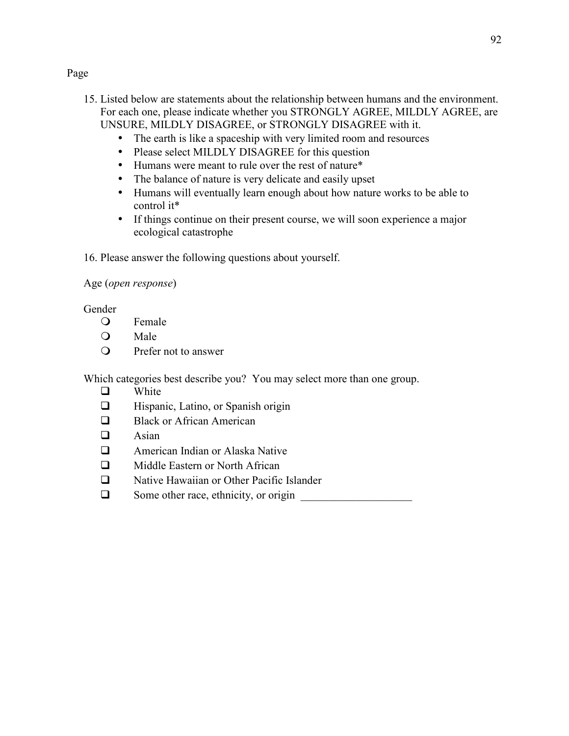- 15. Listed below are statements about the relationship between humans and the environment. For each one, please indicate whether you STRONGLY AGREE, MILDLY AGREE, are UNSURE, MILDLY DISAGREE, or STRONGLY DISAGREE with it.
	- The earth is like a spaceship with very limited room and resources
	- Please select MILDLY DISAGREE for this question
	- Humans were meant to rule over the rest of nature\*
	- The balance of nature is very delicate and easily upset
	- Humans will eventually learn enough about how nature works to be able to control it\*
	- If things continue on their present course, we will soon experience a major ecological catastrophe
- 16. Please answer the following questions about yourself.

### Age (*open response*)

### Gender

- Female
- O Male
- Prefer not to answer

Which categories best describe you? You may select more than one group.

- $\Box$ White
- $\Box$ Hispanic, Latino, or Spanish origin
- $\Box$ Black or African American
- $\Box$ Asian
- **D** American Indian or Alaska Native
- $\Box$ Middle Eastern or North African
- $\Box$ Native Hawaiian or Other Pacific Islander
- $\Box$ Some other race, ethnicity, or origin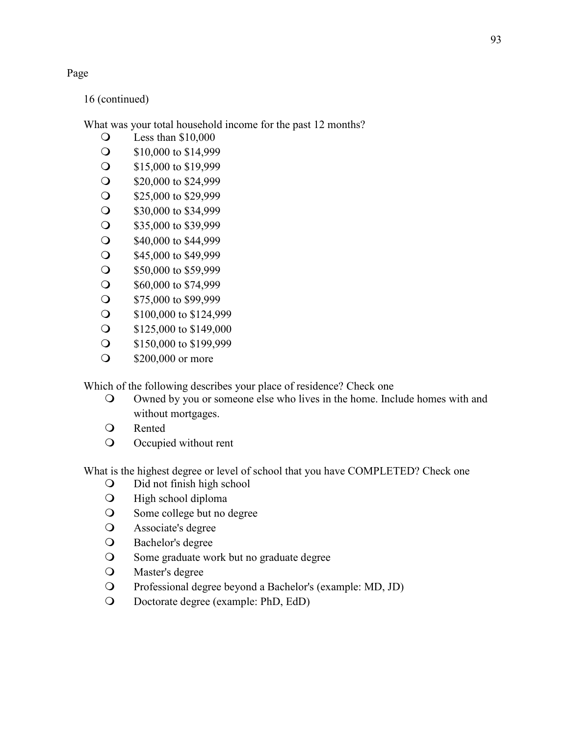16 (continued)

What was your total household income for the past 12 months?

- Less than \$10,000
- S10,000 to \$14,999
- September 15,000 to \$19,999
- S20,000 to \$24,999
- S25,000 to \$29,999
- S30,000 to \$34,999
- S35,000 to \$39,999
- S40,000 to \$44,999
- S45,000 to \$49,999
- S50,000 to \$59,999
- S60,000 to \$74,999
- S75,000 to \$99,999
- S100,000 to \$124,999
- S125,000 to \$149,000
- September 150,000 to \$199,999
- **200,000 or more**

Which of the following describes your place of residence? Check one

- Owned by you or someone else who lives in the home. Include homes with and without mortgages.
- Rented
- Occupied without rent

What is the highest degree or level of school that you have COMPLETED? Check one

- Did not finish high school
- High school diploma
- Some college but no degree
- Associate's degree
- Bachelor's degree
- Some graduate work but no graduate degree
- Master's degree
- Professional degree beyond a Bachelor's (example: MD, JD)
- Doctorate degree (example: PhD, EdD)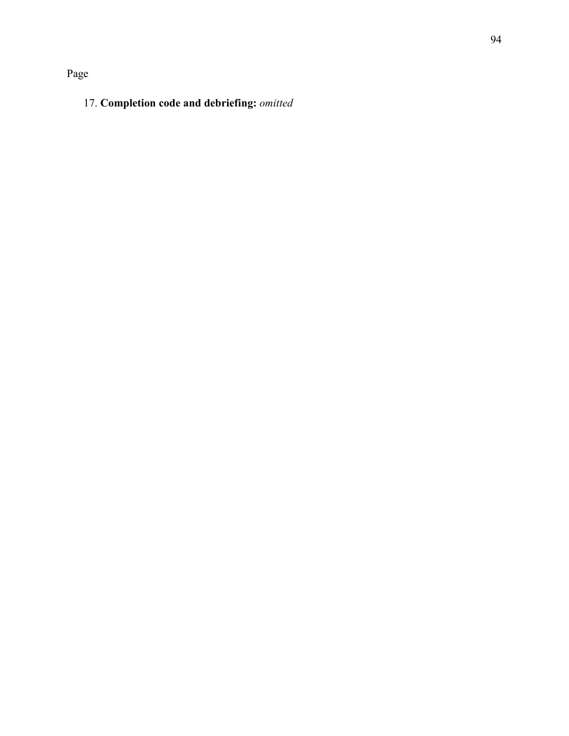# 17. **Completion code and debriefing:** *omitted*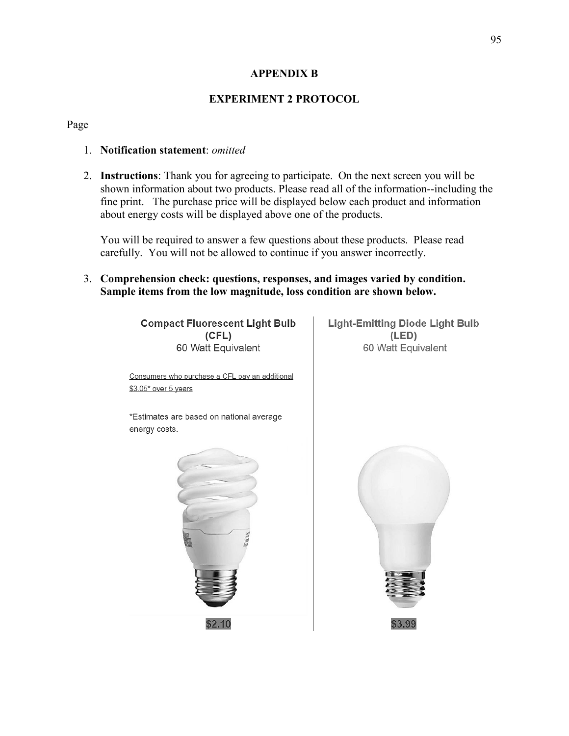### **APPENDIX B**

# **EXPERIMENT 2 PROTOCOL**

#### Page

#### 1. **Notification statement**: *omitted*

2. **Instructions**: Thank you for agreeing to participate. On the next screen you will be shown information about two products. Please read all of the information--including the fine print. The purchase price will be displayed below each product and information about energy costs will be displayed above one of the products.

You will be required to answer a few questions about these products. Please read carefully. You will not be allowed to continue if you answer incorrectly.

3. **Comprehension check: questions, responses, and images varied by condition. Sample items from the low magnitude, loss condition are shown below.**

> **Compact Fluorescent Light Bulb**  $(CFL)$ 60 Watt Equivalent

**Light-Emitting Diode Light Bulb**  $(LED)$ 60 Watt Equivalent

Consumers who purchase a CFL pay an additional \$3.05\* over 5 years

\*Estimates are based on national average energy costs.



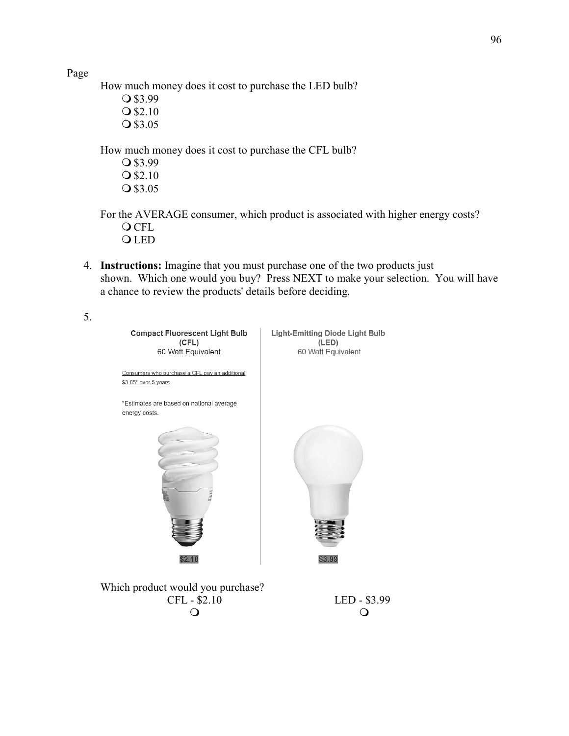96

Page

5.

How much money does it cost to purchase the LED bulb?

O \$3.99  $Q$ \$2.10

Q \$3.05

How much money does it cost to purchase the CFL bulb?

O \$3.99  $Q$ \$2.10 Q \$3.05

For the AVERAGE consumer, which product is associated with higher energy costs? **O** CFL **OLED** 

4. **Instructions:** Imagine that you must purchase one of the two products just shown. Which one would you buy? Press NEXT to make your selection. You will have a chance to review the products' details before deciding.



Which product would you purchase? CFL - \$2.10 LED - \$3.99  $\overline{O}$  and  $\overline{O}$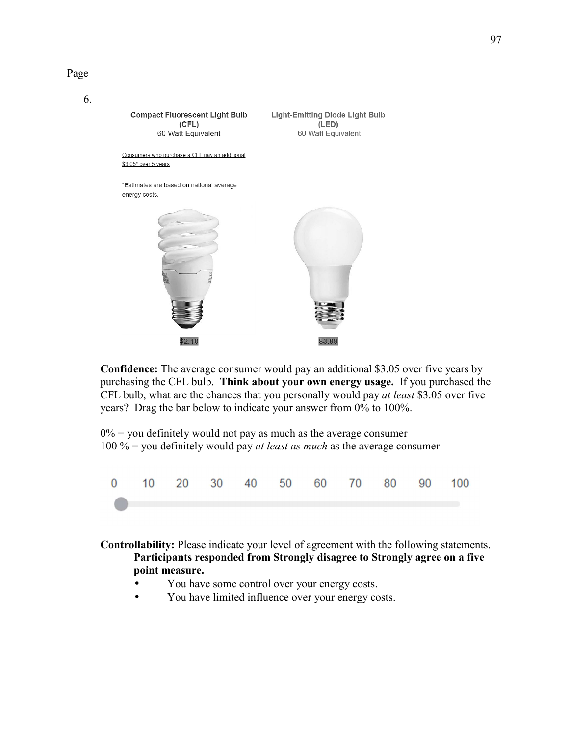

6.



**Confidence:** The average consumer would pay an additional \$3.05 over five years by purchasing the CFL bulb. **Think about your own energy usage.** If you purchased the CFL bulb, what are the chances that you personally would pay *at least* \$3.05 over five years? Drag the bar below to indicate your answer from 0% to 100%.

 $0\%$  = you definitely would not pay as much as the average consumer 100 % = you definitely would pay *at least as much* as the average consumer



**Controllability:** Please indicate your level of agreement with the following statements. **Participants responded from Strongly disagree to Strongly agree on a five point measure.** 

- You have some control over your energy costs.
- You have limited influence over your energy costs.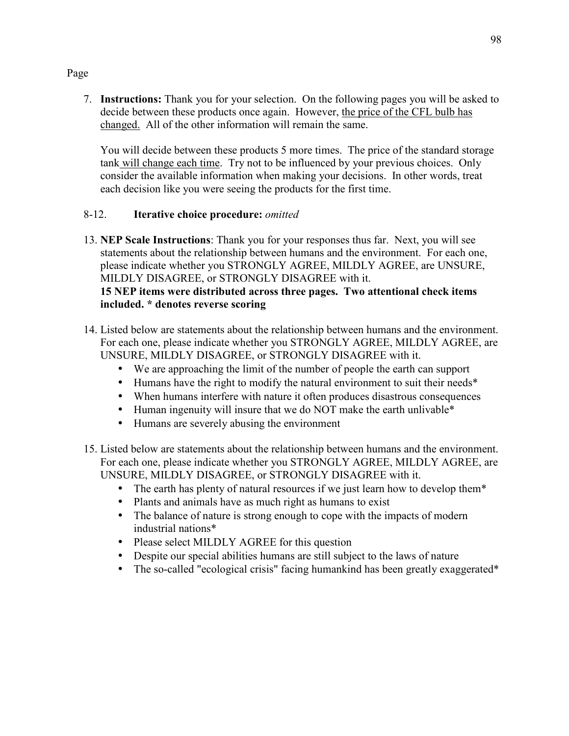7. **Instructions:** Thank you for your selection. On the following pages you will be asked to decide between these products once again. However, the price of the CFL bulb has changed. All of the other information will remain the same.

You will decide between these products 5 more times. The price of the standard storage tank will change each time. Try not to be influenced by your previous choices. Only consider the available information when making your decisions. In other words, treat each decision like you were seeing the products for the first time.

# 8-12. **Iterative choice procedure:** *omitted*

13. **NEP Scale Instructions**: Thank you for your responses thus far. Next, you will see statements about the relationship between humans and the environment. For each one, please indicate whether you STRONGLY AGREE, MILDLY AGREE, are UNSURE, MILDLY DISAGREE, or STRONGLY DISAGREE with it.

# **15 NEP items were distributed across three pages. Two attentional check items included. \* denotes reverse scoring**

- 14. Listed below are statements about the relationship between humans and the environment. For each one, please indicate whether you STRONGLY AGREE, MILDLY AGREE, are UNSURE, MILDLY DISAGREE, or STRONGLY DISAGREE with it.
	- We are approaching the limit of the number of people the earth can support
	- Humans have the right to modify the natural environment to suit their needs\*
	- When humans interfere with nature it often produces disastrous consequences
	- Human ingenuity will insure that we do NOT make the earth unlivable\*
	- Humans are severely abusing the environment
- 15. Listed below are statements about the relationship between humans and the environment. For each one, please indicate whether you STRONGLY AGREE, MILDLY AGREE, are UNSURE, MILDLY DISAGREE, or STRONGLY DISAGREE with it.
	- The earth has plenty of natural resources if we just learn how to develop them\*
	- Plants and animals have as much right as humans to exist
	- The balance of nature is strong enough to cope with the impacts of modern industrial nations\*
	- Please select MILDLY AGREE for this question
	- Despite our special abilities humans are still subject to the laws of nature
	- The so-called "ecological crisis" facing humankind has been greatly exaggerated\*

# Page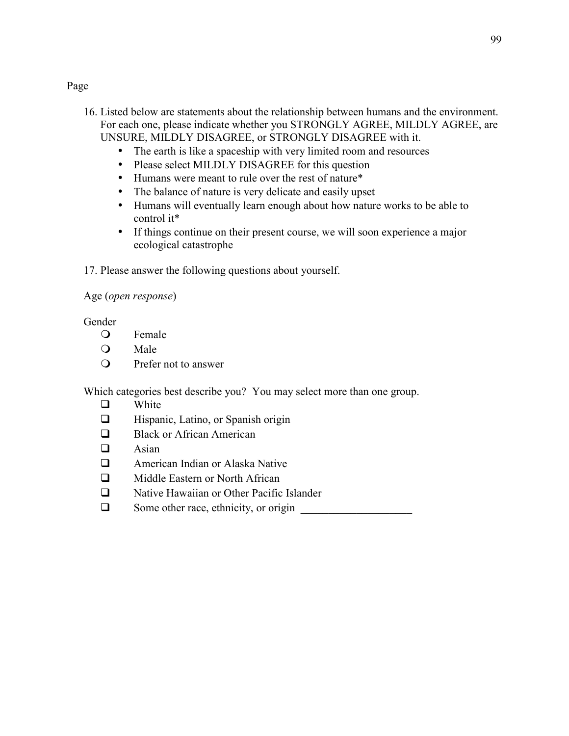- 16. Listed below are statements about the relationship between humans and the environment. For each one, please indicate whether you STRONGLY AGREE, MILDLY AGREE, are UNSURE, MILDLY DISAGREE, or STRONGLY DISAGREE with it.
	- The earth is like a spaceship with very limited room and resources
	- Please select MILDLY DISAGREE for this question
	- Humans were meant to rule over the rest of nature\*
	- The balance of nature is very delicate and easily upset
	- Humans will eventually learn enough about how nature works to be able to control it\*
	- If things continue on their present course, we will soon experience a major ecological catastrophe
- 17. Please answer the following questions about yourself.

# Age (*open response*)

Gender

- Female
- Q Male
- Prefer not to answer

Which categories best describe you? You may select more than one group.

- $\Box$ White
- $\Box$ Hispanic, Latino, or Spanish origin
- $\Box$ Black or African American
- $\Box$ Asian
- $\Box$ American Indian or Alaska Native
- $\Box$ Middle Eastern or North African
- $\Box$ Native Hawaiian or Other Pacific Islander
- $\Box$ Some other race, ethnicity, or origin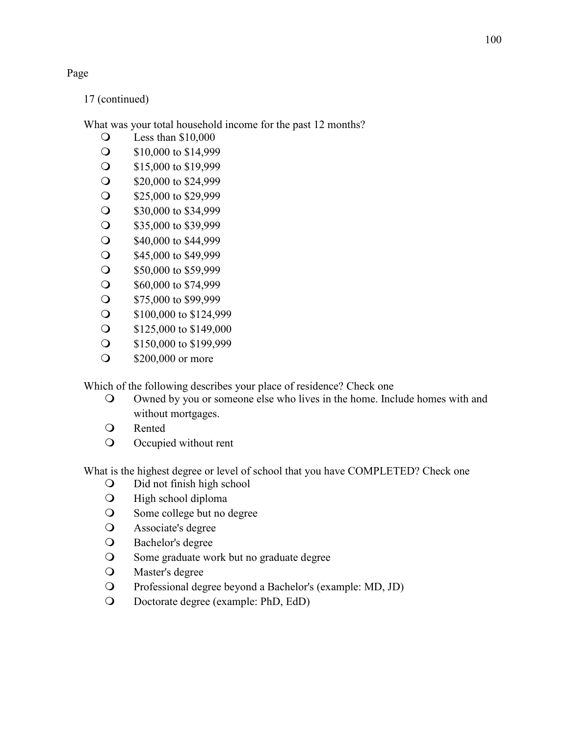17 (continued)

What was your total household income for the past 12 months?

- Less than \$10,000
- S10,000 to \$14,999
- September 15,000 to \$19,999
- S20,000 to \$24,999
- S25,000 to \$29,999
- S30,000 to \$34,999
- S35,000 to \$39,999
- S40,000 to \$44,999
- S45,000 to \$49,999
- S50,000 to \$59,999
- S60,000 to \$74,999
- S75,000 to \$99,999
- S100,000 to \$124,999
- S125,000 to \$149,000
- September 150,000 to \$199,999
- **200,000 or more**

Which of the following describes your place of residence? Check one

- Owned by you or someone else who lives in the home. Include homes with and without mortgages.
- Rented
- Occupied without rent

What is the highest degree or level of school that you have COMPLETED? Check one

- Did not finish high school
- High school diploma
- Some college but no degree
- Associate's degree
- Bachelor's degree
- Some graduate work but no graduate degree
- Master's degree
- Professional degree beyond a Bachelor's (example: MD, JD)
- Doctorate degree (example: PhD, EdD)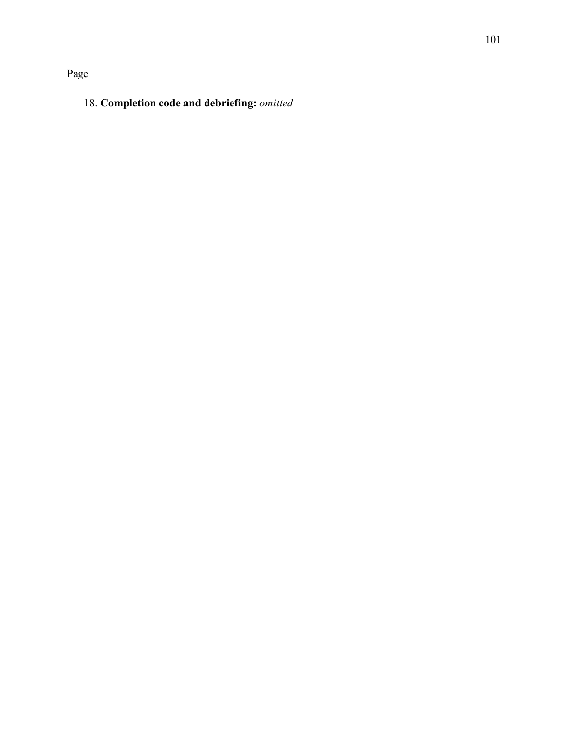Page

# 18. **Completion code and debriefing:** *omitted*